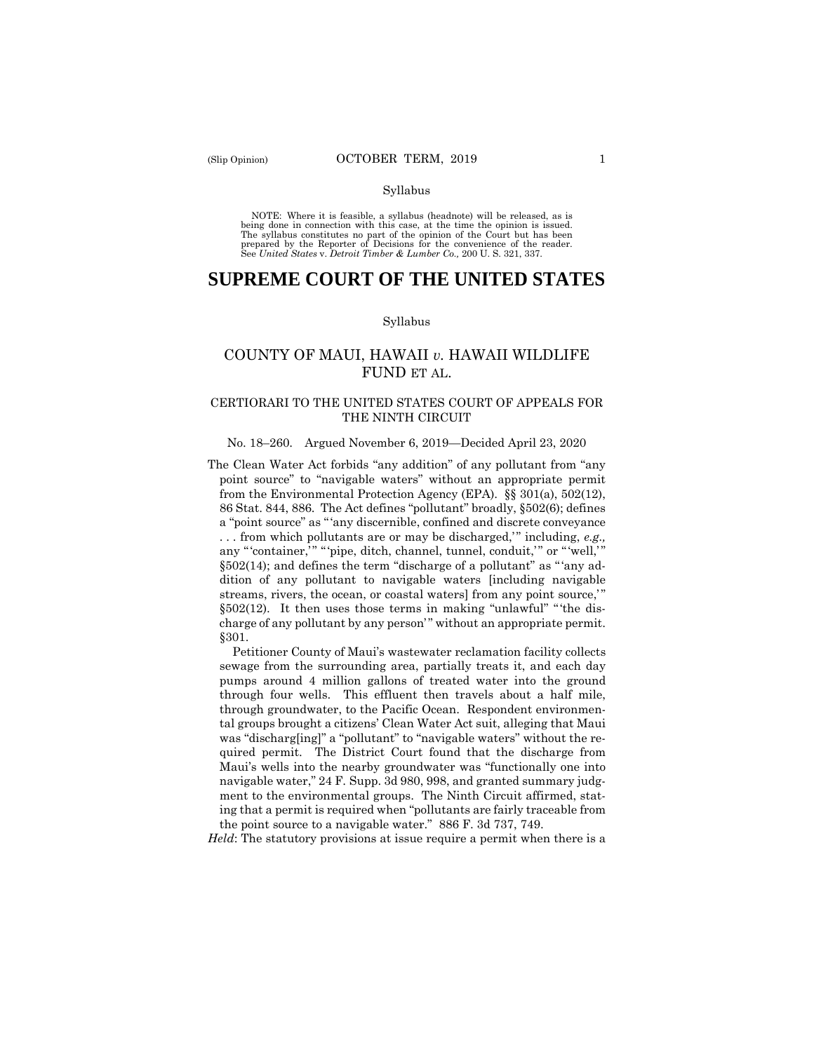NOTE: Where it is feasible, a syllabus (headnote) will be released, as is being done in connection with this case, at the time the opinion is issued. The syllabus constitutes no part of the opinion of the Court but has been<br>prepared by the Reporter of Decisions for the convenience of the reader.<br>See United States v. Detroit Timber & Lumber Co., 200 U.S. 321, 337.

# **SUPREME COURT OF THE UNITED STATES**

#### Syllabus

## COUNTY OF MAUI, HAWAII *v.* HAWAII WILDLIFE FUND ET AL.

## CERTIORARI TO THE UNITED STATES COURT OF APPEALS FOR THE NINTH CIRCUIT

#### No. 18–260. Argued November 6, 2019—Decided April 23, 2020

any " 'container,'" " 'pipe, ditch, channel, tunnel, conduit,'" or " 'well,'" The Clean Water Act forbids "any addition" of any pollutant from "any point source" to "navigable waters" without an appropriate permit from the Environmental Protection Agency (EPA). §§ 301(a), 502(12), 86 Stat. 844, 886. The Act defines "pollutant" broadly, §502(6); defines a "point source" as " 'any discernible, confined and discrete conveyance ... from which pollutants are or may be discharged," including, *e.g.*, §502(14); and defines the term "discharge of a pollutant" as "'any addition of any pollutant to navigable waters [including navigable streams, rivers, the ocean, or coastal waters] from any point source,' " §502(12). It then uses those terms in making "unlawful" " 'the discharge of any pollutant by any person'" without an appropriate permit.  $§301$ .

Petitioner County of Maui's wastewater reclamation facility collects sewage from the surrounding area, partially treats it, and each day pumps around 4 million gallons of treated water into the ground through four wells. This effluent then travels about a half mile, through groundwater, to the Pacific Ocean. Respondent environmental groups brought a citizens' Clean Water Act suit, alleging that Maui was "discharg[ing]" a "pollutant" to "navigable waters" without the required permit. The District Court found that the discharge from Maui's wells into the nearby groundwater was "functionally one into navigable water," 24 F. Supp. 3d 980, 998, and granted summary judgment to the environmental groups. The Ninth Circuit affirmed, stating that a permit is required when "pollutants are fairly traceable from the point source to a navigable water." 886 F. 3d 737, 749.

*Held*: The statutory provisions at issue require a permit when there is a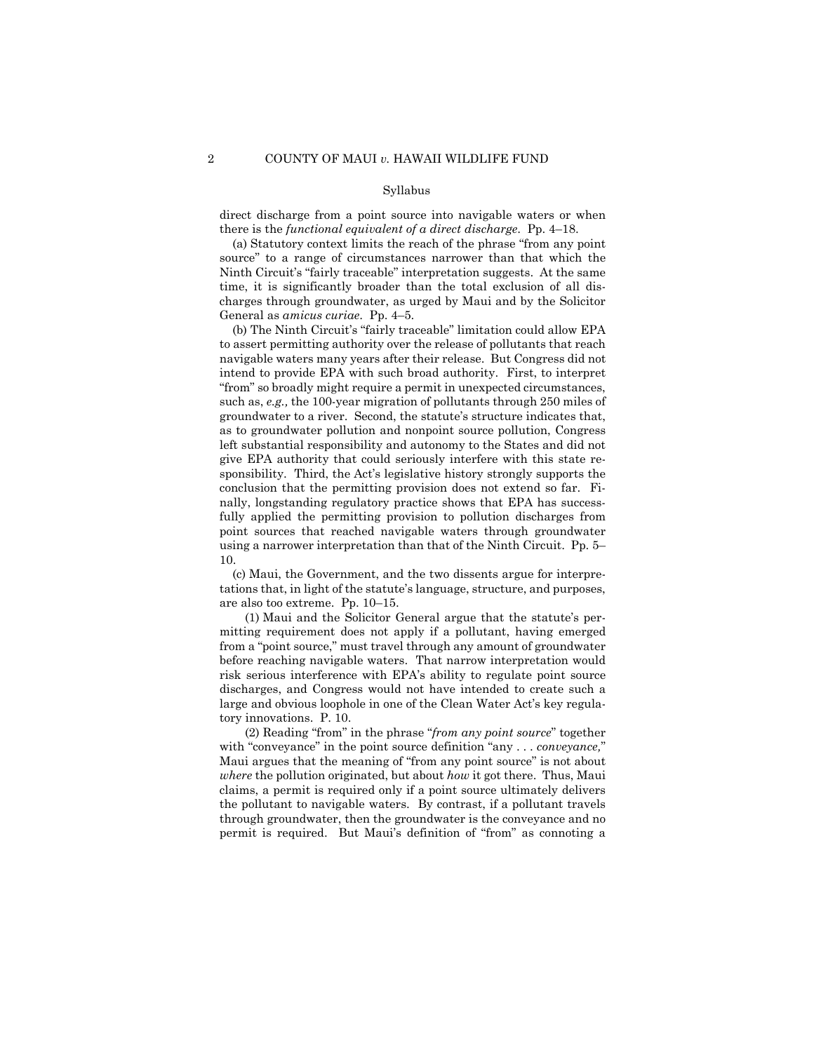direct discharge from a point source into navigable waters or when there is the *functional equivalent of a direct discharge*. Pp. 4–18.

 Ninth Circuit's "fairly traceable" interpretation suggests. At the same (a) Statutory context limits the reach of the phrase "from any point source" to a range of circumstances narrower than that which the time, it is significantly broader than the total exclusion of all discharges through groundwater, as urged by Maui and by the Solicitor General as *amicus curiae*. Pp. 4–5.

(b) The Ninth Circuit's "fairly traceable" limitation could allow EPA to assert permitting authority over the release of pollutants that reach navigable waters many years after their release. But Congress did not intend to provide EPA with such broad authority. First, to interpret "from" so broadly might require a permit in unexpected circumstances, such as, *e.g.,* the 100-year migration of pollutants through 250 miles of groundwater to a river. Second, the statute's structure indicates that, as to groundwater pollution and nonpoint source pollution, Congress left substantial responsibility and autonomy to the States and did not give EPA authority that could seriously interfere with this state responsibility. Third, the Act's legislative history strongly supports the conclusion that the permitting provision does not extend so far. Finally, longstanding regulatory practice shows that EPA has successfully applied the permitting provision to pollution discharges from point sources that reached navigable waters through groundwater using a narrower interpretation than that of the Ninth Circuit. Pp. 5– 10.

(c) Maui, the Government, and the two dissents argue for interpretations that, in light of the statute's language, structure, and purposes, are also too extreme. Pp. 10–15.

(1) Maui and the Solicitor General argue that the statute's permitting requirement does not apply if a pollutant, having emerged from a "point source," must travel through any amount of groundwater before reaching navigable waters. That narrow interpretation would risk serious interference with EPA's ability to regulate point source discharges, and Congress would not have intended to create such a large and obvious loophole in one of the Clean Water Act's key regulatory innovations. P. 10.

(2) Reading "from" in the phrase "*from any point source*" together with "conveyance" in the point source definition "any . . . *conveyance,*" Maui argues that the meaning of "from any point source" is not about *where* the pollution originated, but about *how* it got there. Thus, Maui claims, a permit is required only if a point source ultimately delivers the pollutant to navigable waters. By contrast, if a pollutant travels through groundwater, then the groundwater is the conveyance and no permit is required. But Maui's definition of "from" as connoting a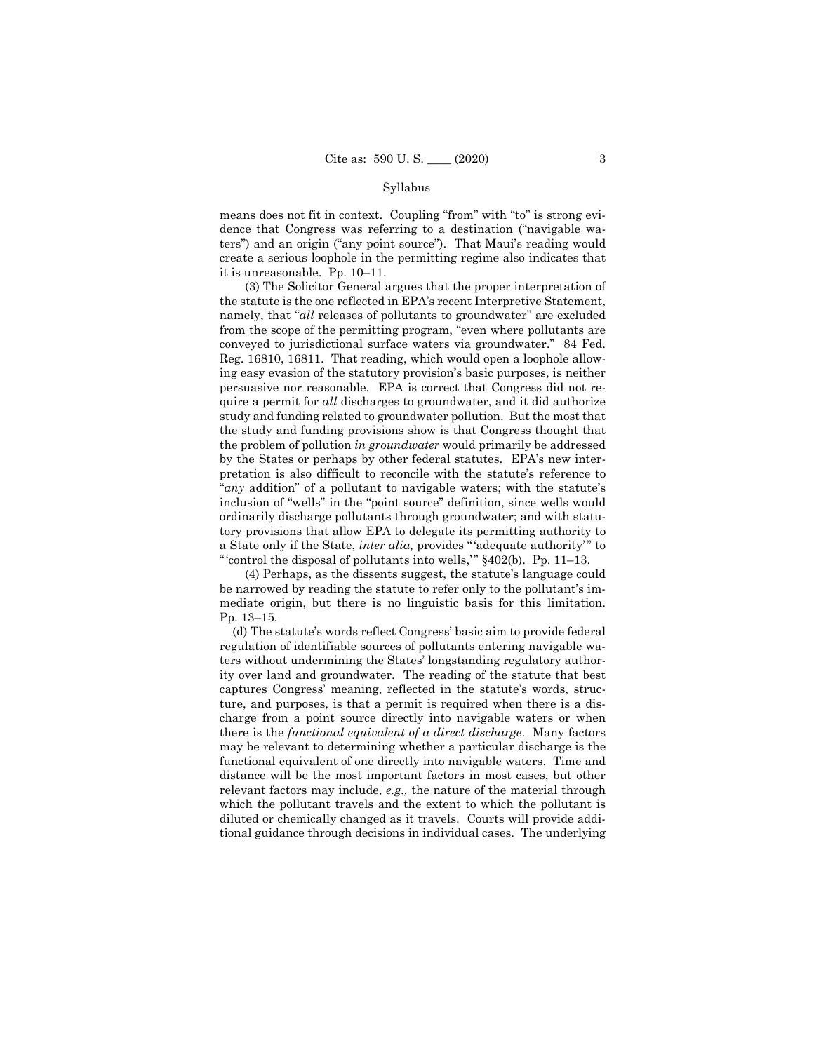means does not fit in context. Coupling "from" with "to" is strong evidence that Congress was referring to a destination ("navigable waters") and an origin ("any point source"). That Maui's reading would create a serious loophole in the permitting regime also indicates that it is unreasonable. Pp. 10–11.

(3) The Solicitor General argues that the proper interpretation of the statute is the one reflected in EPA's recent Interpretive Statement, namely, that "*all* releases of pollutants to groundwater" are excluded from the scope of the permitting program, "even where pollutants are conveyed to jurisdictional surface waters via groundwater." 84 Fed. Reg. 16810, 16811. That reading, which would open a loophole allowing easy evasion of the statutory provision's basic purposes, is neither persuasive nor reasonable. EPA is correct that Congress did not require a permit for *all* discharges to groundwater, and it did authorize study and funding related to groundwater pollution. But the most that the study and funding provisions show is that Congress thought that the problem of pollution *in groundwater* would primarily be addressed by the States or perhaps by other federal statutes. EPA's new interpretation is also difficult to reconcile with the statute's reference to "*any* addition" of a pollutant to navigable waters; with the statute's inclusion of "wells" in the "point source" definition, since wells would ordinarily discharge pollutants through groundwater; and with statutory provisions that allow EPA to delegate its permitting authority to a State only if the State, *inter alia,* provides " 'adequate authority' " to " 'control the disposal of pollutants into wells," §402(b). Pp. 11–13.

 mediate origin, but there is no linguistic basis for this limitation. Pp. 13–15. (4) Perhaps, as the dissents suggest, the statute's language could be narrowed by reading the statute to refer only to the pollutant's im-

(d) The statute's words reflect Congress' basic aim to provide federal regulation of identifiable sources of pollutants entering navigable waters without undermining the States' longstanding regulatory authority over land and groundwater. The reading of the statute that best captures Congress' meaning, reflected in the statute's words, structure, and purposes, is that a permit is required when there is a discharge from a point source directly into navigable waters or when there is the *functional equivalent of a direct discharge*. Many factors may be relevant to determining whether a particular discharge is the functional equivalent of one directly into navigable waters. Time and distance will be the most important factors in most cases, but other relevant factors may include, *e.g.,* the nature of the material through which the pollutant travels and the extent to which the pollutant is diluted or chemically changed as it travels. Courts will provide additional guidance through decisions in individual cases. The underlying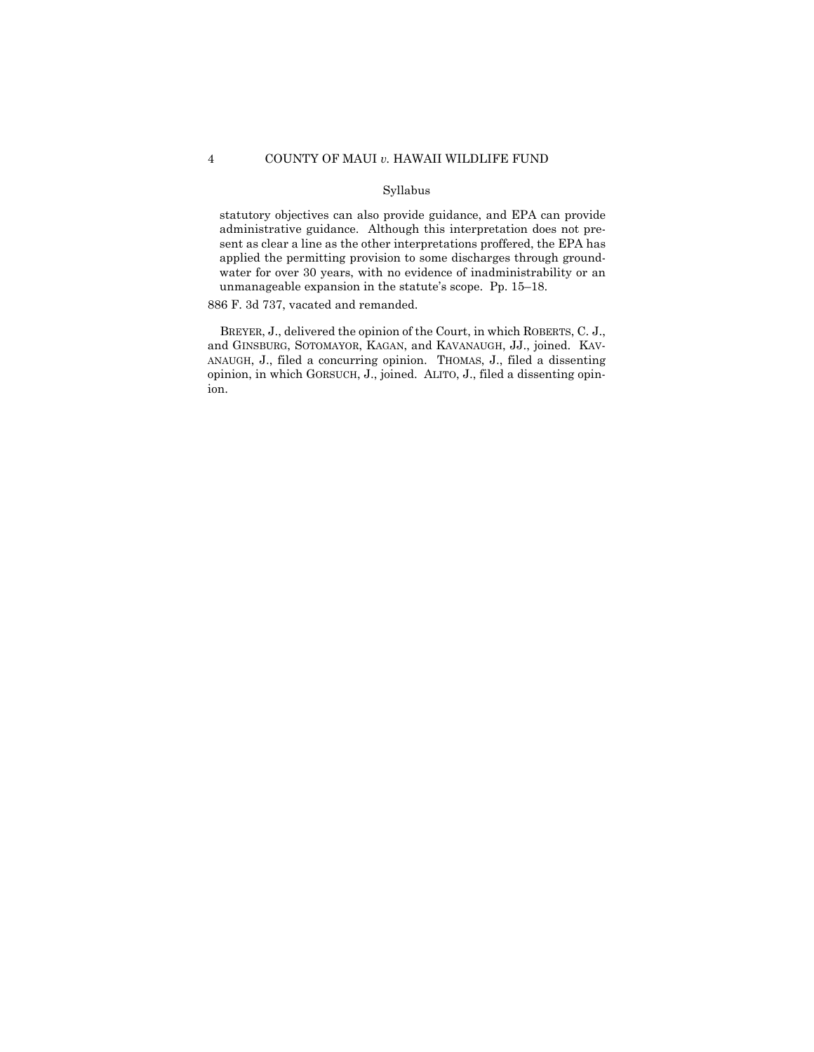statutory objectives can also provide guidance, and EPA can provide administrative guidance. Although this interpretation does not present as clear a line as the other interpretations proffered, the EPA has applied the permitting provision to some discharges through groundwater for over 30 years, with no evidence of inadministrability or an unmanageable expansion in the statute's scope. Pp. 15–18.

886 F. 3d 737, vacated and remanded.

BREYER, J., delivered the opinion of the Court, in which ROBERTS, C. J., and GINSBURG, SOTOMAYOR, KAGAN, and KAVANAUGH, JJ., joined. KAV-ANAUGH, J., filed a concurring opinion. THOMAS, J., filed a dissenting opinion, in which GORSUCH, J., joined. ALITO, J., filed a dissenting opinion.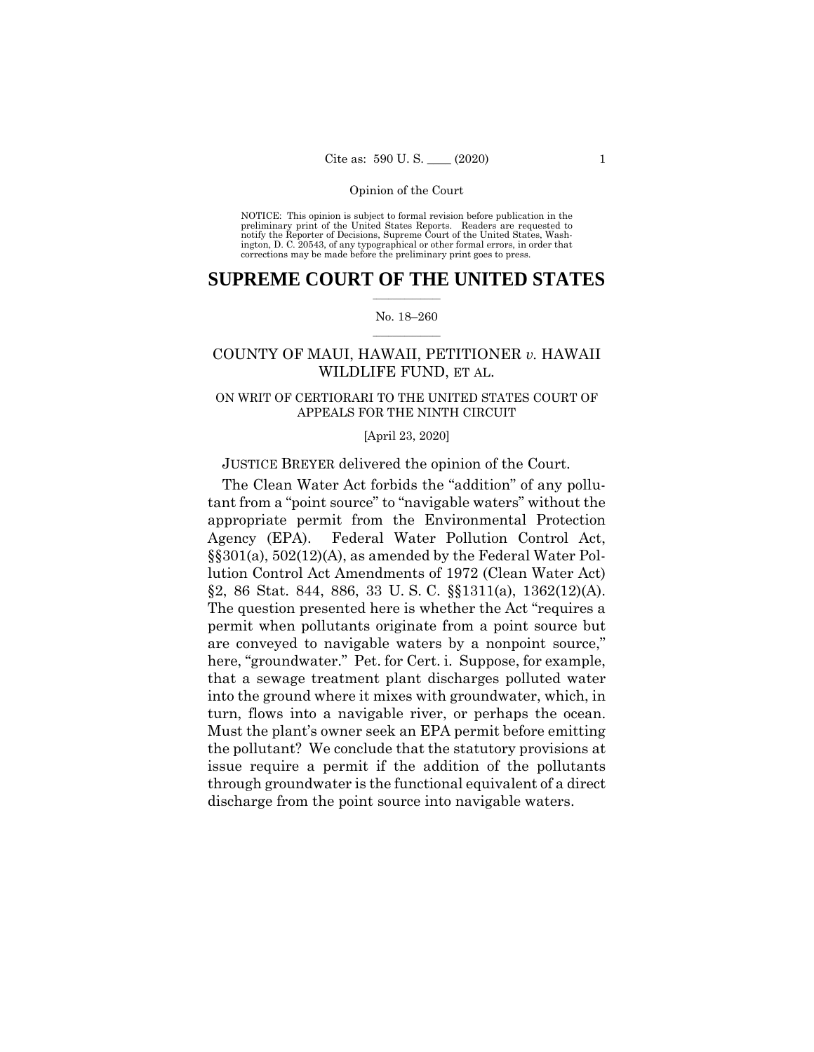NOTICE: This opinion is subject to formal revision before publication in the preliminary print of the United States Reports. Readers are requested to notify the Reporter of Decisions, Supreme Court of the United States, Wash-ington, D. C. 20543, of any typographical or other formal errors, in order that corrections may be made before the preliminary print goes to press.

### $\frac{1}{2}$  ,  $\frac{1}{2}$  ,  $\frac{1}{2}$  ,  $\frac{1}{2}$  ,  $\frac{1}{2}$  ,  $\frac{1}{2}$  ,  $\frac{1}{2}$ **SUPREME COURT OF THE UNITED STATES**

#### $\frac{1}{2}$  ,  $\frac{1}{2}$  ,  $\frac{1}{2}$  ,  $\frac{1}{2}$  ,  $\frac{1}{2}$  ,  $\frac{1}{2}$ No. 18–260

## COUNTY OF MAUI, HAWAII, PETITIONER *v.* HAWAII WILDLIFE FUND, ET AL.

## ON WRIT OF CERTIORARI TO THE UNITED STATES COURT OF APPEALS FOR THE NINTH CIRCUIT

#### [April 23, 2020]

## JUSTICE BREYER delivered the opinion of the Court.

 §2, 86 Stat. 844, 886, 33 U. S. C. §§1311(a), 1362(12)(A). here, "groundwater." Pet. for Cert. i. Suppose, for example, The Clean Water Act forbids the "addition" of any pollutant from a "point source" to "navigable waters" without the appropriate permit from the Environmental Protection Agency (EPA). Federal Water Pollution Control Act, §§301(a), 502(12)(A), as amended by the Federal Water Pollution Control Act Amendments of 1972 (Clean Water Act) The question presented here is whether the Act "requires a permit when pollutants originate from a point source but are conveyed to navigable waters by a nonpoint source," that a sewage treatment plant discharges polluted water into the ground where it mixes with groundwater, which, in turn, flows into a navigable river, or perhaps the ocean. Must the plant's owner seek an EPA permit before emitting the pollutant? We conclude that the statutory provisions at issue require a permit if the addition of the pollutants through groundwater is the functional equivalent of a direct discharge from the point source into navigable waters.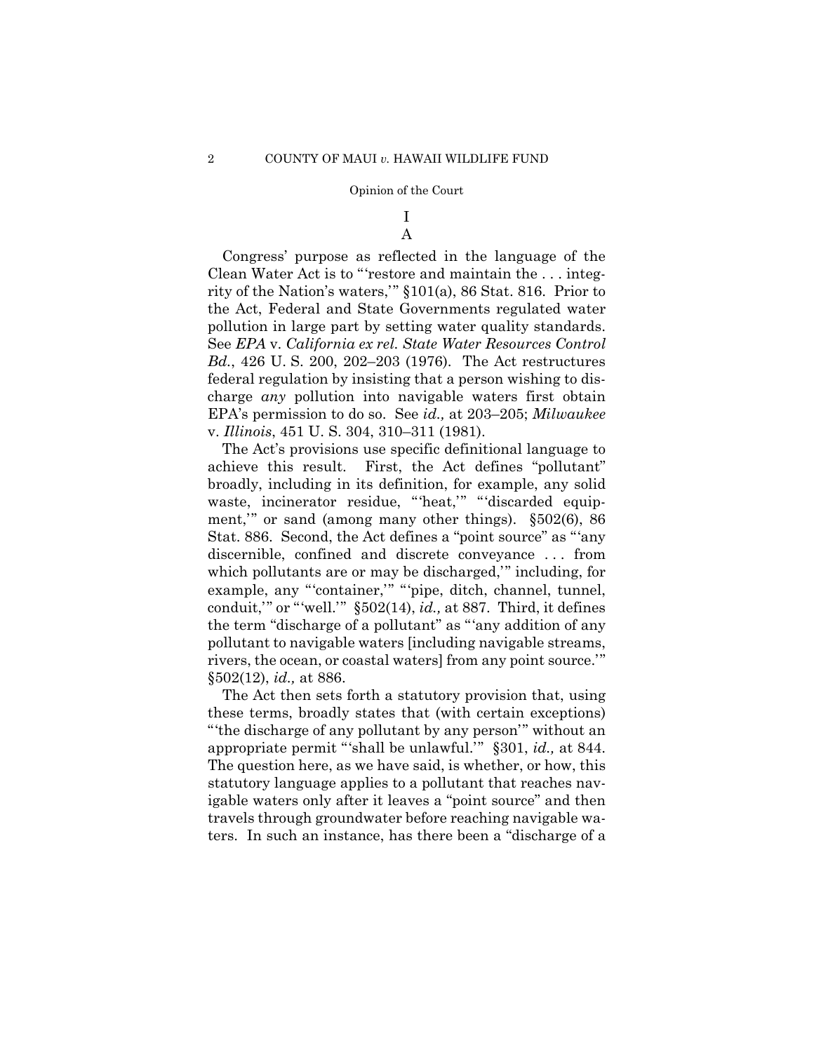## I A

Congress' purpose as reflected in the language of the Clean Water Act is to "'restore and maintain the . . . integrity of the Nation's waters,'" §101(a), 86 Stat. 816. Prior to the Act, Federal and State Governments regulated water pollution in large part by setting water quality standards. See *EPA* v. *California ex rel. State Water Resources Control Bd.*, 426 U. S. 200, 202–203 (1976). The Act restructures federal regulation by insisting that a person wishing to discharge *any* pollution into navigable waters first obtain EPA's permission to do so. See *id.,* at 203–205; *Milwaukee*  v. *Illinois*, 451 U. S. 304, 310–311 (1981).

 waste, incinerator residue, "'heat,'" "'discarded equip- Stat. 886. Second, the Act defines a "point source" as "'any example, any "'container,'" "'pipe, ditch, channel, tunnel, conduit,'" or "'well.'" §502(14), *id.,* at 887. Third, it defines The Act's provisions use specific definitional language to achieve this result. First, the Act defines "pollutant" broadly, including in its definition, for example, any solid ment,'" or sand (among many other things). §502(6), 86 discernible, confined and discrete conveyance . . . from which pollutants are or may be discharged,'" including, for the term "discharge of a pollutant" as "'any addition of any pollutant to navigable waters [including navigable streams, rivers, the ocean, or coastal waters] from any point source.'" §502(12), *id.,* at 886.

The Act then sets forth a statutory provision that, using these terms, broadly states that (with certain exceptions) "'the discharge of any pollutant by any person'" without an appropriate permit "'shall be unlawful.'" §301, *id.,* at 844. The question here, as we have said, is whether, or how, this statutory language applies to a pollutant that reaches navigable waters only after it leaves a "point source" and then travels through groundwater before reaching navigable waters. In such an instance, has there been a "discharge of a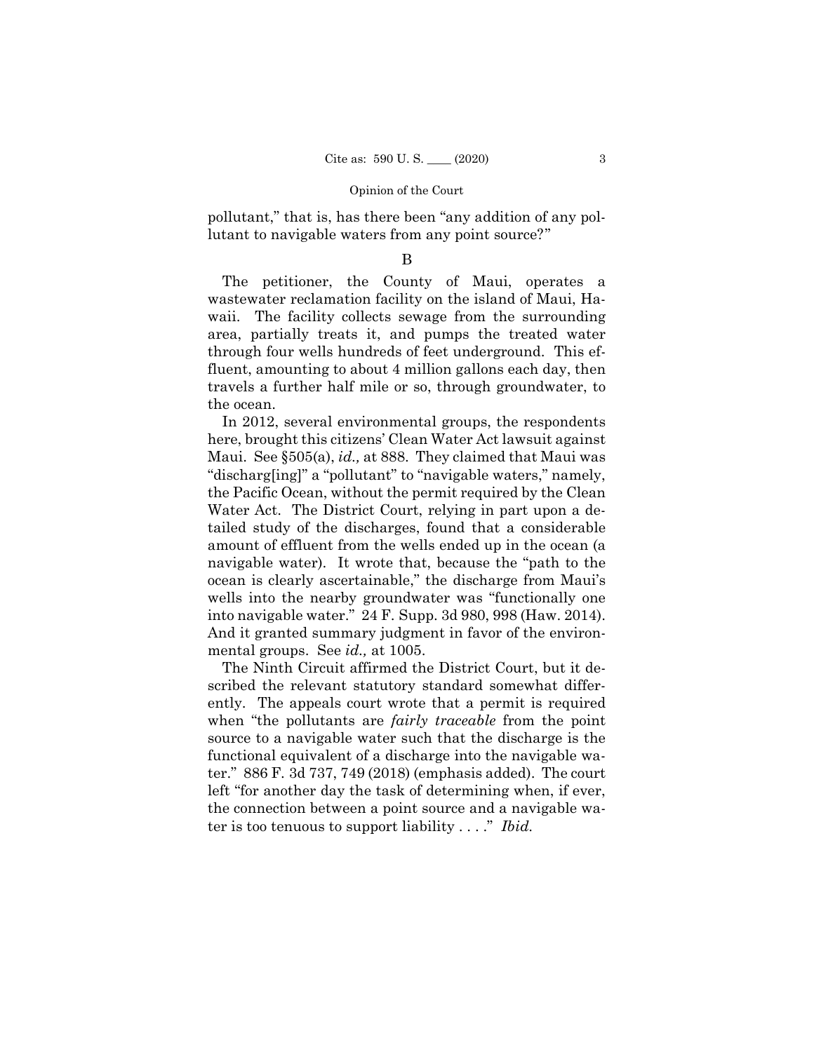pollutant," that is, has there been "any addition of any pollutant to navigable waters from any point source?"

## B

The petitioner, the County of Maui, operates a wastewater reclamation facility on the island of Maui, Hawaii. The facility collects sewage from the surrounding area, partially treats it, and pumps the treated water through four wells hundreds of feet underground. This effluent, amounting to about 4 million gallons each day, then travels a further half mile or so, through groundwater, to the ocean.

In 2012, several environmental groups, the respondents here, brought this citizens' Clean Water Act lawsuit against Maui. See §505(a), *id.,* at 888. They claimed that Maui was "discharg[ing]" a "pollutant" to "navigable waters," namely, the Pacific Ocean, without the permit required by the Clean Water Act. The District Court, relying in part upon a detailed study of the discharges, found that a considerable amount of effluent from the wells ended up in the ocean (a navigable water). It wrote that, because the "path to the ocean is clearly ascertainable," the discharge from Maui's wells into the nearby groundwater was "functionally one into navigable water." 24 F. Supp. 3d 980, 998 (Haw. 2014). And it granted summary judgment in favor of the environmental groups. See *id.,* at 1005.

The Ninth Circuit affirmed the District Court, but it described the relevant statutory standard somewhat differently. The appeals court wrote that a permit is required when "the pollutants are *fairly traceable* from the point source to a navigable water such that the discharge is the functional equivalent of a discharge into the navigable water." 886 F. 3d 737, 749 (2018) (emphasis added). The court left "for another day the task of determining when, if ever, the connection between a point source and a navigable water is too tenuous to support liability . . . ." *Ibid.*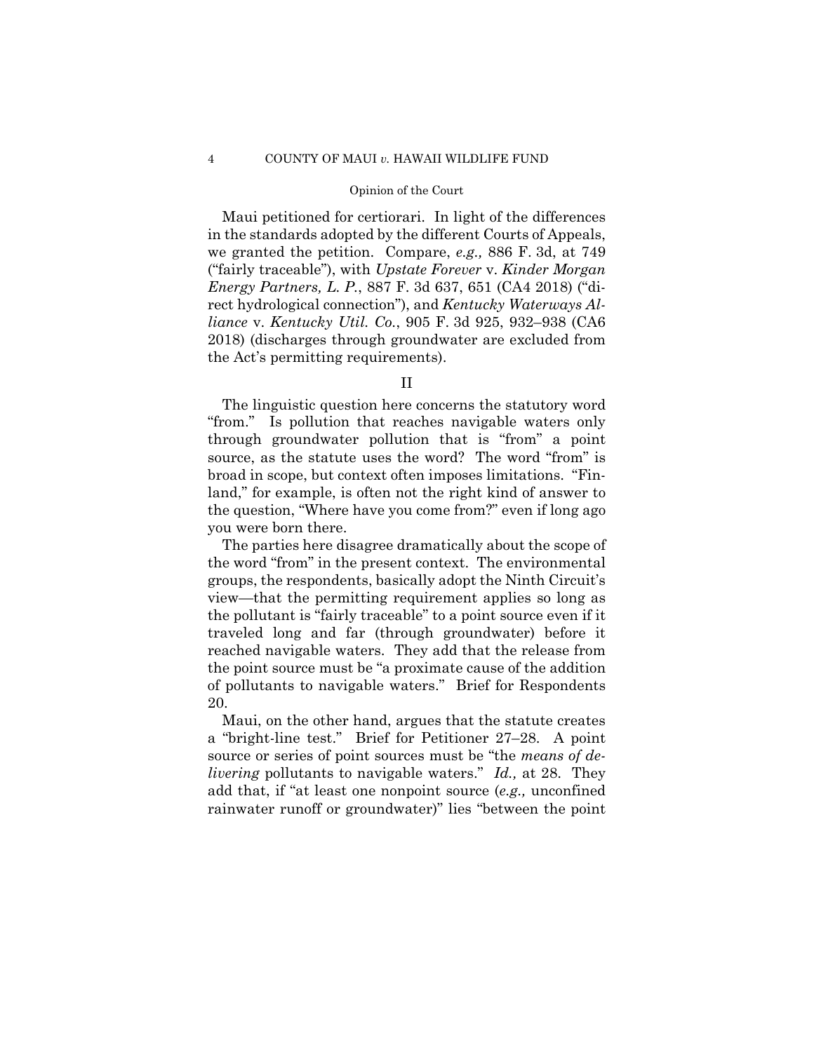Maui petitioned for certiorari. In light of the differences in the standards adopted by the different Courts of Appeals, we granted the petition. Compare, *e.g.,* 886 F. 3d, at 749 ("fairly traceable"), with *Upstate Forever* v. *Kinder Morgan Energy Partners, L. P.*, 887 F. 3d 637, 651 (CA4 2018) ("direct hydrological connection"), and *Kentucky Waterways Alliance* v. *Kentucky Util. Co.*, 905 F. 3d 925, 932–938 (CA6 2018) (discharges through groundwater are excluded from the Act's permitting requirements).

II

The linguistic question here concerns the statutory word "from." Is pollution that reaches navigable waters only through groundwater pollution that is "from" a point source, as the statute uses the word? The word "from" is broad in scope, but context often imposes limitations. "Finland," for example, is often not the right kind of answer to the question, "Where have you come from?" even if long ago you were born there.

The parties here disagree dramatically about the scope of the word "from" in the present context. The environmental groups, the respondents, basically adopt the Ninth Circuit's view—that the permitting requirement applies so long as the pollutant is "fairly traceable" to a point source even if it traveled long and far (through groundwater) before it reached navigable waters. They add that the release from the point source must be "a proximate cause of the addition of pollutants to navigable waters." Brief for Respondents 20.

Maui, on the other hand, argues that the statute creates a "bright-line test." Brief for Petitioner 27–28. A point source or series of point sources must be "the *means of delivering* pollutants to navigable waters." *Id.,* at 28. They add that, if "at least one nonpoint source (*e.g.,* unconfined rainwater runoff or groundwater)" lies "between the point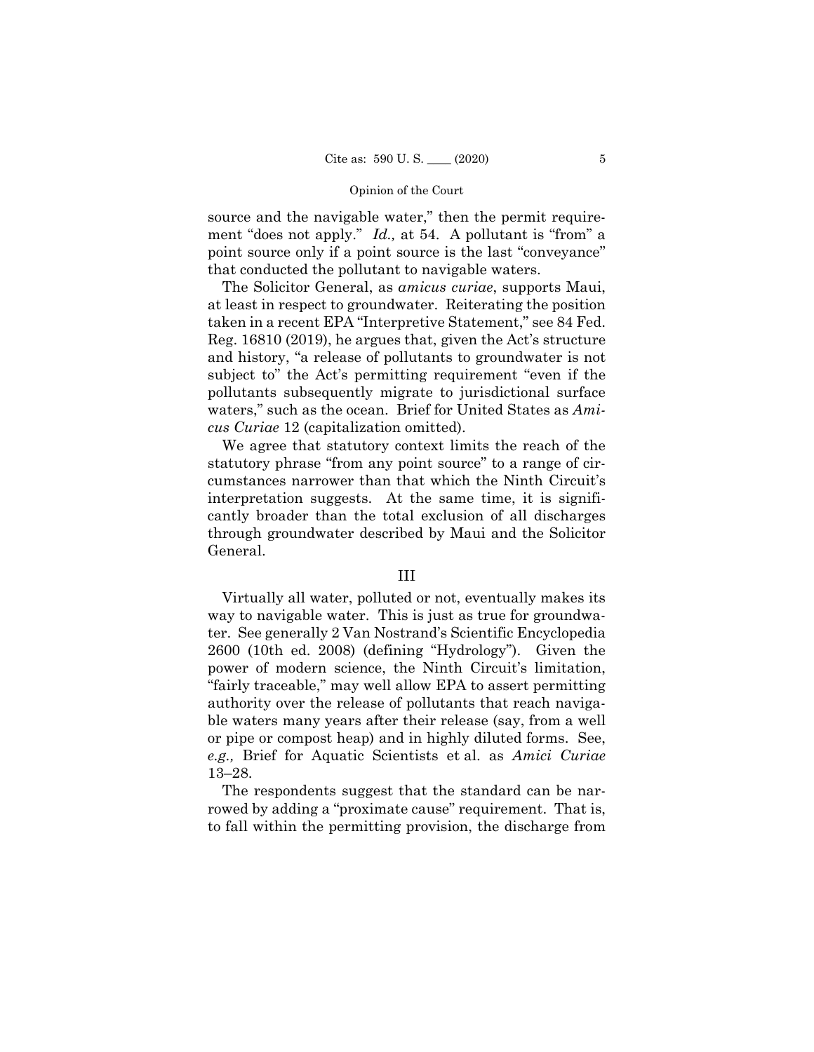source and the navigable water," then the permit requirement "does not apply." *Id.,* at 54. A pollutant is "from" a point source only if a point source is the last "conveyance" that conducted the pollutant to navigable waters.

The Solicitor General, as *amicus curiae*, supports Maui, at least in respect to groundwater. Reiterating the position taken in a recent EPA "Interpretive Statement," see 84 Fed. Reg. 16810 (2019), he argues that, given the Act's structure and history, "a release of pollutants to groundwater is not subject to" the Act's permitting requirement "even if the pollutants subsequently migrate to jurisdictional surface waters," such as the ocean. Brief for United States as *Amicus Curiae* 12 (capitalization omitted).

We agree that statutory context limits the reach of the statutory phrase "from any point source" to a range of circumstances narrower than that which the Ninth Circuit's interpretation suggests. At the same time, it is significantly broader than the total exclusion of all discharges through groundwater described by Maui and the Solicitor General.

#### III

Virtually all water, polluted or not, eventually makes its way to navigable water. This is just as true for groundwater. See generally 2 Van Nostrand's Scientific Encyclopedia 2600 (10th ed. 2008) (defining "Hydrology"). Given the power of modern science, the Ninth Circuit's limitation, "fairly traceable," may well allow EPA to assert permitting authority over the release of pollutants that reach navigable waters many years after their release (say, from a well or pipe or compost heap) and in highly diluted forms. See, *e.g.,* Brief for Aquatic Scientists et al. as *Amici Curiae*  13–28.

The respondents suggest that the standard can be narrowed by adding a "proximate cause" requirement. That is, to fall within the permitting provision, the discharge from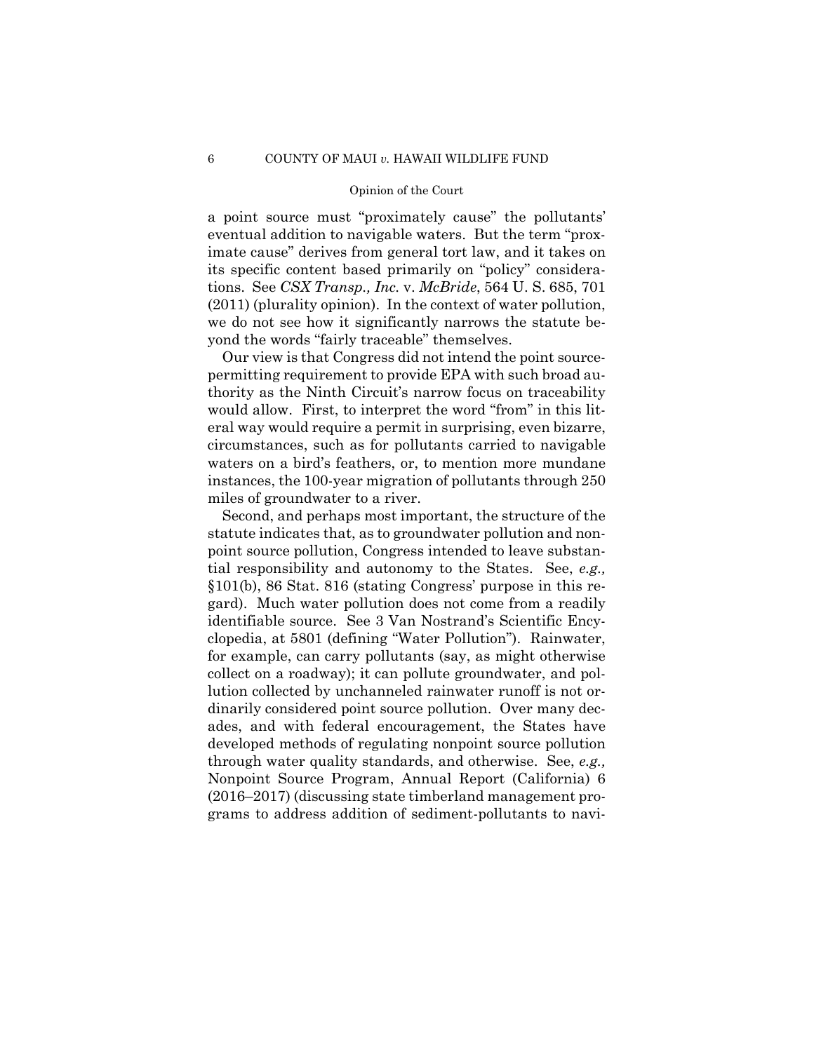a point source must "proximately cause" the pollutants' eventual addition to navigable waters. But the term "proximate cause" derives from general tort law, and it takes on its specific content based primarily on "policy" considerations. See *CSX Transp., Inc.* v. *McBride*, 564 U. S. 685, 701 (2011) (plurality opinion). In the context of water pollution, we do not see how it significantly narrows the statute beyond the words "fairly traceable" themselves.

Our view is that Congress did not intend the point sourcepermitting requirement to provide EPA with such broad authority as the Ninth Circuit's narrow focus on traceability would allow. First, to interpret the word "from" in this literal way would require a permit in surprising, even bizarre, circumstances, such as for pollutants carried to navigable waters on a bird's feathers, or, to mention more mundane instances, the 100-year migration of pollutants through 250 miles of groundwater to a river.

Second, and perhaps most important, the structure of the statute indicates that, as to groundwater pollution and nonpoint source pollution, Congress intended to leave substantial responsibility and autonomy to the States. See, *e.g.,* §101(b), 86 Stat. 816 (stating Congress' purpose in this regard). Much water pollution does not come from a readily identifiable source. See 3 Van Nostrand's Scientific Encyclopedia, at 5801 (defining "Water Pollution"). Rainwater, for example, can carry pollutants (say, as might otherwise collect on a roadway); it can pollute groundwater, and pollution collected by unchanneled rainwater runoff is not ordinarily considered point source pollution. Over many decades, and with federal encouragement, the States have developed methods of regulating nonpoint source pollution through water quality standards, and otherwise. See, *e.g.,* Nonpoint Source Program, Annual Report (California) 6 (2016–2017) (discussing state timberland management programs to address addition of sediment-pollutants to navi-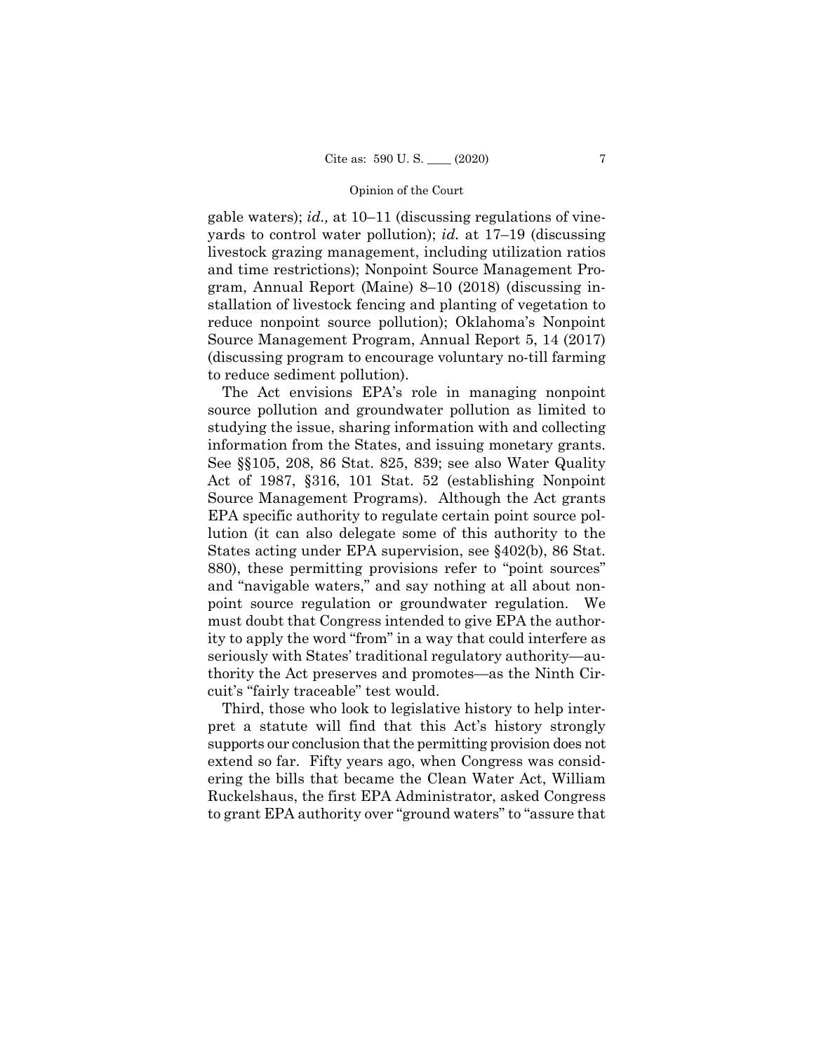gable waters); *id.,* at 10–11 (discussing regulations of vineyards to control water pollution); *id.* at 17–19 (discussing livestock grazing management, including utilization ratios and time restrictions); Nonpoint Source Management Program, Annual Report (Maine) 8–10 (2018) (discussing installation of livestock fencing and planting of vegetation to reduce nonpoint source pollution); Oklahoma's Nonpoint Source Management Program, Annual Report 5, 14 (2017) (discussing program to encourage voluntary no-till farming to reduce sediment pollution).

 source pollution and groundwater pollution as limited to information from the States, and issuing monetary grants. The Act envisions EPA's role in managing nonpoint studying the issue, sharing information with and collecting See §§105, 208, 86 Stat. 825, 839; see also Water Quality Act of 1987, §316, 101 Stat. 52 (establishing Nonpoint Source Management Programs). Although the Act grants EPA specific authority to regulate certain point source pollution (it can also delegate some of this authority to the States acting under EPA supervision, see §402(b), 86 Stat. 880), these permitting provisions refer to "point sources" and "navigable waters," and say nothing at all about nonpoint source regulation or groundwater regulation. We must doubt that Congress intended to give EPA the authority to apply the word "from" in a way that could interfere as seriously with States' traditional regulatory authority—authority the Act preserves and promotes—as the Ninth Circuit's "fairly traceable" test would.

Third, those who look to legislative history to help interpret a statute will find that this Act's history strongly supports our conclusion that the permitting provision does not extend so far. Fifty years ago, when Congress was considering the bills that became the Clean Water Act, William Ruckelshaus, the first EPA Administrator, asked Congress to grant EPA authority over "ground waters" to "assure that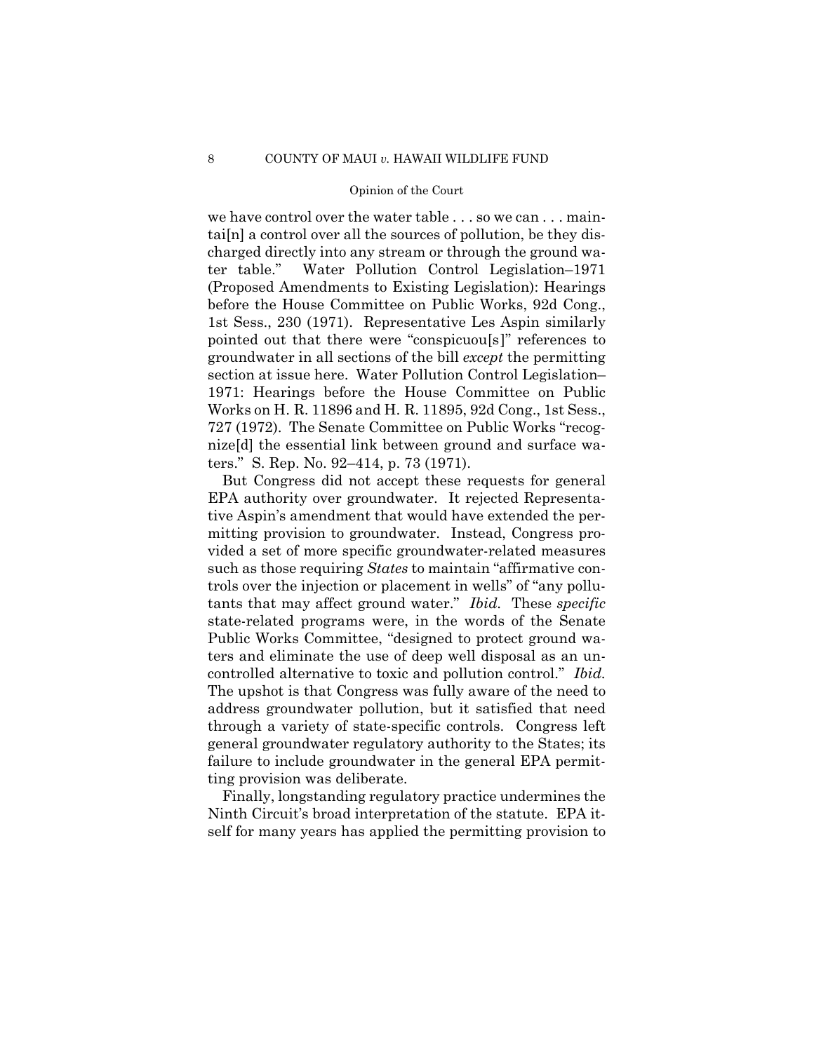we have control over the water table . . . so we can . . . maintai[n] a control over all the sources of pollution, be they discharged directly into any stream or through the ground water table." Water Pollution Control Legislation–1971 (Proposed Amendments to Existing Legislation): Hearings before the House Committee on Public Works, 92d Cong., 1st Sess., 230 (1971). Representative Les Aspin similarly pointed out that there were "conspicuou[s]" references to groundwater in all sections of the bill *except* the permitting section at issue here. Water Pollution Control Legislation– 1971: Hearings before the House Committee on Public Works on H. R. 11896 and H. R. 11895, 92d Cong., 1st Sess., 727 (1972). The Senate Committee on Public Works "recognize[d] the essential link between ground and surface waters." S. Rep. No. 92–414, p. 73 (1971).

 tants that may affect ground water." *Ibid.* These *specific* controlled alternative to toxic and pollution control." *Ibid.* But Congress did not accept these requests for general EPA authority over groundwater. It rejected Representative Aspin's amendment that would have extended the permitting provision to groundwater. Instead, Congress provided a set of more specific groundwater-related measures such as those requiring *States* to maintain "affirmative controls over the injection or placement in wells" of "any pollustate-related programs were, in the words of the Senate Public Works Committee, "designed to protect ground waters and eliminate the use of deep well disposal as an un-The upshot is that Congress was fully aware of the need to address groundwater pollution, but it satisfied that need through a variety of state-specific controls. Congress left general groundwater regulatory authority to the States; its failure to include groundwater in the general EPA permitting provision was deliberate.

Finally, longstanding regulatory practice undermines the Ninth Circuit's broad interpretation of the statute. EPA itself for many years has applied the permitting provision to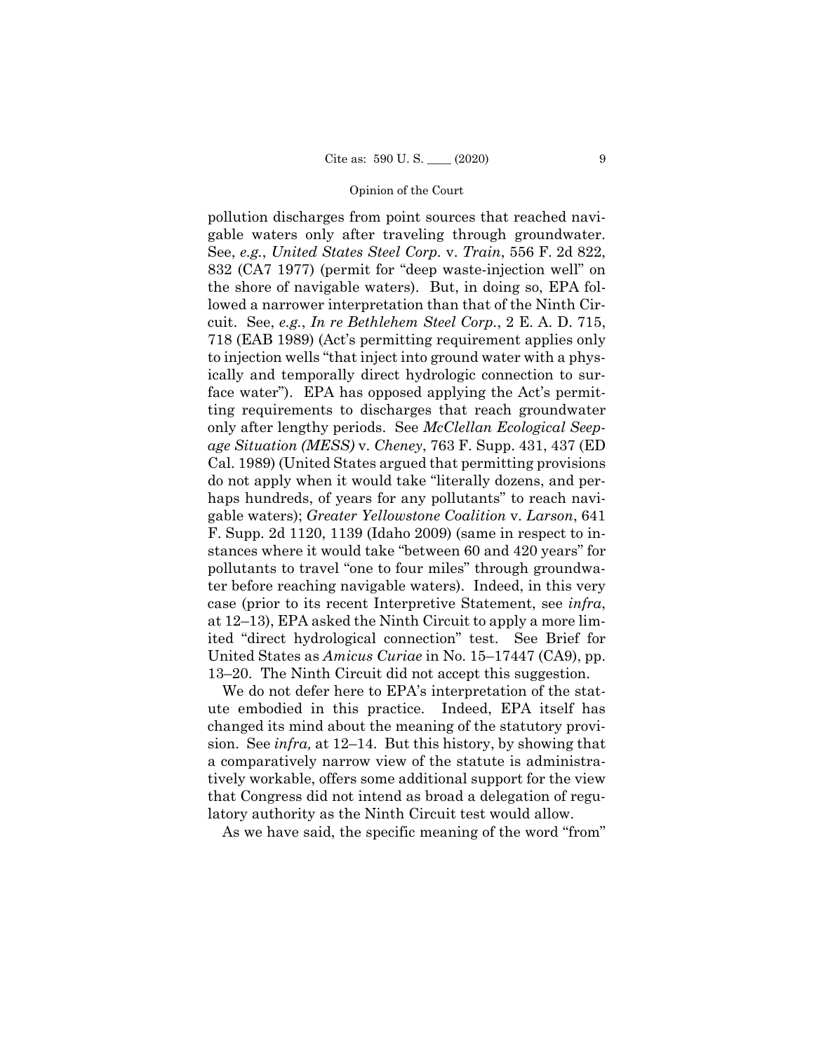pollution discharges from point sources that reached navigable waters only after traveling through groundwater. See, *e.g.*, *United States Steel Corp.* v. *Train*, 556 F. 2d 822, 832 (CA7 1977) (permit for "deep waste-injection well" on the shore of navigable waters). But, in doing so, EPA followed a narrower interpretation than that of the Ninth Circuit. See, *e.g.*, *In re Bethlehem Steel Corp.*, 2 E. A. D. 715, 718 (EAB 1989) (Act's permitting requirement applies only to injection wells "that inject into ground water with a physically and temporally direct hydrologic connection to surface water"). EPA has opposed applying the Act's permitting requirements to discharges that reach groundwater only after lengthy periods. See *McClellan Ecological Seepage Situation (MESS)* v. *Cheney*, 763 F. Supp. 431, 437 (ED Cal. 1989) (United States argued that permitting provisions do not apply when it would take "literally dozens, and perhaps hundreds, of years for any pollutants" to reach navigable waters); *Greater Yellowstone Coalition* v. *Larson*, 641 F. Supp. 2d 1120, 1139 (Idaho 2009) (same in respect to instances where it would take "between 60 and 420 years" for pollutants to travel "one to four miles" through groundwater before reaching navigable waters). Indeed, in this very case (prior to its recent Interpretive Statement, see *infra*, at 12–13), EPA asked the Ninth Circuit to apply a more limited "direct hydrological connection" test. See Brief for United States as *Amicus Curiae* in No. 15–17447 (CA9), pp. 13–20. The Ninth Circuit did not accept this suggestion.

We do not defer here to EPA's interpretation of the statute embodied in this practice. Indeed, EPA itself has changed its mind about the meaning of the statutory provision. See *infra,* at 12–14. But this history, by showing that a comparatively narrow view of the statute is administratively workable, offers some additional support for the view that Congress did not intend as broad a delegation of regulatory authority as the Ninth Circuit test would allow.

As we have said, the specific meaning of the word "from"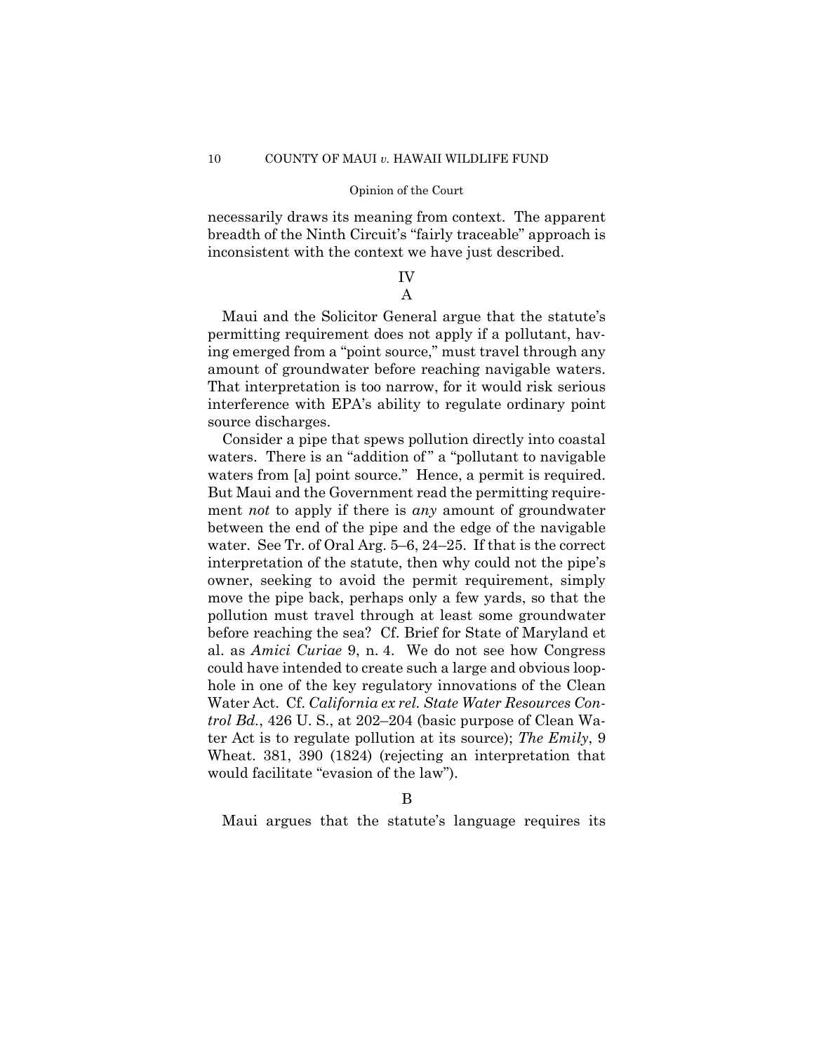necessarily draws its meaning from context. The apparent breadth of the Ninth Circuit's "fairly traceable" approach is inconsistent with the context we have just described.

## IV A

 amount of groundwater before reaching navigable waters. Maui and the Solicitor General argue that the statute's permitting requirement does not apply if a pollutant, having emerged from a "point source," must travel through any That interpretation is too narrow, for it would risk serious interference with EPA's ability to regulate ordinary point source discharges.

 waters from [a] point source." Hence, a permit is required. Consider a pipe that spews pollution directly into coastal waters. There is an "addition of" a "pollutant to navigable But Maui and the Government read the permitting requirement *not* to apply if there is *any* amount of groundwater between the end of the pipe and the edge of the navigable water. See Tr. of Oral Arg. 5–6, 24–25. If that is the correct interpretation of the statute, then why could not the pipe's owner, seeking to avoid the permit requirement, simply move the pipe back, perhaps only a few yards, so that the pollution must travel through at least some groundwater before reaching the sea? Cf. Brief for State of Maryland et al. as *Amici Curiae* 9, n. 4. We do not see how Congress could have intended to create such a large and obvious loophole in one of the key regulatory innovations of the Clean Water Act. Cf. *California ex rel. State Water Resources Control Bd.*, 426 U. S., at 202–204 (basic purpose of Clean Water Act is to regulate pollution at its source); *The Emily*, 9 Wheat. 381, 390 (1824) (rejecting an interpretation that would facilitate "evasion of the law").

Maui argues that the statute's language requires its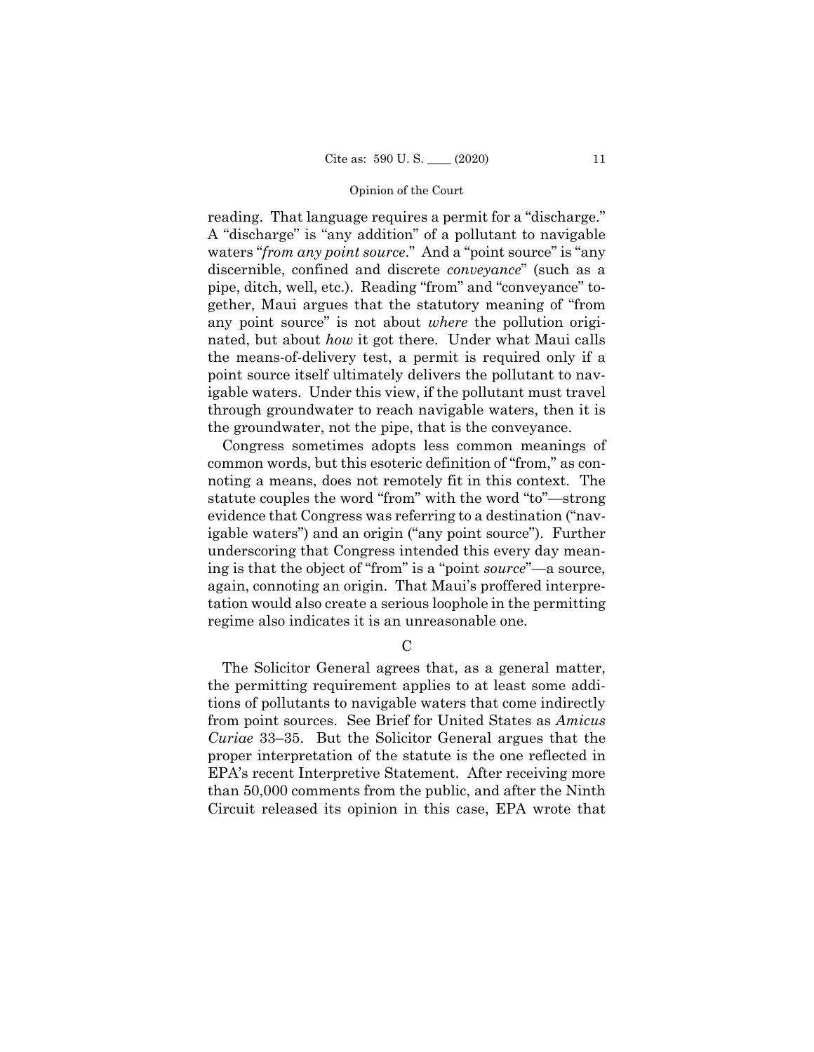reading. That language requires a permit for a "discharge." A "discharge" is "any addition" of a pollutant to navigable waters "*from any point source*." And a "point source" is "any discernible, confined and discrete *conveyance*" (such as a pipe, ditch, well, etc.). Reading "from" and "conveyance" together, Maui argues that the statutory meaning of "from any point source" is not about *where* the pollution originated, but about *how* it got there. Under what Maui calls the means-of-delivery test, a permit is required only if a point source itself ultimately delivers the pollutant to navigable waters. Under this view, if the pollutant must travel through groundwater to reach navigable waters, then it is the groundwater, not the pipe, that is the conveyance.

Congress sometimes adopts less common meanings of common words, but this esoteric definition of "from," as connoting a means, does not remotely fit in this context. The statute couples the word "from" with the word "to"—strong evidence that Congress was referring to a destination ("navigable waters") and an origin ("any point source"). Further underscoring that Congress intended this every day meaning is that the object of "from" is a "point *source*"—a source, again, connoting an origin. That Maui's proffered interpretation would also create a serious loophole in the permitting regime also indicates it is an unreasonable one.

 $\mathcal{C}$ 

The Solicitor General agrees that, as a general matter, the permitting requirement applies to at least some additions of pollutants to navigable waters that come indirectly from point sources. See Brief for United States as *Amicus Curiae* 33–35. But the Solicitor General argues that the proper interpretation of the statute is the one reflected in EPA's recent Interpretive Statement. After receiving more than 50,000 comments from the public, and after the Ninth Circuit released its opinion in this case, EPA wrote that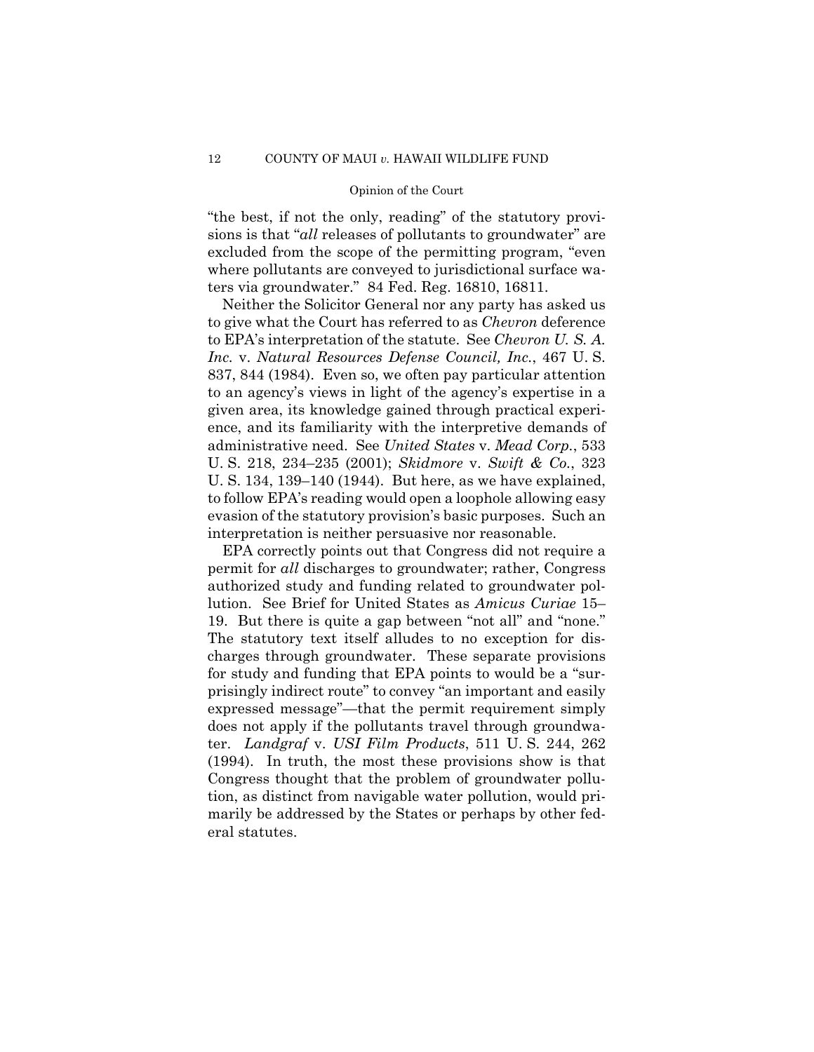"the best, if not the only, reading" of the statutory provisions is that "*all* releases of pollutants to groundwater" are excluded from the scope of the permitting program, "even where pollutants are conveyed to jurisdictional surface waters via groundwater." 84 Fed. Reg. 16810, 16811.

Neither the Solicitor General nor any party has asked us to give what the Court has referred to as *Chevron* deference to EPA's interpretation of the statute. See *Chevron U. S. A. Inc.* v. *Natural Resources Defense Council, Inc.*, 467 U. S. 837, 844 (1984). Even so, we often pay particular attention to an agency's views in light of the agency's expertise in a given area, its knowledge gained through practical experience, and its familiarity with the interpretive demands of administrative need. See *United States* v. *Mead Corp.*, 533 U. S. 218, 234–235 (2001); *Skidmore* v. *Swift & Co.*, 323 U. S. 134, 139–140 (1944). But here, as we have explained, to follow EPA's reading would open a loophole allowing easy evasion of the statutory provision's basic purposes. Such an interpretation is neither persuasive nor reasonable.

EPA correctly points out that Congress did not require a permit for *all* discharges to groundwater; rather, Congress authorized study and funding related to groundwater pollution. See Brief for United States as *Amicus Curiae* 15– 19. But there is quite a gap between "not all" and "none." The statutory text itself alludes to no exception for discharges through groundwater. These separate provisions for study and funding that EPA points to would be a "surprisingly indirect route" to convey "an important and easily expressed message"—that the permit requirement simply does not apply if the pollutants travel through groundwater. *Landgraf* v. *USI Film Products*, 511 U. S. 244, 262 (1994). In truth, the most these provisions show is that Congress thought that the problem of groundwater pollution, as distinct from navigable water pollution, would primarily be addressed by the States or perhaps by other federal statutes.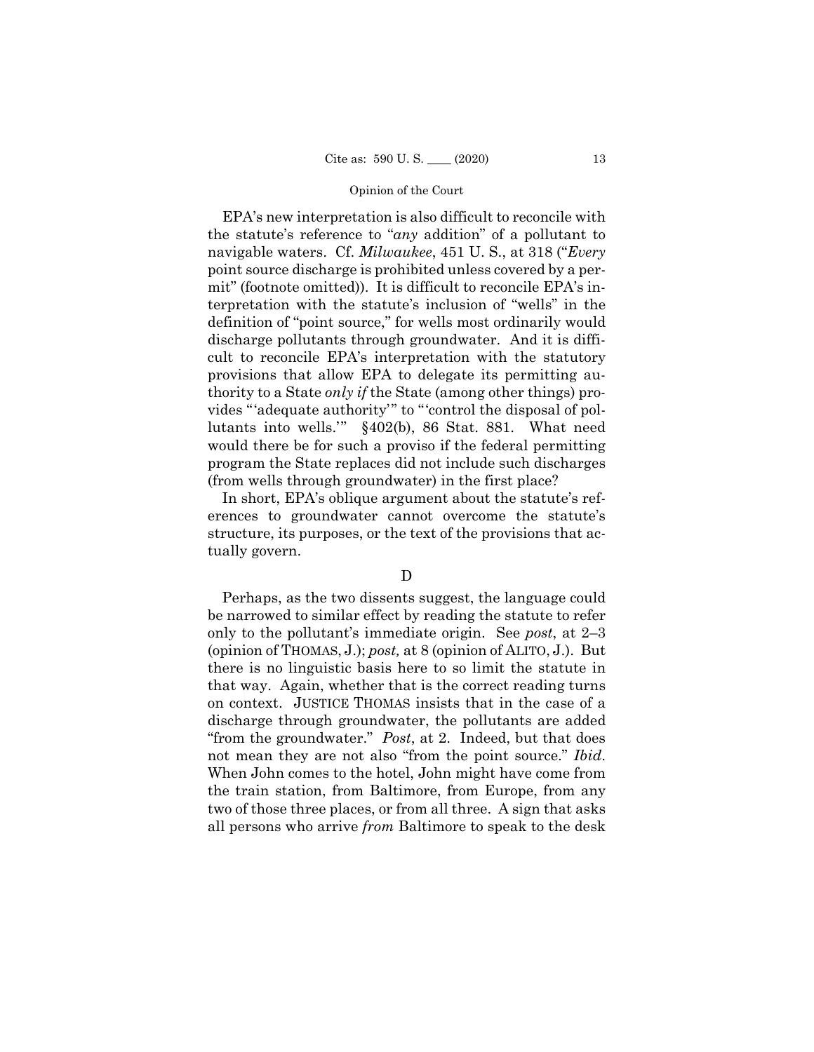vides "'adequate authority'" to "'control the disposal of pol-EPA's new interpretation is also difficult to reconcile with the statute's reference to "*any* addition" of a pollutant to navigable waters. Cf. *Milwaukee*, 451 U. S., at 318 ("*Every* point source discharge is prohibited unless covered by a permit" (footnote omitted)). It is difficult to reconcile EPA's interpretation with the statute's inclusion of "wells" in the definition of "point source," for wells most ordinarily would discharge pollutants through groundwater. And it is difficult to reconcile EPA's interpretation with the statutory provisions that allow EPA to delegate its permitting authority to a State *only if* the State (among other things) prolutants into wells.'" §402(b), 86 Stat. 881. What need would there be for such a proviso if the federal permitting program the State replaces did not include such discharges (from wells through groundwater) in the first place?

In short, EPA's oblique argument about the statute's references to groundwater cannot overcome the statute's structure, its purposes, or the text of the provisions that actually govern.

#### D

Perhaps, as the two dissents suggest, the language could be narrowed to similar effect by reading the statute to refer only to the pollutant's immediate origin. See *post*, at 2–3 (opinion of THOMAS, J.); *post,* at 8 (opinion of ALITO, J.). But there is no linguistic basis here to so limit the statute in that way. Again, whether that is the correct reading turns on context. JUSTICE THOMAS insists that in the case of a discharge through groundwater, the pollutants are added "from the groundwater." *Post*, at 2. Indeed, but that does not mean they are not also "from the point source." *Ibid*. When John comes to the hotel, John might have come from the train station, from Baltimore, from Europe, from any two of those three places, or from all three. A sign that asks all persons who arrive *from* Baltimore to speak to the desk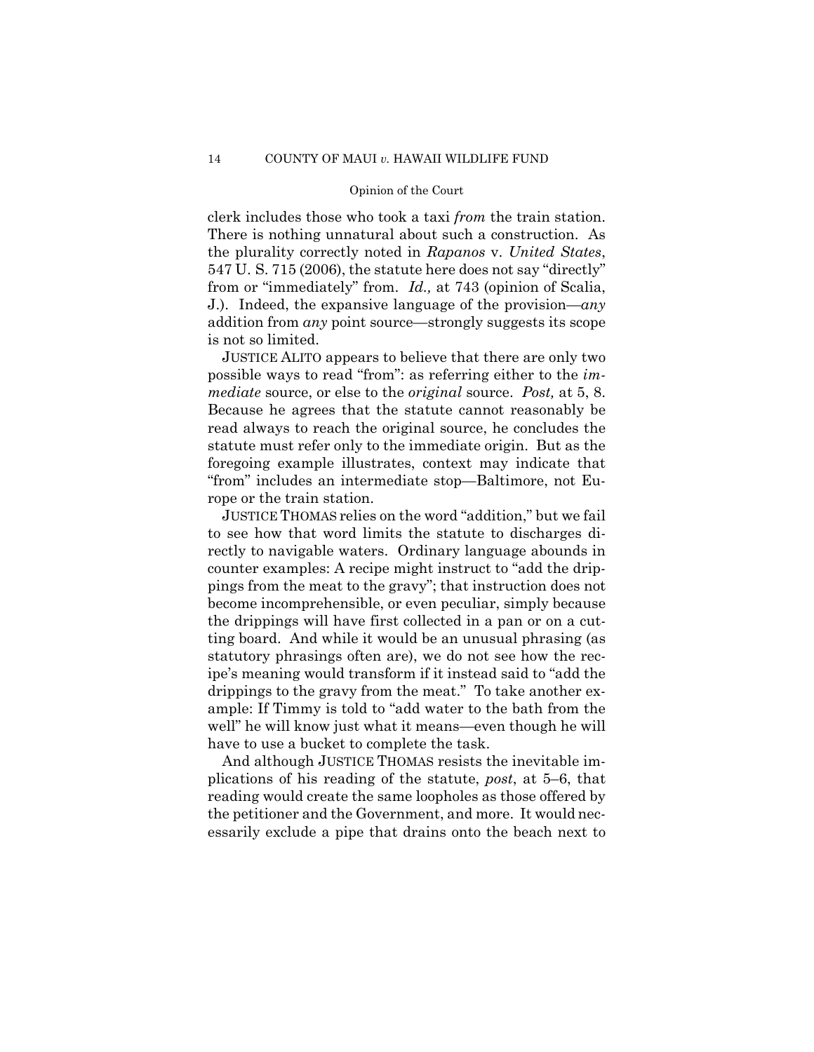clerk includes those who took a taxi *from* the train station. There is nothing unnatural about such a construction. As the plurality correctly noted in *Rapanos* v. *United States*, 547 U. S. 715 (2006), the statute here does not say "directly" from or "immediately" from. *Id.,* at 743 (opinion of Scalia, J.). Indeed, the expansive language of the provision—*any* addition from *any* point source—strongly suggests its scope is not so limited.

JUSTICE ALITO appears to believe that there are only two possible ways to read "from": as referring either to the *immediate* source, or else to the *original* source. *Post,* at 5, 8. Because he agrees that the statute cannot reasonably be read always to reach the original source, he concludes the statute must refer only to the immediate origin. But as the foregoing example illustrates, context may indicate that "from" includes an intermediate stop—Baltimore, not Europe or the train station.

JUSTICE THOMAS relies on the word "addition," but we fail to see how that word limits the statute to discharges directly to navigable waters. Ordinary language abounds in counter examples: A recipe might instruct to "add the drippings from the meat to the gravy"; that instruction does not become incomprehensible, or even peculiar, simply because the drippings will have first collected in a pan or on a cutting board. And while it would be an unusual phrasing (as statutory phrasings often are), we do not see how the recipe's meaning would transform if it instead said to "add the drippings to the gravy from the meat." To take another example: If Timmy is told to "add water to the bath from the well" he will know just what it means—even though he will have to use a bucket to complete the task.

And although JUSTICE THOMAS resists the inevitable implications of his reading of the statute, *post*, at 5–6, that reading would create the same loopholes as those offered by the petitioner and the Government, and more. It would necessarily exclude a pipe that drains onto the beach next to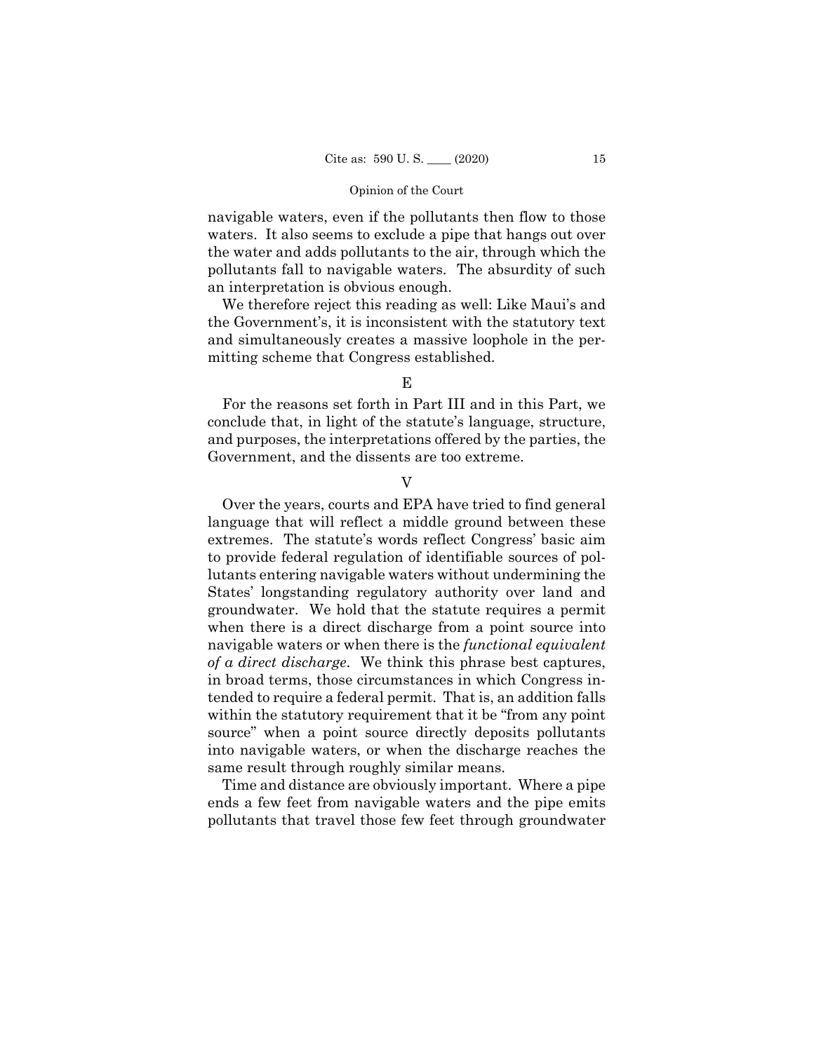navigable waters, even if the pollutants then flow to those waters. It also seems to exclude a pipe that hangs out over the water and adds pollutants to the air, through which the pollutants fall to navigable waters. The absurdity of such an interpretation is obvious enough.

We therefore reject this reading as well: Like Maui's and the Government's, it is inconsistent with the statutory text and simultaneously creates a massive loophole in the permitting scheme that Congress established.

## E

For the reasons set forth in Part III and in this Part, we conclude that, in light of the statute's language, structure, and purposes, the interpretations offered by the parties, the Government, and the dissents are too extreme.

## V

Over the years, courts and EPA have tried to find general language that will reflect a middle ground between these extremes. The statute's words reflect Congress' basic aim to provide federal regulation of identifiable sources of pollutants entering navigable waters without undermining the States' longstanding regulatory authority over land and groundwater. We hold that the statute requires a permit when there is a direct discharge from a point source into navigable waters or when there is the *functional equivalent of a direct discharge*. We think this phrase best captures, in broad terms, those circumstances in which Congress intended to require a federal permit. That is, an addition falls within the statutory requirement that it be "from any point source" when a point source directly deposits pollutants into navigable waters, or when the discharge reaches the same result through roughly similar means.

Time and distance are obviously important. Where a pipe ends a few feet from navigable waters and the pipe emits pollutants that travel those few feet through groundwater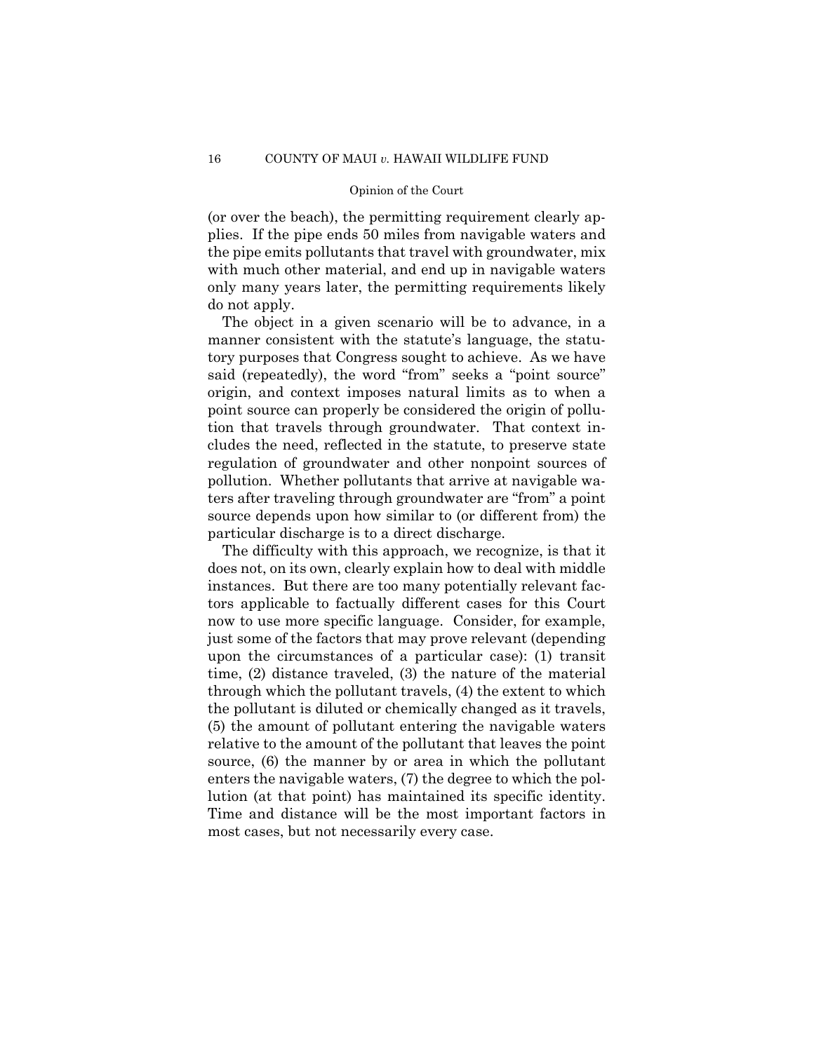(or over the beach), the permitting requirement clearly applies. If the pipe ends 50 miles from navigable waters and the pipe emits pollutants that travel with groundwater, mix with much other material, and end up in navigable waters only many years later, the permitting requirements likely do not apply.

The object in a given scenario will be to advance, in a manner consistent with the statute's language, the statutory purposes that Congress sought to achieve. As we have said (repeatedly), the word "from" seeks a "point source" origin, and context imposes natural limits as to when a point source can properly be considered the origin of pollution that travels through groundwater. That context includes the need, reflected in the statute, to preserve state regulation of groundwater and other nonpoint sources of pollution. Whether pollutants that arrive at navigable waters after traveling through groundwater are "from" a point source depends upon how similar to (or different from) the particular discharge is to a direct discharge.

The difficulty with this approach, we recognize, is that it does not, on its own, clearly explain how to deal with middle instances. But there are too many potentially relevant factors applicable to factually different cases for this Court now to use more specific language. Consider, for example, just some of the factors that may prove relevant (depending upon the circumstances of a particular case): (1) transit time, (2) distance traveled, (3) the nature of the material through which the pollutant travels, (4) the extent to which the pollutant is diluted or chemically changed as it travels, (5) the amount of pollutant entering the navigable waters relative to the amount of the pollutant that leaves the point source, (6) the manner by or area in which the pollutant enters the navigable waters, (7) the degree to which the pollution (at that point) has maintained its specific identity. Time and distance will be the most important factors in most cases, but not necessarily every case.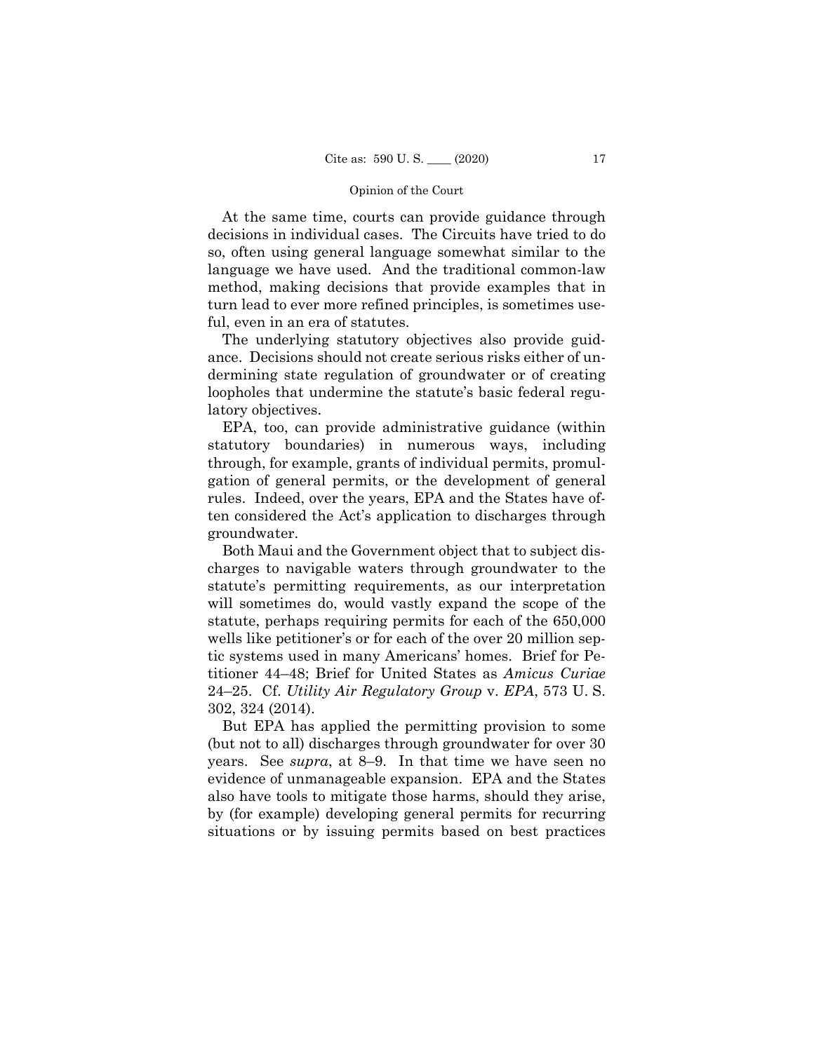At the same time, courts can provide guidance through decisions in individual cases. The Circuits have tried to do so, often using general language somewhat similar to the language we have used. And the traditional common-law method, making decisions that provide examples that in turn lead to ever more refined principles, is sometimes useful, even in an era of statutes.

The underlying statutory objectives also provide guidance. Decisions should not create serious risks either of undermining state regulation of groundwater or of creating loopholes that undermine the statute's basic federal regulatory objectives.

EPA, too, can provide administrative guidance (within statutory boundaries) in numerous ways, including through, for example, grants of individual permits, promulgation of general permits, or the development of general rules. Indeed, over the years, EPA and the States have often considered the Act's application to discharges through groundwater.

Both Maui and the Government object that to subject discharges to navigable waters through groundwater to the statute's permitting requirements, as our interpretation will sometimes do, would vastly expand the scope of the statute, perhaps requiring permits for each of the 650,000 wells like petitioner's or for each of the over 20 million septic systems used in many Americans' homes. Brief for Petitioner 44–48; Brief for United States as *Amicus Curiae*  24–25. Cf. *Utility Air Regulatory Group* v. *EPA*, 573 U. S. 302, 324 (2014).

But EPA has applied the permitting provision to some (but not to all) discharges through groundwater for over 30 years. See *supra*, at 8–9. In that time we have seen no evidence of unmanageable expansion. EPA and the States also have tools to mitigate those harms, should they arise, by (for example) developing general permits for recurring situations or by issuing permits based on best practices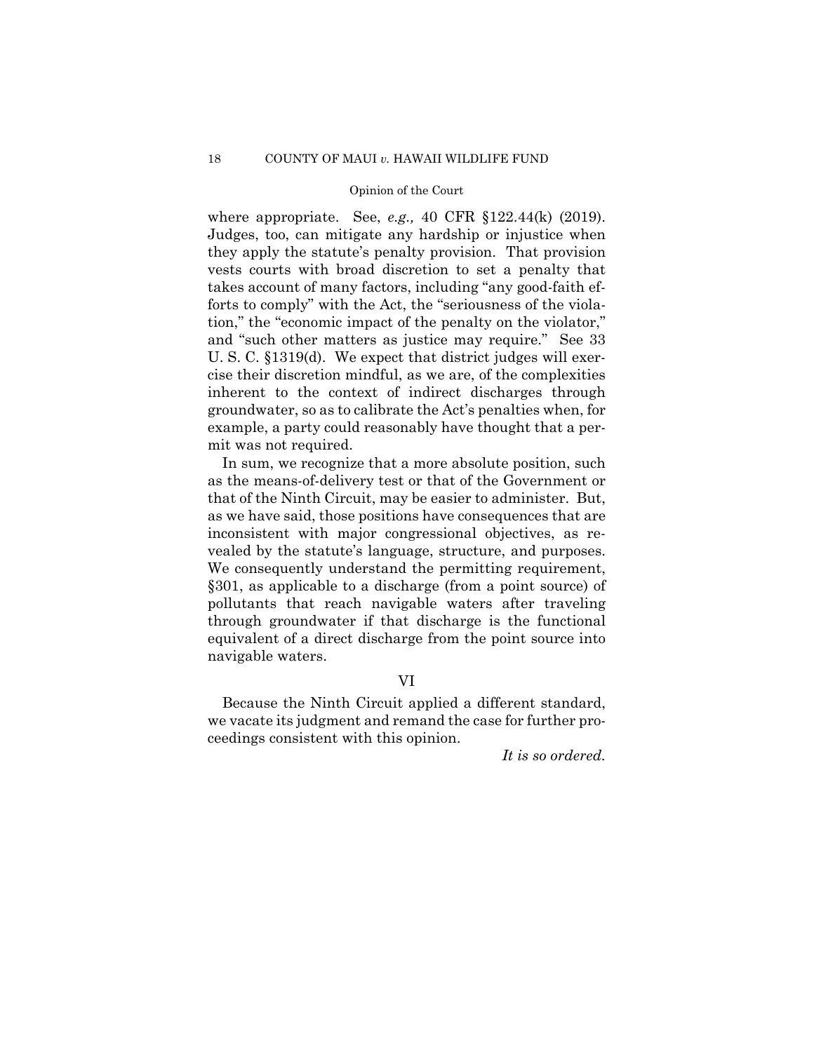where appropriate. See, *e.g.,* 40 CFR §122.44(k) (2019). Judges, too, can mitigate any hardship or injustice when they apply the statute's penalty provision. That provision vests courts with broad discretion to set a penalty that takes account of many factors, including "any good-faith efforts to comply" with the Act, the "seriousness of the violation," the "economic impact of the penalty on the violator," and "such other matters as justice may require." See 33 U. S. C. §1319(d). We expect that district judges will exercise their discretion mindful, as we are, of the complexities inherent to the context of indirect discharges through groundwater, so as to calibrate the Act's penalties when, for example, a party could reasonably have thought that a permit was not required.

In sum, we recognize that a more absolute position, such as the means-of-delivery test or that of the Government or that of the Ninth Circuit, may be easier to administer. But, as we have said, those positions have consequences that are inconsistent with major congressional objectives, as revealed by the statute's language, structure, and purposes. We consequently understand the permitting requirement, §301, as applicable to a discharge (from a point source) of pollutants that reach navigable waters after traveling through groundwater if that discharge is the functional equivalent of a direct discharge from the point source into navigable waters.

## VI

Because the Ninth Circuit applied a different standard, we vacate its judgment and remand the case for further proceedings consistent with this opinion.

*It is so ordered.*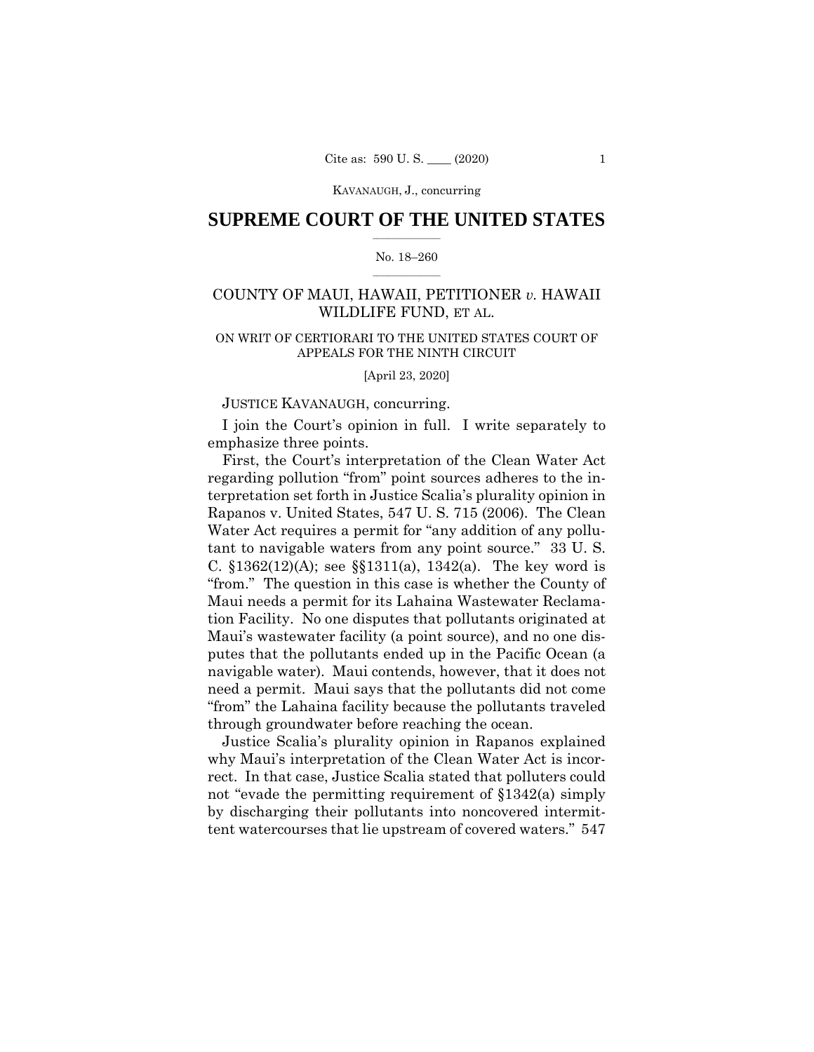KAVANAUGH, J., concurring

## $\frac{1}{2}$  ,  $\frac{1}{2}$  ,  $\frac{1}{2}$  ,  $\frac{1}{2}$  ,  $\frac{1}{2}$  ,  $\frac{1}{2}$  ,  $\frac{1}{2}$ **SUPREME COURT OF THE UNITED STATES**

#### $\frac{1}{2}$  ,  $\frac{1}{2}$  ,  $\frac{1}{2}$  ,  $\frac{1}{2}$  ,  $\frac{1}{2}$  ,  $\frac{1}{2}$ No. 18–260

## COUNTY OF MAUI, HAWAII, PETITIONER *v.* HAWAII WILDLIFE FUND, ET AL.

## ON WRIT OF CERTIORARI TO THE UNITED STATES COURT OF APPEALS FOR THE NINTH CIRCUIT

[April 23, 2020]

### JUSTICE KAVANAUGH, concurring.

I join the Court's opinion in full. I write separately to emphasize three points.

First, the Court's interpretation of the Clean Water Act regarding pollution "from" point sources adheres to the interpretation set forth in Justice Scalia's plurality opinion in Rapanos v. United States, 547 U. S. 715 (2006). The Clean Water Act requires a permit for "any addition of any pollutant to navigable waters from any point source." 33 U. S. C. §1362(12)(A); see §§1311(a), 1342(a). The key word is "from." The question in this case is whether the County of Maui needs a permit for its Lahaina Wastewater Reclamation Facility. No one disputes that pollutants originated at Maui's wastewater facility (a point source), and no one disputes that the pollutants ended up in the Pacific Ocean (a navigable water). Maui contends, however, that it does not need a permit. Maui says that the pollutants did not come "from" the Lahaina facility because the pollutants traveled through groundwater before reaching the ocean.

Justice Scalia's plurality opinion in Rapanos explained why Maui's interpretation of the Clean Water Act is incorrect. In that case, Justice Scalia stated that polluters could not "evade the permitting requirement of §1342(a) simply by discharging their pollutants into noncovered intermittent watercourses that lie upstream of covered waters." 547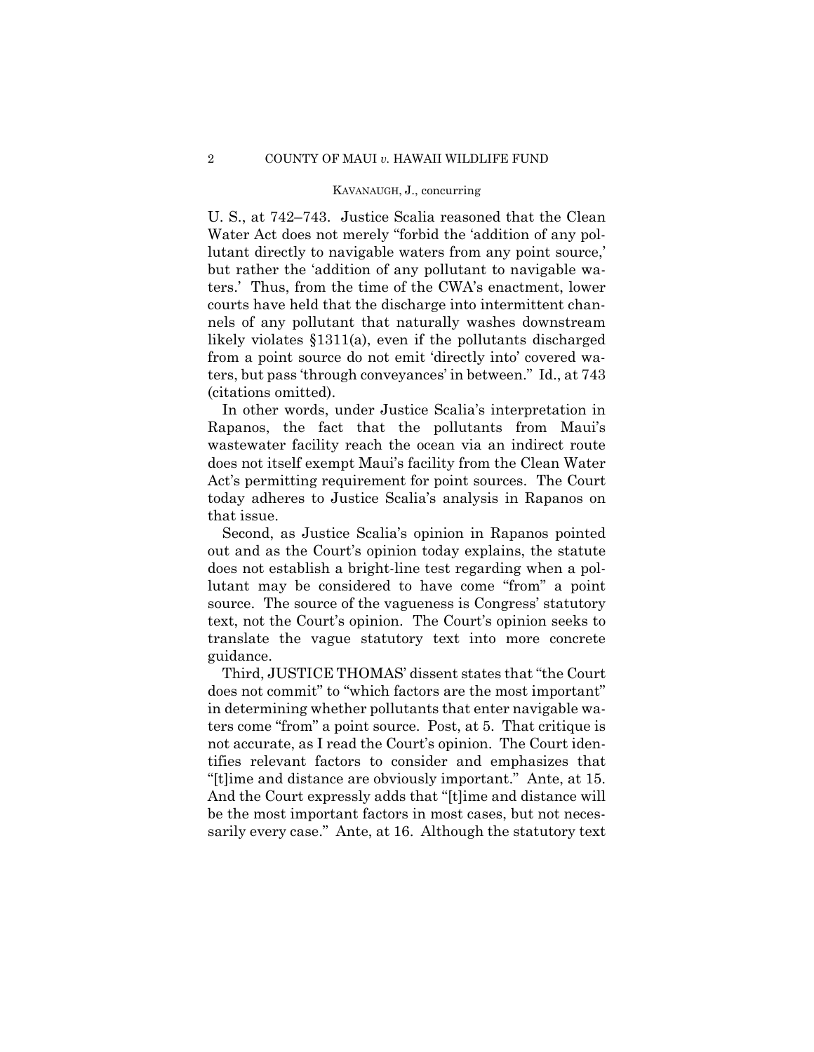#### KAVANAUGH, J., concurring

U. S., at 742–743. Justice Scalia reasoned that the Clean Water Act does not merely "forbid the 'addition of any pollutant directly to navigable waters from any point source,' but rather the 'addition of any pollutant to navigable waters.' Thus, from the time of the CWA's enactment, lower courts have held that the discharge into intermittent channels of any pollutant that naturally washes downstream likely violates §1311(a), even if the pollutants discharged from a point source do not emit 'directly into' covered waters, but pass 'through conveyances' in between." Id., at 743 (citations omitted).

In other words, under Justice Scalia's interpretation in Rapanos, the fact that the pollutants from Maui's wastewater facility reach the ocean via an indirect route does not itself exempt Maui's facility from the Clean Water Act's permitting requirement for point sources. The Court today adheres to Justice Scalia's analysis in Rapanos on that issue.

 translate the vague statutory text into more concrete Second, as Justice Scalia's opinion in Rapanos pointed out and as the Court's opinion today explains, the statute does not establish a bright-line test regarding when a pollutant may be considered to have come "from" a point source. The source of the vagueness is Congress' statutory text, not the Court's opinion. The Court's opinion seeks to guidance.

 sarily every case." Ante, at 16. Although the statutory text Third, JUSTICE THOMAS' dissent states that "the Court does not commit" to "which factors are the most important" in determining whether pollutants that enter navigable waters come "from" a point source. Post, at 5. That critique is not accurate, as I read the Court's opinion. The Court identifies relevant factors to consider and emphasizes that "[t]ime and distance are obviously important." Ante, at 15. And the Court expressly adds that "[t]ime and distance will be the most important factors in most cases, but not neces-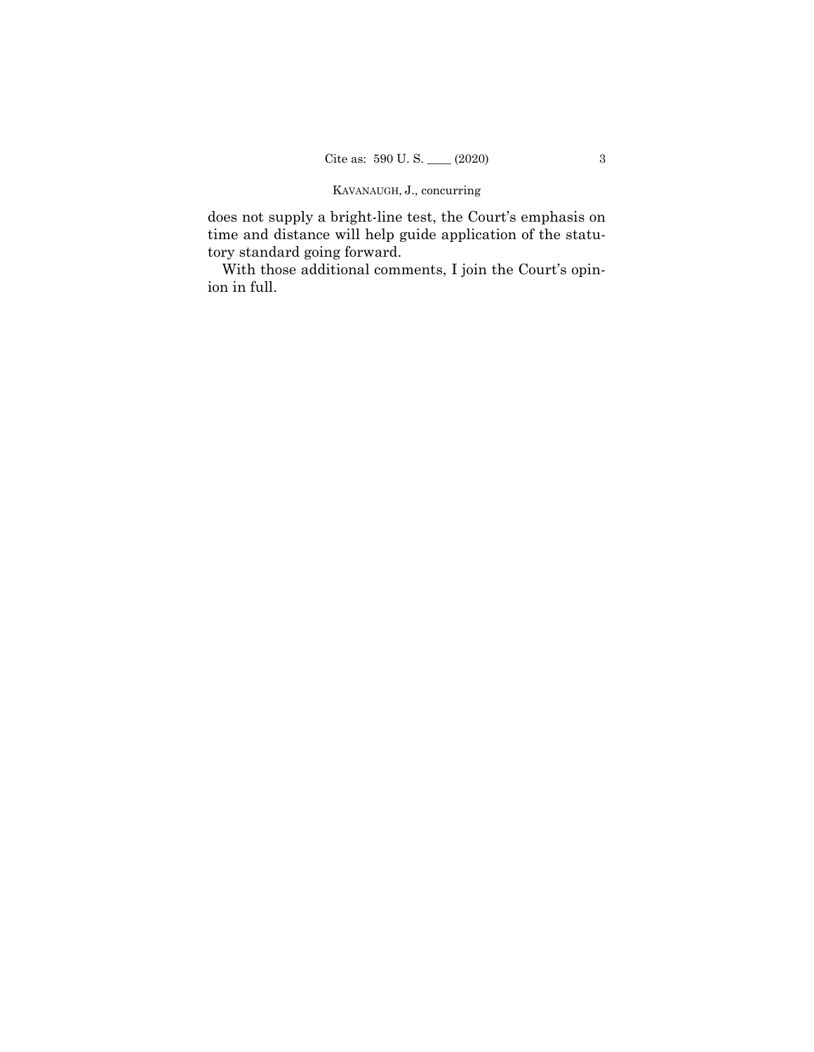## KAVANAUGH, J., concurring

does not supply a bright-line test, the Court's emphasis on time and distance will help guide application of the statutory standard going forward.

With those additional comments, I join the Court's opinion in full.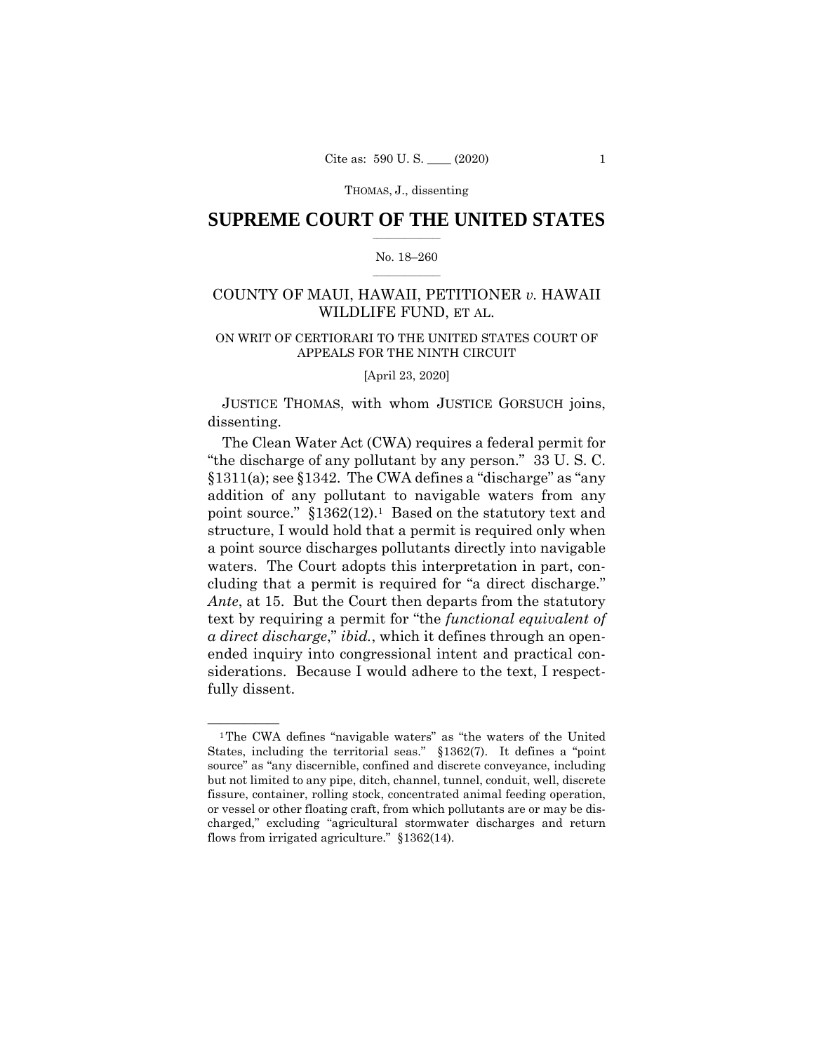### $\frac{1}{2}$  ,  $\frac{1}{2}$  ,  $\frac{1}{2}$  ,  $\frac{1}{2}$  ,  $\frac{1}{2}$  ,  $\frac{1}{2}$  ,  $\frac{1}{2}$ **SUPREME COURT OF THE UNITED STATES**

#### $\frac{1}{2}$  ,  $\frac{1}{2}$  ,  $\frac{1}{2}$  ,  $\frac{1}{2}$  ,  $\frac{1}{2}$  ,  $\frac{1}{2}$ No. 18–260

## COUNTY OF MAUI, HAWAII, PETITIONER *v.* HAWAII WILDLIFE FUND, ET AL.

## ON WRIT OF CERTIORARI TO THE UNITED STATES COURT OF APPEALS FOR THE NINTH CIRCUIT

[April 23, 2020]

JUSTICE THOMAS, with whom JUSTICE GORSUCH joins, dissenting.

 cluding that a permit is required for "a direct discharge." The Clean Water Act (CWA) requires a federal permit for "the discharge of any pollutant by any person." 33 U. S. C.  $§1311(a)$ ; see §1342. The CWA defines a "discharge" as "any addition of any pollutant to navigable waters from any point source."  $$1362(12).1$  Based on the statutory text and structure, I would hold that a permit is required only when a point source discharges pollutants directly into navigable waters. The Court adopts this interpretation in part, con-*Ante*, at 15. But the Court then departs from the statutory text by requiring a permit for "the *functional equivalent of a direct discharge*," *ibid.*, which it defines through an openended inquiry into congressional intent and practical considerations. Because I would adhere to the text, I respectfully dissent.

<sup>&</sup>lt;sup>1</sup>The CWA defines "navigable waters" as "the waters of the United States, including the territorial seas." §1362(7). It defines a "point source" as "any discernible, confined and discrete conveyance, including but not limited to any pipe, ditch, channel, tunnel, conduit, well, discrete fissure, container, rolling stock, concentrated animal feeding operation, or vessel or other floating craft, from which pollutants are or may be discharged," excluding "agricultural stormwater discharges and return flows from irrigated agriculture." §1362(14).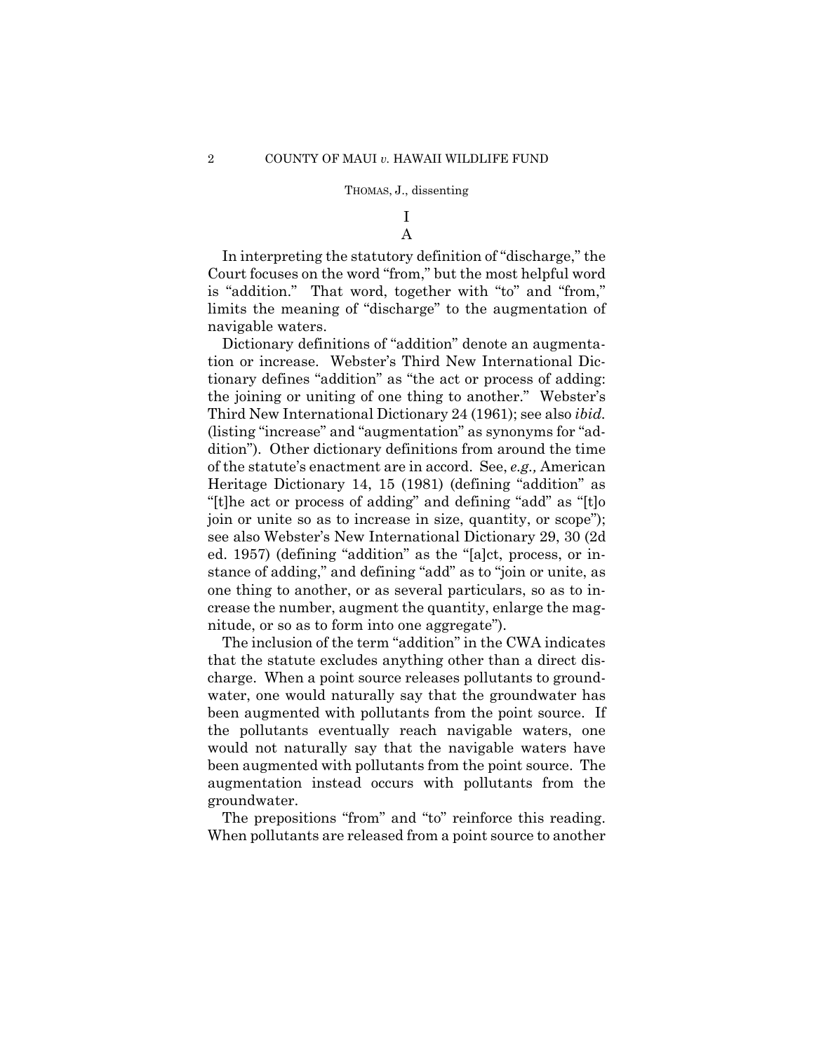## I A

In interpreting the statutory definition of "discharge," the Court focuses on the word "from," but the most helpful word is "addition." That word, together with "to" and "from," limits the meaning of "discharge" to the augmentation of navigable waters.

 Dictionary definitions of "addition" denote an augmentation or increase. Webster's Third New International Dictionary defines "addition" as "the act or process of adding: the joining or uniting of one thing to another." Webster's Third New International Dictionary 24 (1961); see also *ibid.*  (listing "increase" and "augmentation" as synonyms for "addition"). Other dictionary definitions from around the time of the statute's enactment are in accord. See, *e.g.,* American Heritage Dictionary 14, 15 (1981) (defining "addition" as "[t]he act or process of adding" and defining "add" as "[t]o join or unite so as to increase in size, quantity, or scope"); see also Webster's New International Dictionary 29, 30 (2d ed. 1957) (defining "addition" as the "[a]ct, process, or instance of adding," and defining "add" as to "join or unite, as one thing to another, or as several particulars, so as to increase the number, augment the quantity, enlarge the magnitude, or so as to form into one aggregate").

The inclusion of the term "addition" in the CWA indicates that the statute excludes anything other than a direct discharge. When a point source releases pollutants to groundwater, one would naturally say that the groundwater has been augmented with pollutants from the point source. If the pollutants eventually reach navigable waters, one would not naturally say that the navigable waters have been augmented with pollutants from the point source. The augmentation instead occurs with pollutants from the groundwater.

 The prepositions "from" and "to" reinforce this reading. When pollutants are released from a point source to another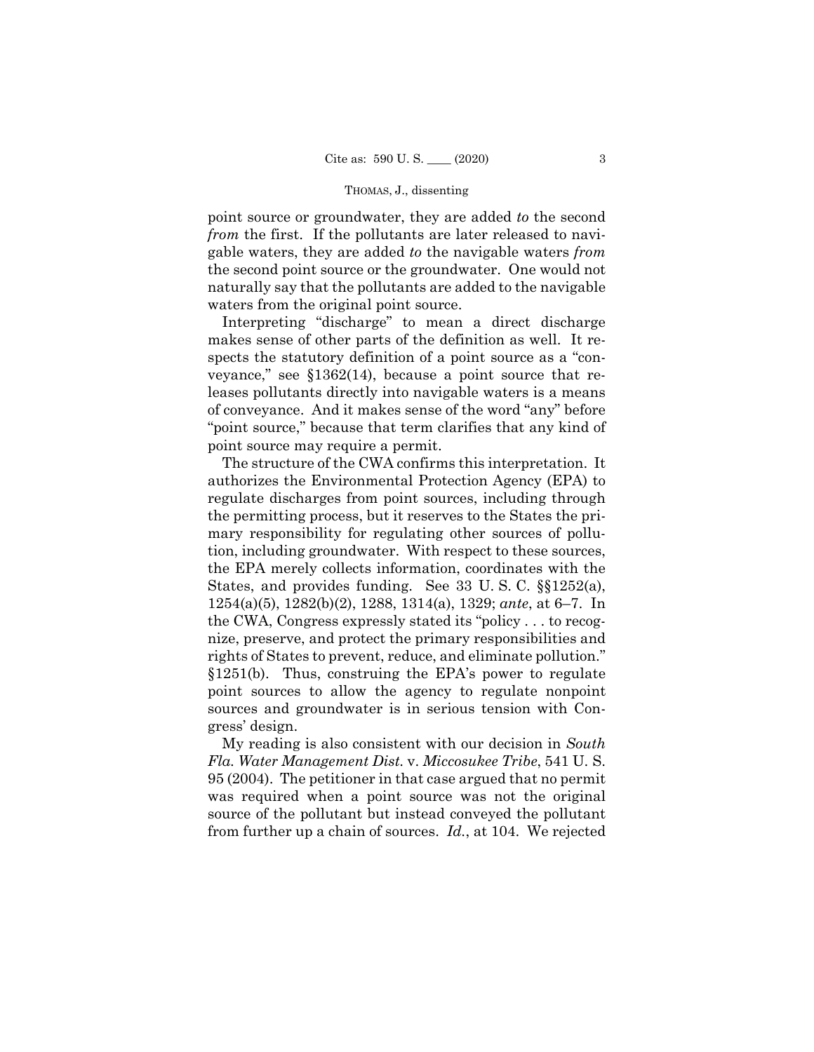point source or groundwater, they are added *to* the second *from* the first. If the pollutants are later released to navigable waters, they are added *to* the navigable waters *from*  the second point source or the groundwater. One would not naturally say that the pollutants are added to the navigable waters from the original point source.

Interpreting "discharge" to mean a direct discharge makes sense of other parts of the definition as well. It respects the statutory definition of a point source as a "conveyance," see §1362(14), because a point source that releases pollutants directly into navigable waters is a means of conveyance. And it makes sense of the word "any" before "point source," because that term clarifies that any kind of point source may require a permit.

The structure of the CWA confirms this interpretation. It authorizes the Environmental Protection Agency (EPA) to regulate discharges from point sources, including through the permitting process, but it reserves to the States the primary responsibility for regulating other sources of pollution, including groundwater. With respect to these sources, the EPA merely collects information, coordinates with the States, and provides funding. See 33 U. S. C. §§1252(a), 1254(a)(5), 1282(b)(2), 1288, 1314(a), 1329; *ante*, at 6–7. In the CWA, Congress expressly stated its "policy . . . to recognize, preserve, and protect the primary responsibilities and rights of States to prevent, reduce, and eliminate pollution." §1251(b). Thus, construing the EPA's power to regulate point sources to allow the agency to regulate nonpoint sources and groundwater is in serious tension with Congress' design.

My reading is also consistent with our decision in *South Fla. Water Management Dist.* v. *Miccosukee Tribe*, 541 U. S. 95 (2004). The petitioner in that case argued that no permit was required when a point source was not the original source of the pollutant but instead conveyed the pollutant from further up a chain of sources. *Id.*, at 104. We rejected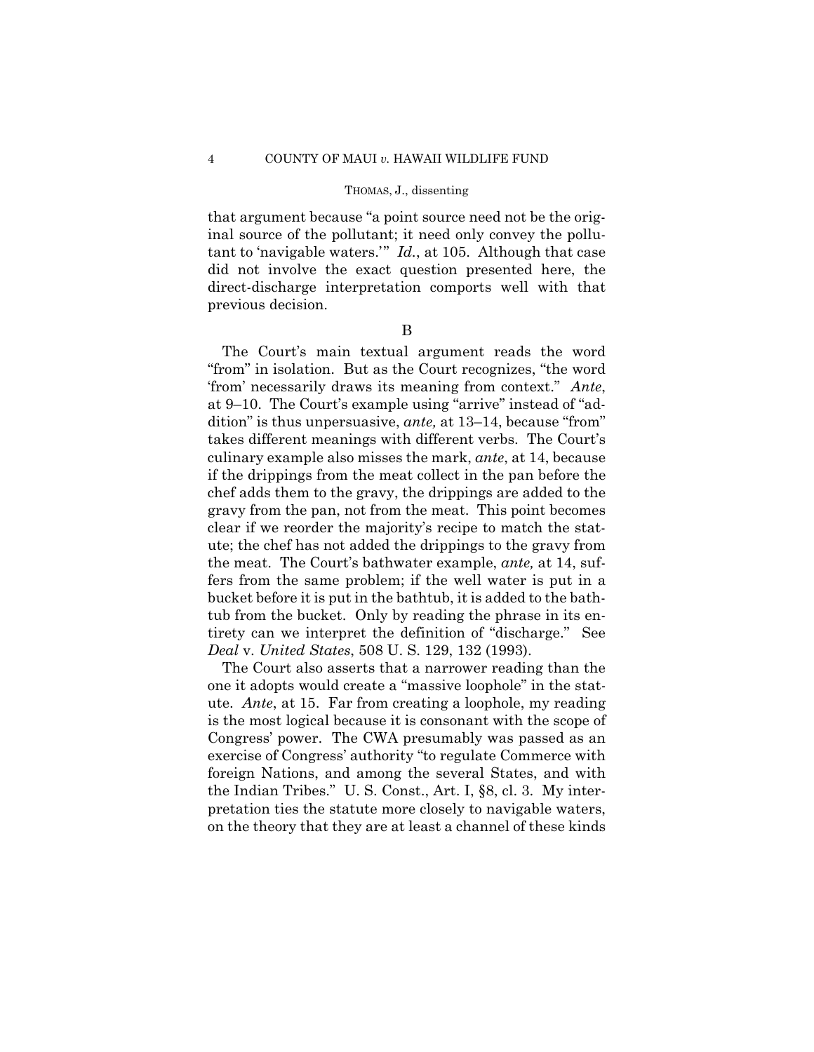that argument because "a point source need not be the original source of the pollutant; it need only convey the pollutant to 'navigable waters.'" *Id.*, at 105. Although that case did not involve the exact question presented here, the direct-discharge interpretation comports well with that previous decision.

### B

The Court's main textual argument reads the word "from" in isolation. But as the Court recognizes, "the word 'from' necessarily draws its meaning from context." *Ante*, at 9–10. The Court's example using "arrive" instead of "addition" is thus unpersuasive, *ante,* at 13–14, because "from" takes different meanings with different verbs. The Court's culinary example also misses the mark, *ante*, at 14, because if the drippings from the meat collect in the pan before the chef adds them to the gravy, the drippings are added to the gravy from the pan, not from the meat. This point becomes clear if we reorder the majority's recipe to match the statute; the chef has not added the drippings to the gravy from the meat. The Court's bathwater example, *ante,* at 14, suffers from the same problem; if the well water is put in a bucket before it is put in the bathtub, it is added to the bathtub from the bucket. Only by reading the phrase in its entirety can we interpret the definition of "discharge." See *Deal* v. *United States*, 508 U. S. 129, 132 (1993).

The Court also asserts that a narrower reading than the one it adopts would create a "massive loophole" in the statute. *Ante*, at 15. Far from creating a loophole, my reading is the most logical because it is consonant with the scope of Congress' power. The CWA presumably was passed as an exercise of Congress' authority "to regulate Commerce with foreign Nations, and among the several States, and with the Indian Tribes." U. S. Const., Art. I, §8, cl. 3. My interpretation ties the statute more closely to navigable waters, on the theory that they are at least a channel of these kinds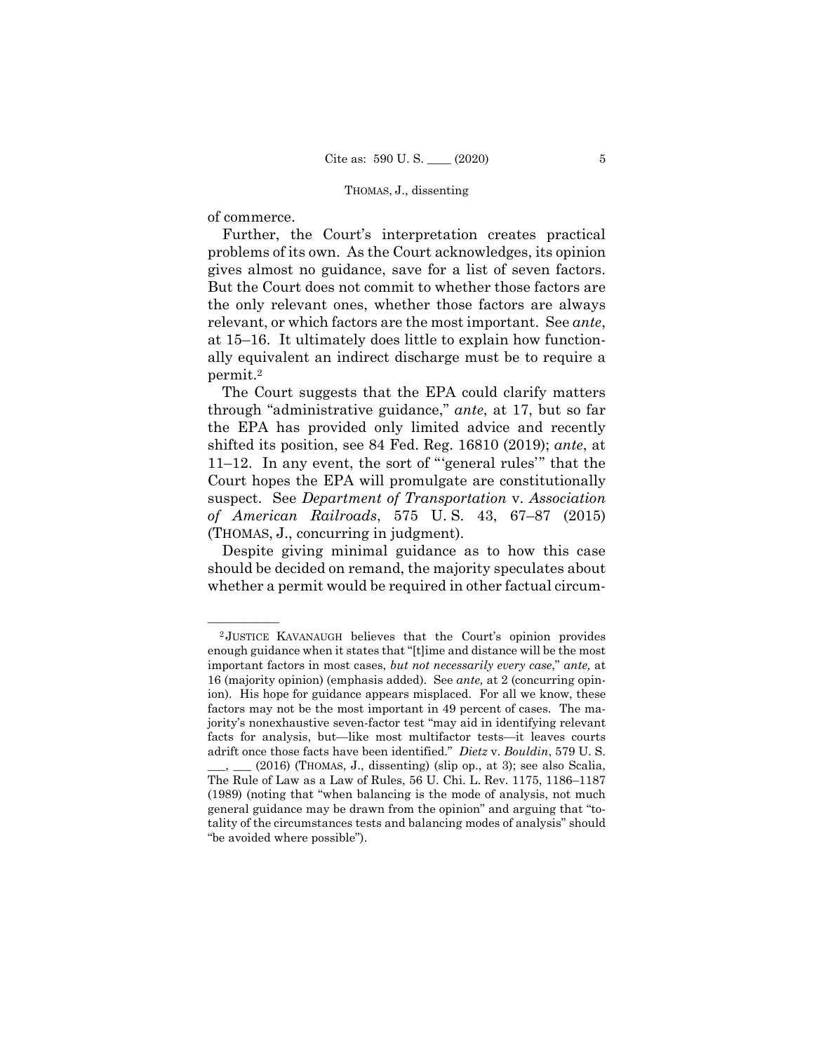of commerce.

Further, the Court's interpretation creates practical problems of its own. As the Court acknowledges, its opinion gives almost no guidance, save for a list of seven factors. But the Court does not commit to whether those factors are the only relevant ones, whether those factors are always relevant, or which factors are the most important. See *ante*, at 15–16. It ultimately does little to explain how functionally equivalent an indirect discharge must be to require a permit.2

The Court suggests that the EPA could clarify matters through "administrative guidance," *ante*, at 17, but so far the EPA has provided only limited advice and recently shifted its position, see 84 Fed. Reg. 16810 (2019); *ante*, at 11–12. In any event, the sort of "'general rules'" that the Court hopes the EPA will promulgate are constitutionally suspect. See *Department of Transportation* v. *Association of American Railroads*, 575 U. S. 43, 67–87 (2015) (THOMAS, J., concurring in judgment).

Despite giving minimal guidance as to how this case should be decided on remand, the majority speculates about whether a permit would be required in other factual circum-

<sup>&</sup>lt;sup>2</sup>JUSTICE KAVANAUGH believes that the Court's opinion provides enough guidance when it states that "[t]ime and distance will be the most important factors in most cases, *but not necessarily every case*," *ante,* at 16 (majority opinion) (emphasis added). See *ante,* at 2 (concurring opinion). His hope for guidance appears misplaced. For all we know, these factors may not be the most important in 49 percent of cases. The majority's nonexhaustive seven-factor test "may aid in identifying relevant facts for analysis, but—like most multifactor tests—it leaves courts adrift once those facts have been identified." *Dietz* v. *Bouldin*, 579 U. S.  $(2016)$  (THOMAS, J., dissenting) (slip op., at 3); see also Scalia,

The Rule of Law as a Law of Rules, 56 U. Chi. L. Rev. 1175, 1186–1187 (1989) (noting that "when balancing is the mode of analysis, not much general guidance may be drawn from the opinion" and arguing that "totality of the circumstances tests and balancing modes of analysis" should "be avoided where possible").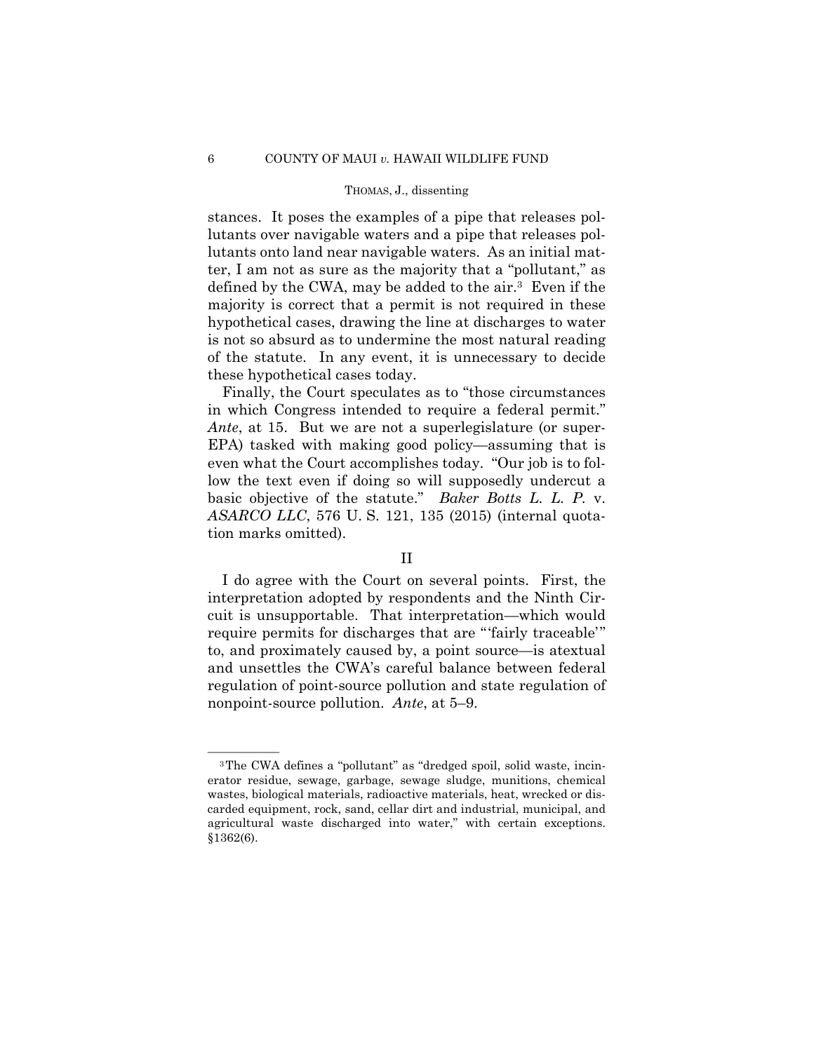defined by the CWA, may be added to the air.<sup>3</sup> Even if the stances. It poses the examples of a pipe that releases pollutants over navigable waters and a pipe that releases pollutants onto land near navigable waters. As an initial matter, I am not as sure as the majority that a "pollutant," as majority is correct that a permit is not required in these hypothetical cases, drawing the line at discharges to water is not so absurd as to undermine the most natural reading of the statute. In any event, it is unnecessary to decide these hypothetical cases today.

Finally, the Court speculates as to "those circumstances in which Congress intended to require a federal permit." *Ante*, at 15. But we are not a superlegislature (or super-EPA) tasked with making good policy—assuming that is even what the Court accomplishes today. "Our job is to follow the text even if doing so will supposedly undercut a basic objective of the statute." *Baker Botts L. L. P.* v. *ASARCO LLC*, 576 U. S. 121, 135 (2015) (internal quotation marks omitted).

### II

I do agree with the Court on several points. First, the interpretation adopted by respondents and the Ninth Circuit is unsupportable. That interpretation—which would require permits for discharges that are "'fairly traceable'" to, and proximately caused by, a point source—is atextual and unsettles the CWA's careful balance between federal regulation of point-source pollution and state regulation of nonpoint-source pollution. *Ante*, at 5–9.

<sup>&</sup>lt;sup>3</sup>The CWA defines a "pollutant" as "dredged spoil, solid waste, incinerator residue, sewage, garbage, sewage sludge, munitions, chemical wastes, biological materials, radioactive materials, heat, wrecked or discarded equipment, rock, sand, cellar dirt and industrial, municipal, and agricultural waste discharged into water," with certain exceptions. §1362(6).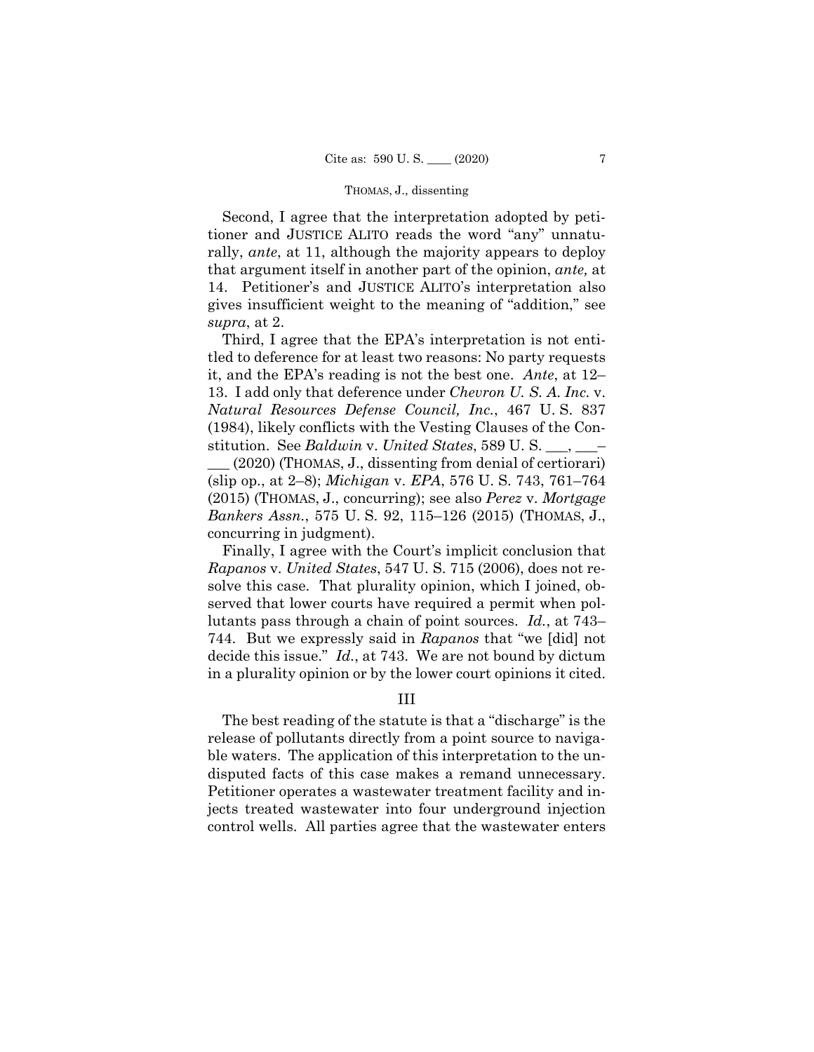Second, I agree that the interpretation adopted by petitioner and JUSTICE ALITO reads the word "any" unnaturally, *ante*, at 11, although the majority appears to deploy that argument itself in another part of the opinion, *ante,* at 14. Petitioner's and JUSTICE ALITO's interpretation also gives insufficient weight to the meaning of "addition," see *supra*, at 2.

Third, I agree that the EPA's interpretation is not entitled to deference for at least two reasons: No party requests it, and the EPA's reading is not the best one. *Ante*, at 12– 13. I add only that deference under *Chevron U. S. A. Inc.* v. *Natural Resources Defense Council, Inc.*, 467 U. S. 837 (1984), likely conflicts with the Vesting Clauses of the Constitution. See *Baldwin* v. *United States*, 589 U. S. \_\_\_, \_\_\_– \_\_\_ (2020) (THOMAS, J., dissenting from denial of certiorari) (slip op., at 2–8); *Michigan* v. *EPA*, 576 U. S. 743, 761–764 (2015) (THOMAS, J., concurring); see also *Perez* v. *Mortgage Bankers Assn.*, 575 U. S. 92, 115–126 (2015) (THOMAS, J., concurring in judgment).

Finally, I agree with the Court's implicit conclusion that *Rapanos* v. *United States*, 547 U. S. 715 (2006), does not resolve this case. That plurality opinion, which I joined, observed that lower courts have required a permit when pollutants pass through a chain of point sources. *Id.*, at 743– 744. But we expressly said in *Rapanos* that "we [did] not decide this issue." *Id.*, at 743. We are not bound by dictum in a plurality opinion or by the lower court opinions it cited.

### III

The best reading of the statute is that a "discharge" is the release of pollutants directly from a point source to navigable waters. The application of this interpretation to the undisputed facts of this case makes a remand unnecessary. Petitioner operates a wastewater treatment facility and injects treated wastewater into four underground injection control wells. All parties agree that the wastewater enters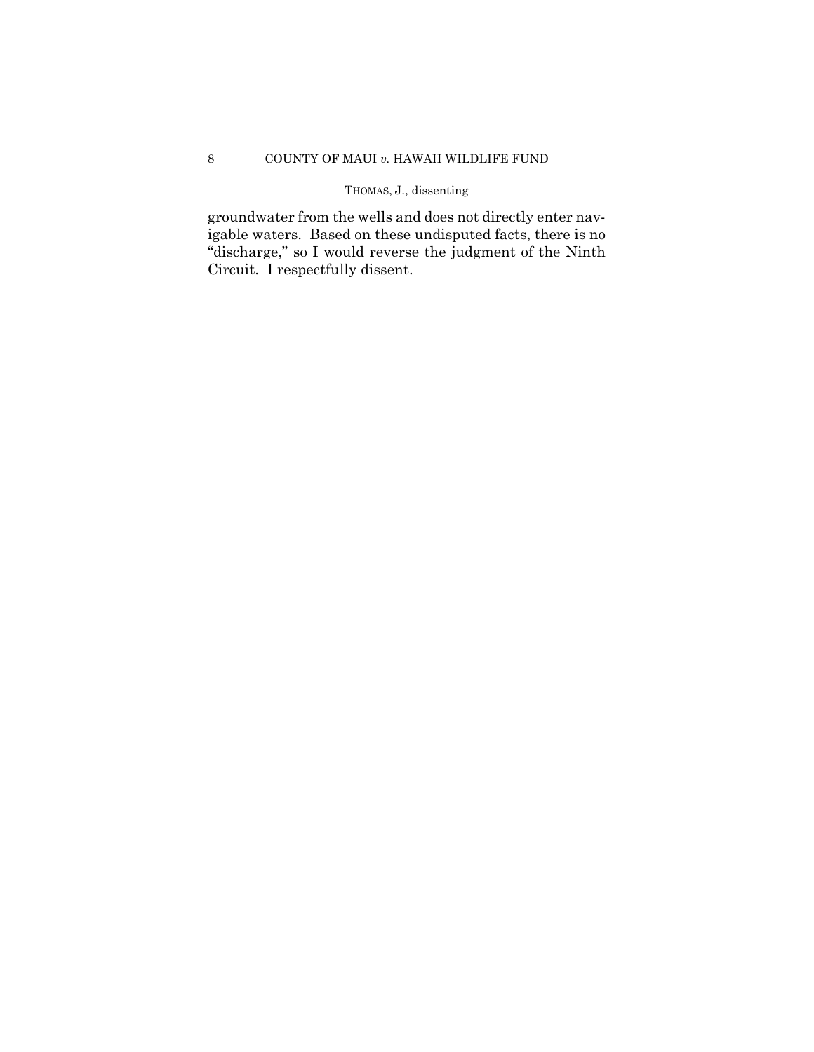groundwater from the wells and does not directly enter navigable waters. Based on these undisputed facts, there is no "discharge," so I would reverse the judgment of the Ninth Circuit. I respectfully dissent.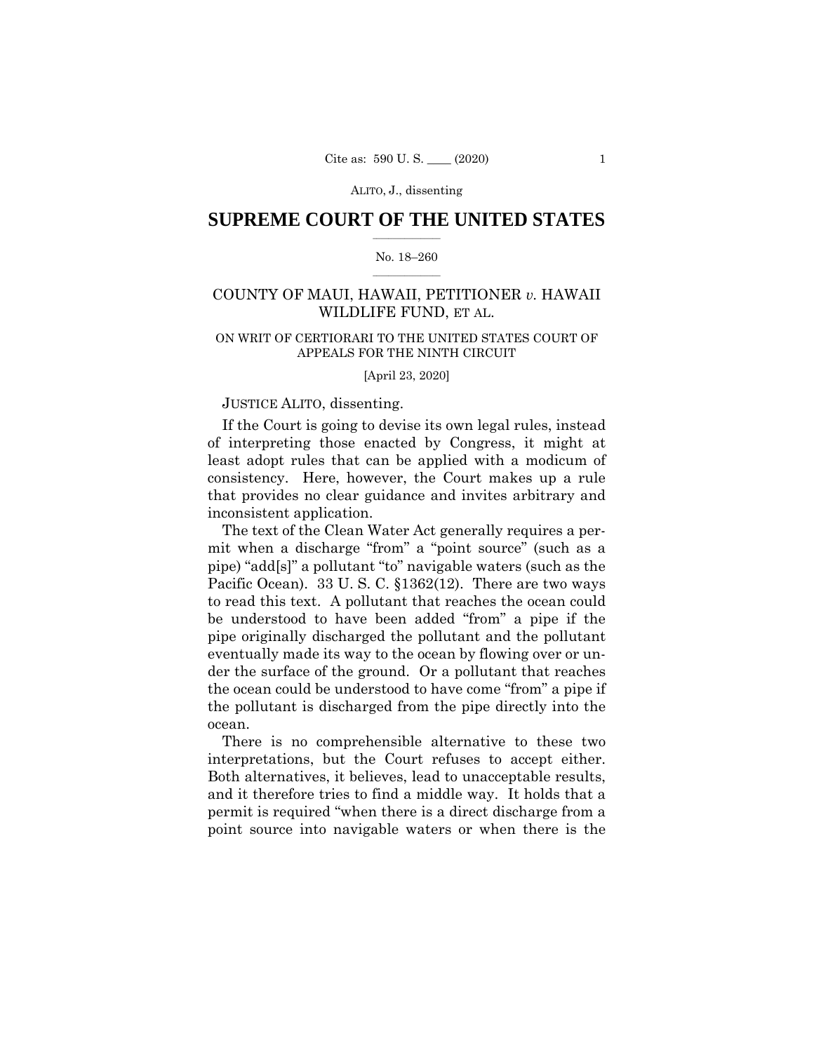### $\frac{1}{2}$  ,  $\frac{1}{2}$  ,  $\frac{1}{2}$  ,  $\frac{1}{2}$  ,  $\frac{1}{2}$  ,  $\frac{1}{2}$  ,  $\frac{1}{2}$ **SUPREME COURT OF THE UNITED STATES**

#### $\frac{1}{2}$  ,  $\frac{1}{2}$  ,  $\frac{1}{2}$  ,  $\frac{1}{2}$  ,  $\frac{1}{2}$  ,  $\frac{1}{2}$ No. 18–260

## COUNTY OF MAUI, HAWAII, PETITIONER *v.* HAWAII WILDLIFE FUND, ET AL.

## ON WRIT OF CERTIORARI TO THE UNITED STATES COURT OF APPEALS FOR THE NINTH CIRCUIT

[April 23, 2020]

## JUSTICE ALITO, dissenting.

 of interpreting those enacted by Congress, it might at least adopt rules that can be applied with a modicum of consistency. Here, however, the Court makes up a rule If the Court is going to devise its own legal rules, instead that provides no clear guidance and invites arbitrary and inconsistent application.

 be understood to have been added "from" a pipe if the The text of the Clean Water Act generally requires a permit when a discharge "from" a "point source" (such as a pipe) "add[s]" a pollutant "to" navigable waters (such as the Pacific Ocean). 33 U. S. C. §1362(12). There are two ways to read this text. A pollutant that reaches the ocean could pipe originally discharged the pollutant and the pollutant eventually made its way to the ocean by flowing over or under the surface of the ground. Or a pollutant that reaches the ocean could be understood to have come "from" a pipe if the pollutant is discharged from the pipe directly into the ocean.

 interpretations, but the Court refuses to accept either. There is no comprehensible alternative to these two Both alternatives, it believes, lead to unacceptable results, and it therefore tries to find a middle way. It holds that a permit is required "when there is a direct discharge from a point source into navigable waters or when there is the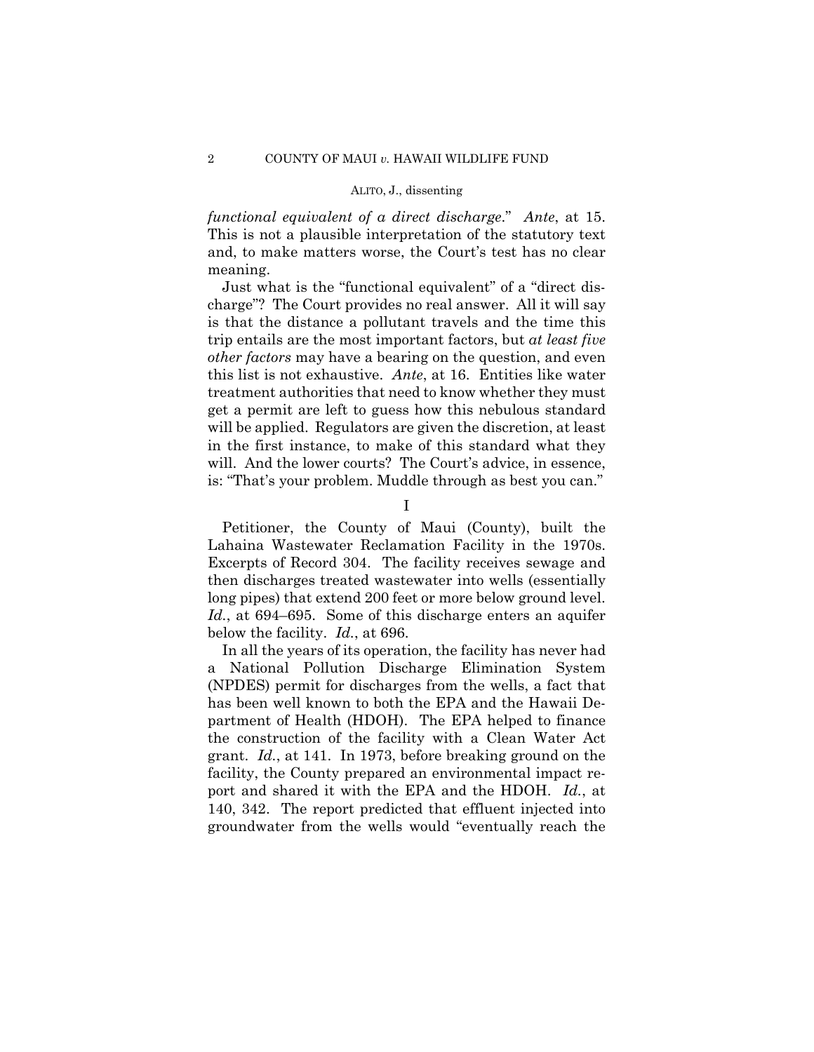*functional equivalent of a direct discharge*." *Ante*, at 15. This is not a plausible interpretation of the statutory text and, to make matters worse, the Court's test has no clear meaning.

Just what is the "functional equivalent" of a "direct discharge"? The Court provides no real answer. All it will say is that the distance a pollutant travels and the time this trip entails are the most important factors, but *at least five other factors* may have a bearing on the question, and even this list is not exhaustive. *Ante*, at 16. Entities like water treatment authorities that need to know whether they must get a permit are left to guess how this nebulous standard will be applied. Regulators are given the discretion, at least in the first instance, to make of this standard what they will. And the lower courts? The Court's advice, in essence, is: "That's your problem. Muddle through as best you can."

I

Petitioner, the County of Maui (County), built the Lahaina Wastewater Reclamation Facility in the 1970s. Excerpts of Record 304. The facility receives sewage and then discharges treated wastewater into wells (essentially long pipes) that extend 200 feet or more below ground level. *Id.*, at 694–695. Some of this discharge enters an aquifer below the facility. *Id.*, at 696.

In all the years of its operation, the facility has never had a National Pollution Discharge Elimination System (NPDES) permit for discharges from the wells, a fact that has been well known to both the EPA and the Hawaii Department of Health (HDOH). The EPA helped to finance the construction of the facility with a Clean Water Act grant. *Id.*, at 141. In 1973, before breaking ground on the facility, the County prepared an environmental impact report and shared it with the EPA and the HDOH. *Id.*, at 140, 342. The report predicted that effluent injected into groundwater from the wells would "eventually reach the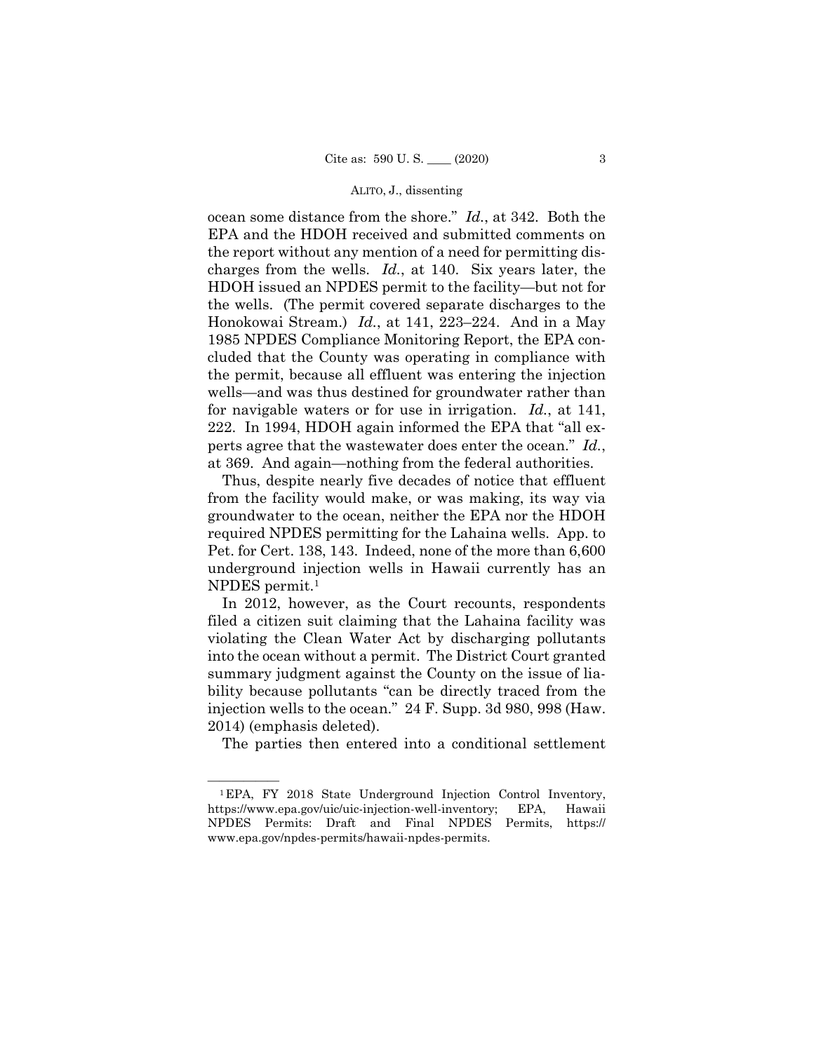ocean some distance from the shore." *Id.*, at 342. Both the EPA and the HDOH received and submitted comments on the report without any mention of a need for permitting discharges from the wells. *Id.*, at 140. Six years later, the HDOH issued an NPDES permit to the facility—but not for the wells. (The permit covered separate discharges to the Honokowai Stream.) *Id.*, at 141, 223–224. And in a May 1985 NPDES Compliance Monitoring Report, the EPA concluded that the County was operating in compliance with the permit, because all effluent was entering the injection wells—and was thus destined for groundwater rather than for navigable waters or for use in irrigation. *Id.*, at 141, 222. In 1994, HDOH again informed the EPA that "all experts agree that the wastewater does enter the ocean." *Id.*, at 369. And again—nothing from the federal authorities.

Thus, despite nearly five decades of notice that effluent from the facility would make, or was making, its way via groundwater to the ocean, neither the EPA nor the HDOH required NPDES permitting for the Lahaina wells. App. to Pet. for Cert. 138, 143. Indeed, none of the more than 6,600 underground injection wells in Hawaii currently has an NPDES permit.<sup>1</sup>

In 2012, however, as the Court recounts, respondents filed a citizen suit claiming that the Lahaina facility was violating the Clean Water Act by discharging pollutants into the ocean without a permit. The District Court granted summary judgment against the County on the issue of liability because pollutants "can be directly traced from the injection wells to the ocean." 24 F. Supp. 3d 980, 998 (Haw. 2014) (emphasis deleted).

The parties then entered into a conditional settlement

<sup>&</sup>lt;sup>1</sup>EPA, FY 2018 State Underground Injection Control Inventory, https://www.epa.gov/uic/uic-injection-well-inventory; EPA, Hawaii NPDES Permits: Draft and Final NPDES Permits, https:// www.epa.gov/npdes-permits/hawaii-npdes-permits.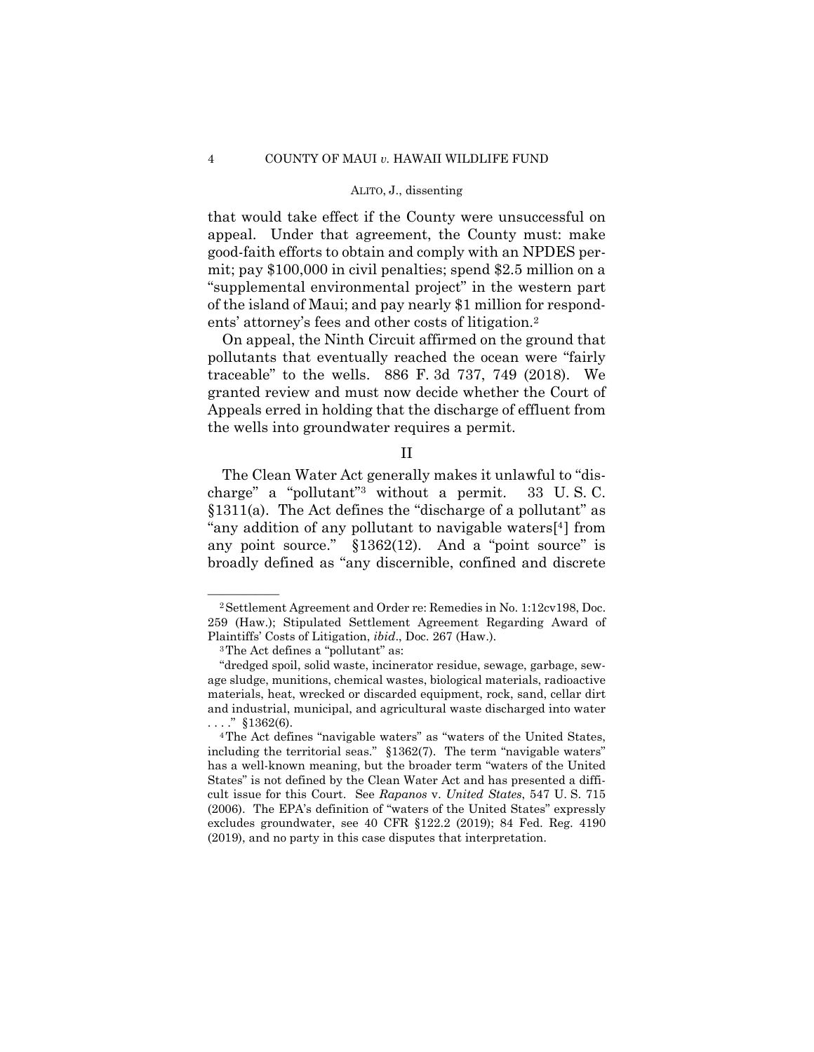that would take effect if the County were unsuccessful on appeal. Under that agreement, the County must: make good-faith efforts to obtain and comply with an NPDES permit; pay \$100,000 in civil penalties; spend \$2.5 million on a "supplemental environmental project" in the western part of the island of Maui; and pay nearly \$1 million for respondents' attorney's fees and other costs of litigation.2

On appeal, the Ninth Circuit affirmed on the ground that pollutants that eventually reached the ocean were "fairly traceable" to the wells. 886 F. 3d 737, 749 (2018). We granted review and must now decide whether the Court of Appeals erred in holding that the discharge of effluent from the wells into groundwater requires a permit.

II

The Clean Water Act generally makes it unlawful to "discharge" a "pollutant"3 without a permit. 33 U. S. C.  $§1311(a)$ . The Act defines the "discharge of a pollutant" as "any addition of any pollutant to navigable waters<sup>[4]</sup> from any point source." §1362(12). And a "point source" is broadly defined as "any discernible, confined and discrete

<sup>&</sup>lt;sup>2</sup> Settlement Agreement and Order re: Remedies in No. 1:12cv198, Doc. 259 (Haw.); Stipulated Settlement Agreement Regarding Award of Plaintiffs' Costs of Litigation, *ibid*., Doc. 267 (Haw.). 3The Act defines a "pollutant" as:

<sup>&</sup>quot;dredged spoil, solid waste, incinerator residue, sewage, garbage, sewage sludge, munitions, chemical wastes, biological materials, radioactive materials, heat, wrecked or discarded equipment, rock, sand, cellar dirt and industrial, municipal, and agricultural waste discharged into water

<sup>. . . .&</sup>quot; §1362(6). 4The Act defines "navigable waters" as "waters of the United States, including the territorial seas." §1362(7). The term "navigable waters" has a well-known meaning, but the broader term "waters of the United States" is not defined by the Clean Water Act and has presented a difficult issue for this Court. See *Rapanos* v. *United States*, 547 U. S. 715 (2006). The EPA's definition of "waters of the United States" expressly excludes groundwater, see 40 CFR §122.2 (2019); 84 Fed. Reg. 4190 (2019), and no party in this case disputes that interpretation.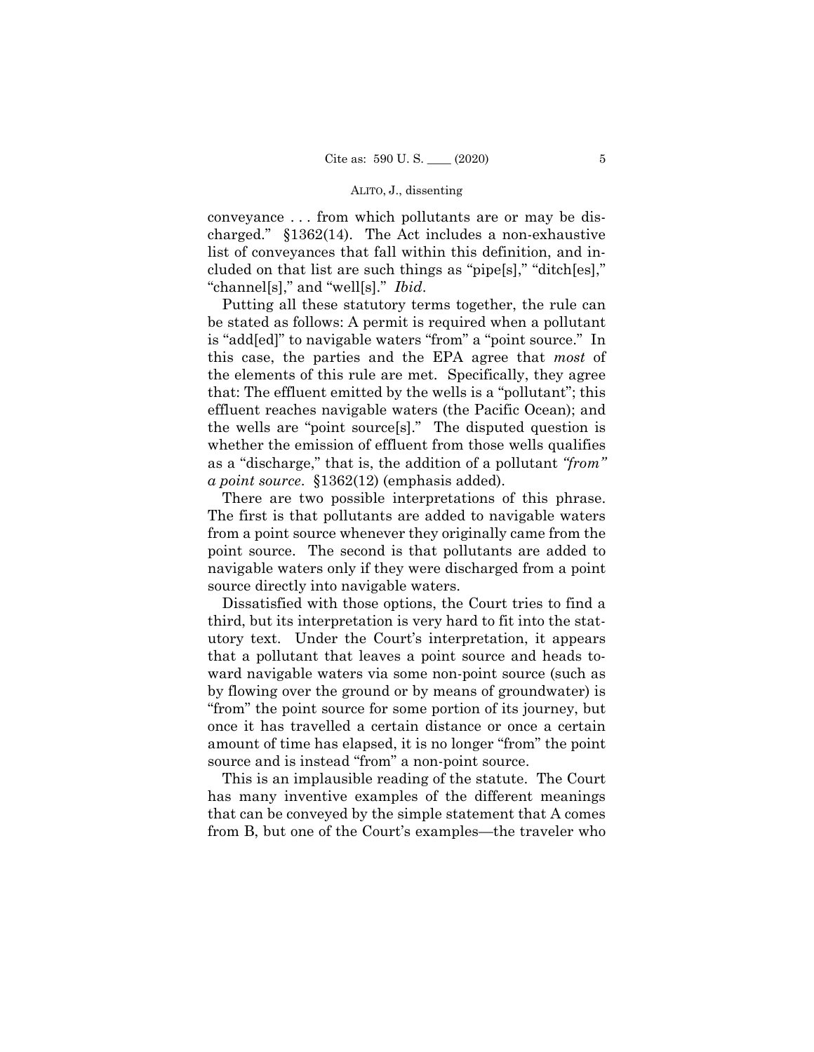conveyance . . . from which pollutants are or may be discharged." §1362(14). The Act includes a non-exhaustive list of conveyances that fall within this definition, and included on that list are such things as "pipe[s]," "ditch[es]," "channel[s]," and "well[s]." *Ibid*.

Putting all these statutory terms together, the rule can be stated as follows: A permit is required when a pollutant is "add[ed]" to navigable waters "from" a "point source." In this case, the parties and the EPA agree that *most* of the elements of this rule are met. Specifically, they agree that: The effluent emitted by the wells is a "pollutant"; this effluent reaches navigable waters (the Pacific Ocean); and the wells are "point source[s]." The disputed question is whether the emission of effluent from those wells qualifies as a "discharge," that is, the addition of a pollutant *"from" a point source*. §1362(12) (emphasis added).

There are two possible interpretations of this phrase. The first is that pollutants are added to navigable waters from a point source whenever they originally came from the point source. The second is that pollutants are added to navigable waters only if they were discharged from a point source directly into navigable waters.

Dissatisfied with those options, the Court tries to find a third, but its interpretation is very hard to fit into the statutory text. Under the Court's interpretation, it appears that a pollutant that leaves a point source and heads toward navigable waters via some non-point source (such as by flowing over the ground or by means of groundwater) is "from" the point source for some portion of its journey, but once it has travelled a certain distance or once a certain amount of time has elapsed, it is no longer "from" the point source and is instead "from" a non-point source.

This is an implausible reading of the statute. The Court has many inventive examples of the different meanings that can be conveyed by the simple statement that A comes from B, but one of the Court's examples—the traveler who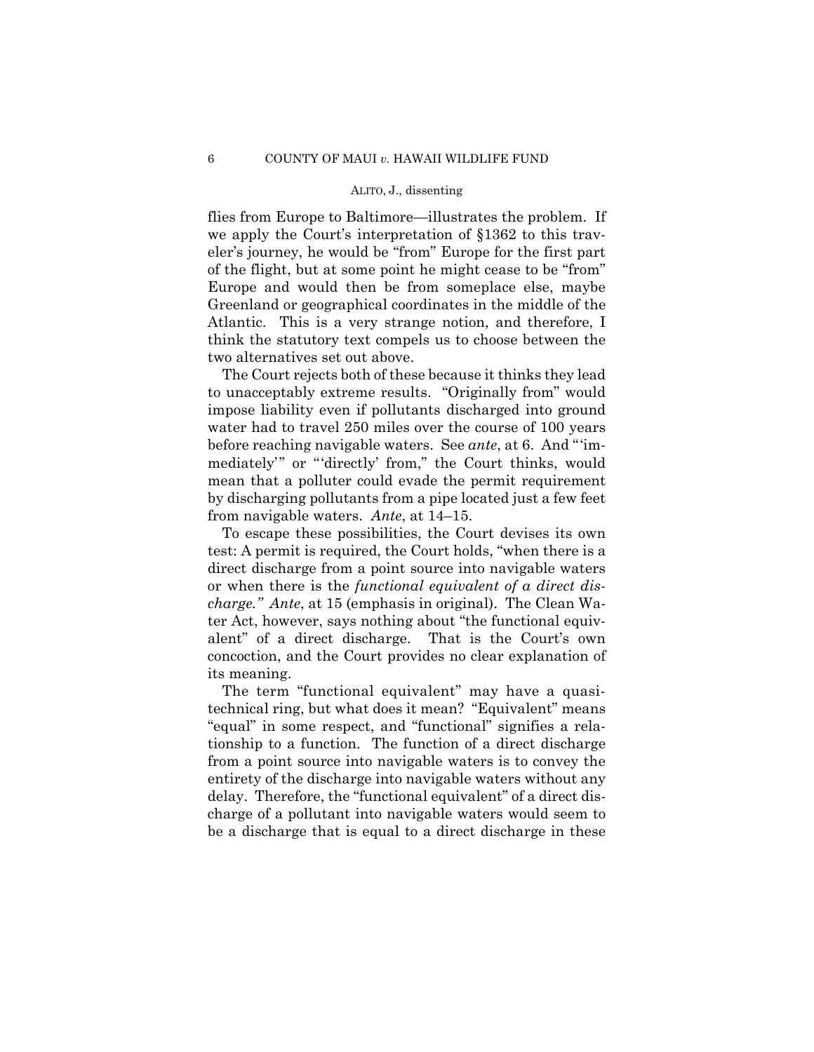flies from Europe to Baltimore—illustrates the problem. If we apply the Court's interpretation of §1362 to this traveler's journey, he would be "from" Europe for the first part of the flight, but at some point he might cease to be "from" Europe and would then be from someplace else, maybe Greenland or geographical coordinates in the middle of the Atlantic. This is a very strange notion, and therefore, I think the statutory text compels us to choose between the two alternatives set out above.

The Court rejects both of these because it thinks they lead to unacceptably extreme results. "Originally from" would impose liability even if pollutants discharged into ground water had to travel 250 miles over the course of 100 years before reaching navigable waters. See *ante*, at 6. And "'immediately'" or "'directly' from," the Court thinks, would mean that a polluter could evade the permit requirement by discharging pollutants from a pipe located just a few feet from navigable waters. *Ante*, at 14–15.

 *charge." Ante*, at 15 (emphasis in original). The Clean Wa-To escape these possibilities, the Court devises its own test: A permit is required, the Court holds, "when there is a direct discharge from a point source into navigable waters or when there is the *functional equivalent of a direct dis*ter Act, however, says nothing about "the functional equivalent" of a direct discharge. That is the Court's own concoction, and the Court provides no clear explanation of its meaning.

The term "functional equivalent" may have a quasitechnical ring, but what does it mean? "Equivalent" means "equal" in some respect, and "functional" signifies a relationship to a function. The function of a direct discharge from a point source into navigable waters is to convey the entirety of the discharge into navigable waters without any delay. Therefore, the "functional equivalent" of a direct discharge of a pollutant into navigable waters would seem to be a discharge that is equal to a direct discharge in these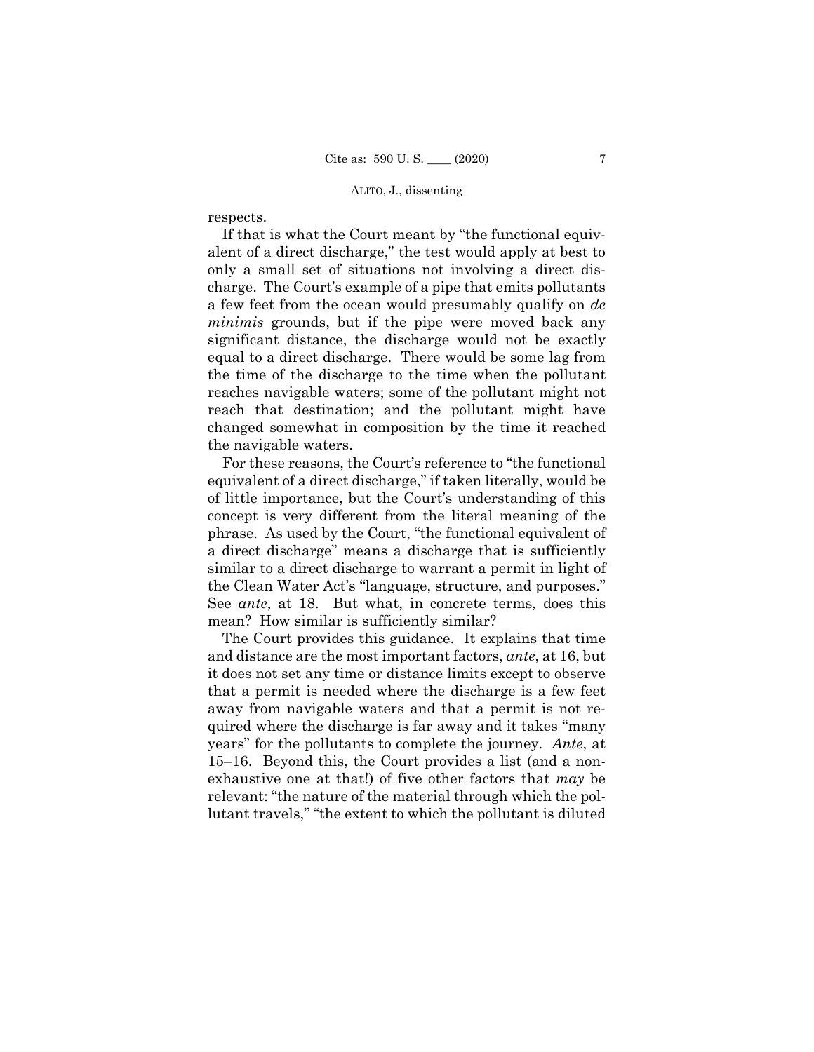respects.

If that is what the Court meant by "the functional equivalent of a direct discharge," the test would apply at best to only a small set of situations not involving a direct discharge. The Court's example of a pipe that emits pollutants a few feet from the ocean would presumably qualify on *de minimis* grounds, but if the pipe were moved back any significant distance, the discharge would not be exactly equal to a direct discharge. There would be some lag from the time of the discharge to the time when the pollutant reaches navigable waters; some of the pollutant might not reach that destination; and the pollutant might have changed somewhat in composition by the time it reached the navigable waters.

For these reasons, the Court's reference to "the functional equivalent of a direct discharge," if taken literally, would be of little importance, but the Court's understanding of this concept is very different from the literal meaning of the phrase. As used by the Court, "the functional equivalent of a direct discharge" means a discharge that is sufficiently similar to a direct discharge to warrant a permit in light of the Clean Water Act's "language, structure, and purposes." See *ante*, at 18. But what, in concrete terms, does this mean? How similar is sufficiently similar?

The Court provides this guidance. It explains that time and distance are the most important factors, *ante*, at 16, but it does not set any time or distance limits except to observe that a permit is needed where the discharge is a few feet away from navigable waters and that a permit is not required where the discharge is far away and it takes "many years" for the pollutants to complete the journey. *Ante*, at 15–16. Beyond this, the Court provides a list (and a nonexhaustive one at that!) of five other factors that *may* be relevant: "the nature of the material through which the pollutant travels," "the extent to which the pollutant is diluted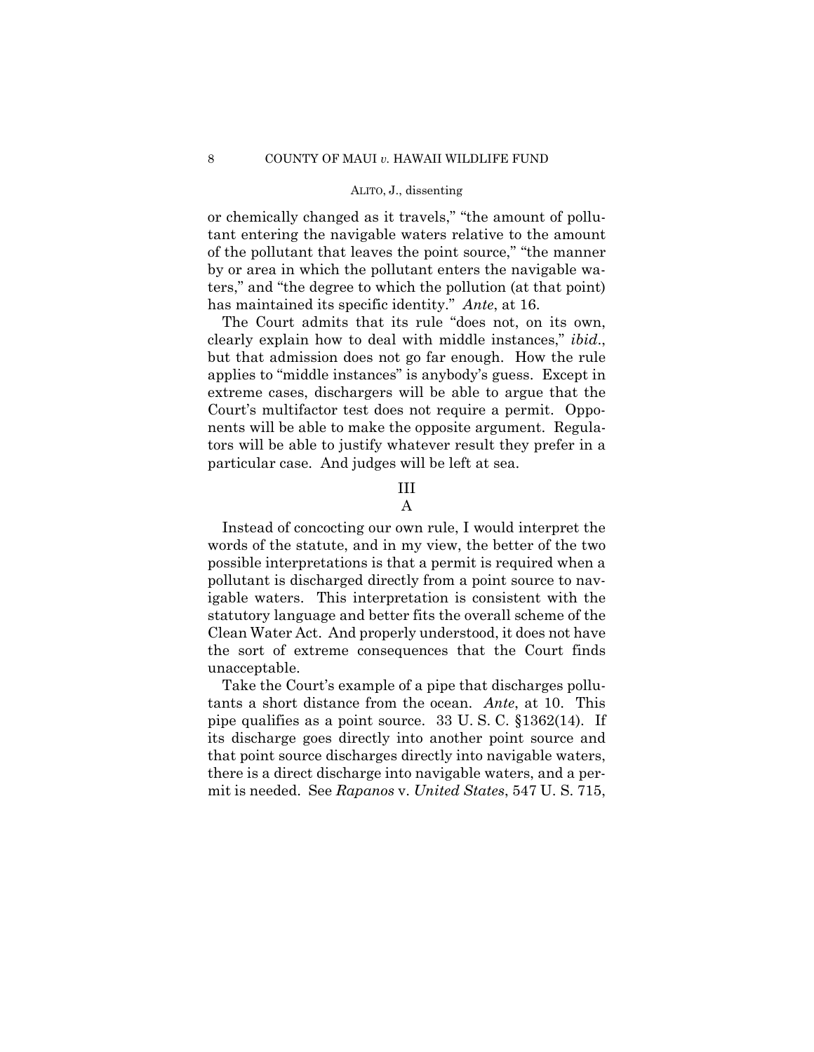or chemically changed as it travels," "the amount of pollutant entering the navigable waters relative to the amount of the pollutant that leaves the point source," "the manner by or area in which the pollutant enters the navigable waters," and "the degree to which the pollution (at that point) has maintained its specific identity." *Ante*, at 16.

The Court admits that its rule "does not, on its own, clearly explain how to deal with middle instances," *ibid*., but that admission does not go far enough. How the rule applies to "middle instances" is anybody's guess. Except in extreme cases, dischargers will be able to argue that the Court's multifactor test does not require a permit. Opponents will be able to make the opposite argument. Regulators will be able to justify whatever result they prefer in a particular case. And judges will be left at sea.

## III

A

 the sort of extreme consequences that the Court finds unacceptable. Instead of concocting our own rule, I would interpret the words of the statute, and in my view, the better of the two possible interpretations is that a permit is required when a pollutant is discharged directly from a point source to navigable waters. This interpretation is consistent with the statutory language and better fits the overall scheme of the Clean Water Act. And properly understood, it does not have

Take the Court's example of a pipe that discharges pollutants a short distance from the ocean. *Ante*, at 10. This pipe qualifies as a point source. 33 U. S. C. §1362(14). If its discharge goes directly into another point source and that point source discharges directly into navigable waters, there is a direct discharge into navigable waters, and a permit is needed. See *Rapanos* v. *United States*, 547 U. S. 715,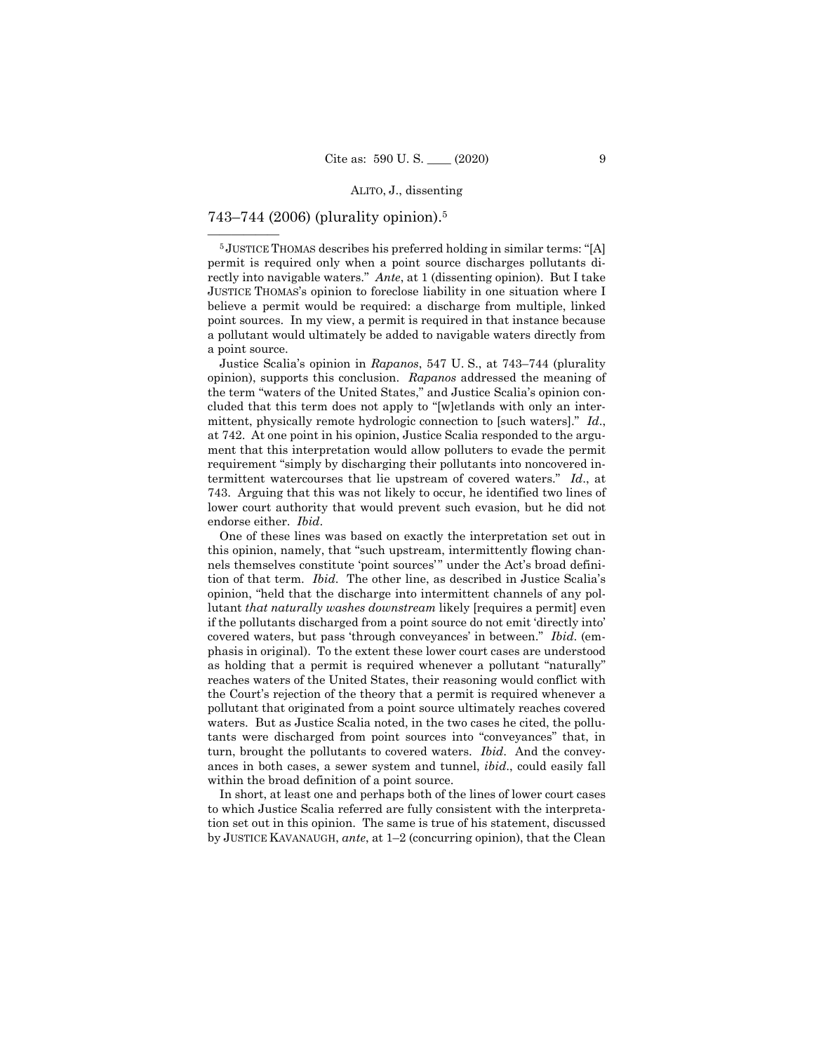## 743–744 (2006) (plurality opinion).5

 rectly into navigable waters." *Ante*, at 1 (dissenting opinion). But I take point sources. In my view, a permit is required in that instance because  $5$ JUSTICE THOMAS describes his preferred holding in similar terms: "[A] permit is required only when a point source discharges pollutants di-JUSTICE THOMAS's opinion to foreclose liability in one situation where I believe a permit would be required: a discharge from multiple, linked a pollutant would ultimately be added to navigable waters directly from a point source.

 termittent watercourses that lie upstream of covered waters." *Id*., at Justice Scalia's opinion in *Rapanos*, 547 U. S., at 743–744 (plurality opinion), supports this conclusion. *Rapanos* addressed the meaning of the term "waters of the United States," and Justice Scalia's opinion concluded that this term does not apply to "[w]etlands with only an intermittent, physically remote hydrologic connection to [such waters]." *Id*., at 742. At one point in his opinion, Justice Scalia responded to the argument that this interpretation would allow polluters to evade the permit requirement "simply by discharging their pollutants into noncovered in-743. Arguing that this was not likely to occur, he identified two lines of lower court authority that would prevent such evasion, but he did not endorse either. *Ibid*.

tion of that term. *Ibid*. The other line, as described in Justice Scalia's covered waters, but pass 'through conveyances' in between." *Ibid*. (em-One of these lines was based on exactly the interpretation set out in this opinion, namely, that "such upstream, intermittently flowing channels themselves constitute 'point sources'" under the Act's broad definiopinion, "held that the discharge into intermittent channels of any pollutant *that naturally washes downstream* likely [requires a permit] even if the pollutants discharged from a point source do not emit 'directly into' phasis in original). To the extent these lower court cases are understood as holding that a permit is required whenever a pollutant "naturally" reaches waters of the United States, their reasoning would conflict with the Court's rejection of the theory that a permit is required whenever a pollutant that originated from a point source ultimately reaches covered waters. But as Justice Scalia noted, in the two cases he cited, the pollutants were discharged from point sources into "conveyances" that, in turn, brought the pollutants to covered waters. *Ibid*. And the conveyances in both cases, a sewer system and tunnel, *ibid*., could easily fall within the broad definition of a point source.

 tion set out in this opinion. The same is true of his statement, discussed In short, at least one and perhaps both of the lines of lower court cases to which Justice Scalia referred are fully consistent with the interpretaby JUSTICE KAVANAUGH, *ante*, at 1–2 (concurring opinion), that the Clean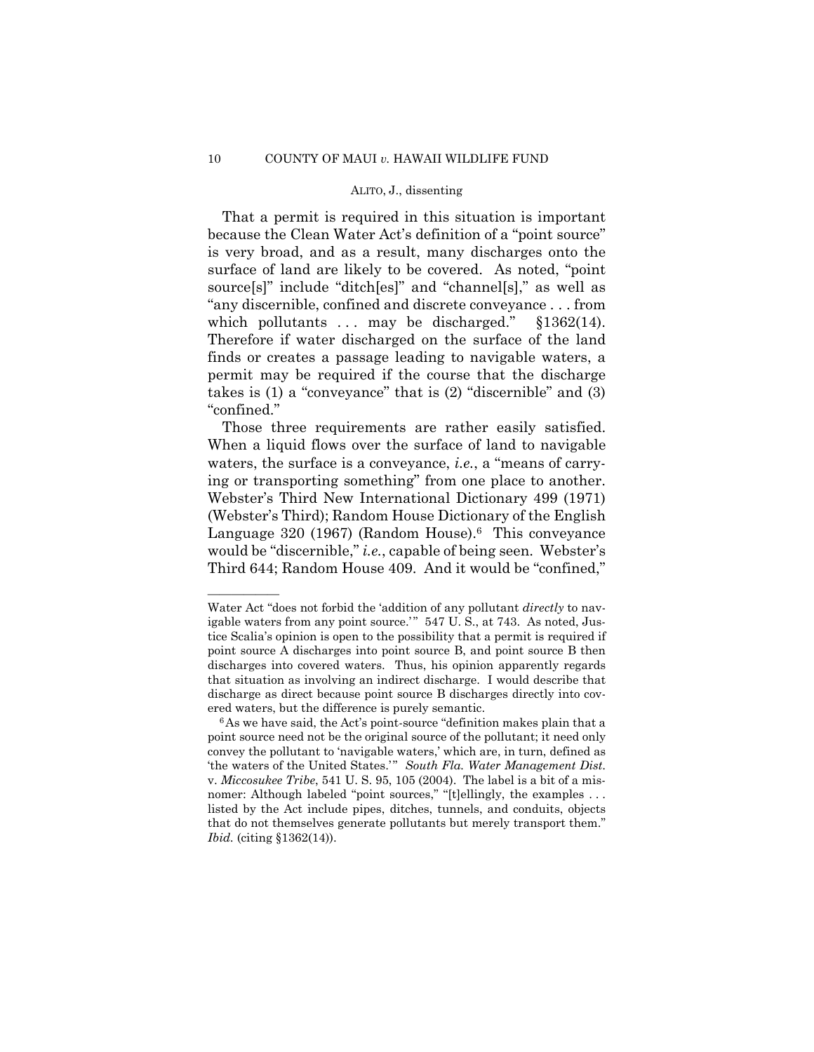That a permit is required in this situation is important because the Clean Water Act's definition of a "point source" is very broad, and as a result, many discharges onto the surface of land are likely to be covered. As noted, "point source[s]" include "ditch[es]" and "channel[s]," as well as "any discernible, confined and discrete conveyance . . . from which pollutants  $\ldots$  may be discharged." §1362(14). Therefore if water discharged on the surface of the land finds or creates a passage leading to navigable waters, a permit may be required if the course that the discharge takes is (1) a "conveyance" that is (2) "discernible" and (3) "confined."

Those three requirements are rather easily satisfied. When a liquid flows over the surface of land to navigable waters, the surface is a conveyance, *i.e.*, a "means of carrying or transporting something" from one place to another. Webster's Third New International Dictionary 499 (1971) (Webster's Third); Random House Dictionary of the English Language 320 (1967) (Random House).<sup>6</sup> This conveyance would be "discernible," *i.e.*, capable of being seen. Webster's Third 644; Random House 409. And it would be "confined,"

——————

Water Act "does not forbid the 'addition of any pollutant *directly* to navigable waters from any point source.'" 547 U.S., at 743. As noted, Justice Scalia's opinion is open to the possibility that a permit is required if point source A discharges into point source B, and point source B then discharges into covered waters. Thus, his opinion apparently regards that situation as involving an indirect discharge. I would describe that discharge as direct because point source B discharges directly into covered waters, but the difference is purely semantic.<br><sup>6</sup>As we have said, the Act's point-source "definition makes plain that a

point source need not be the original source of the pollutant; it need only convey the pollutant to 'navigable waters,' which are, in turn, defined as 'the waters of the United States.'" South Fla. Water Management Dist. v. *Miccosukee Tribe*, 541 U. S. 95, 105 (2004). The label is a bit of a misnomer: Although labeled "point sources," "[t]ellingly, the examples ... listed by the Act include pipes, ditches, tunnels, and conduits, objects that do not themselves generate pollutants but merely transport them." *Ibid.* (citing §1362(14)).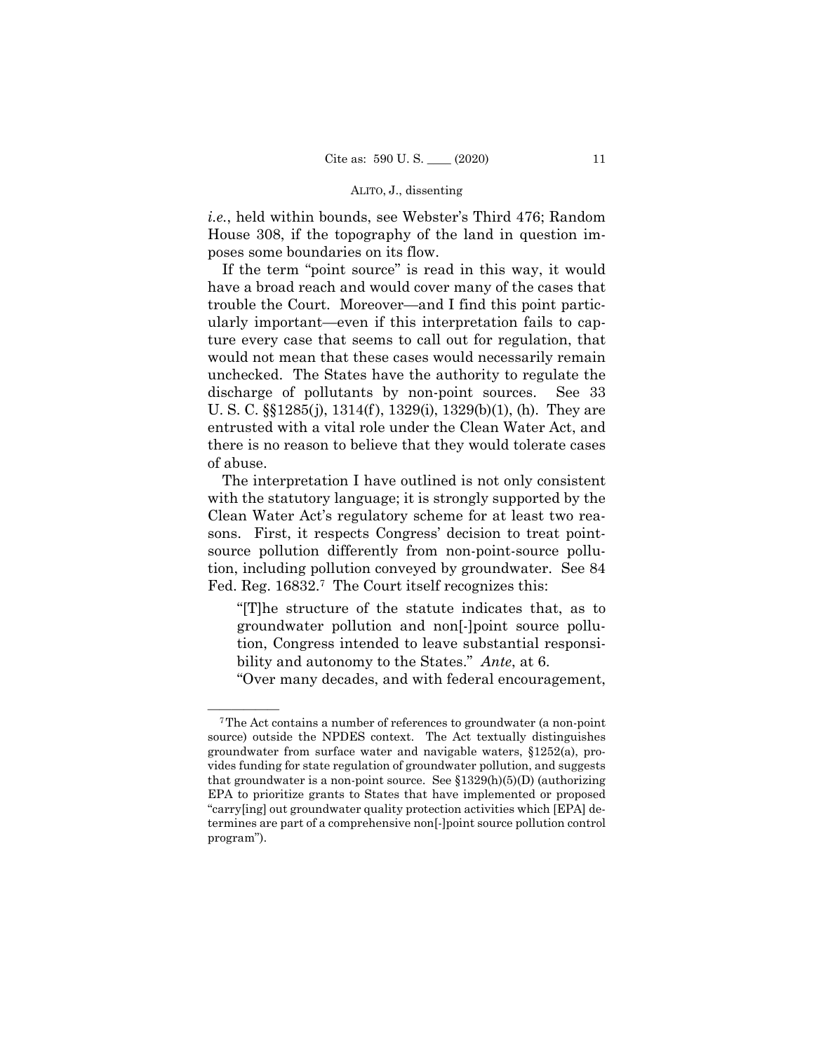*i.e.*, held within bounds, see Webster's Third 476; Random House 308, if the topography of the land in question imposes some boundaries on its flow.

If the term "point source" is read in this way, it would have a broad reach and would cover many of the cases that trouble the Court. Moreover—and I find this point particularly important—even if this interpretation fails to capture every case that seems to call out for regulation, that would not mean that these cases would necessarily remain unchecked. The States have the authority to regulate the discharge of pollutants by non-point sources. See 33 U. S. C. §§1285(j), 1314(f), 1329(i), 1329(b)(1), (h). They are entrusted with a vital role under the Clean Water Act, and there is no reason to believe that they would tolerate cases of abuse.

The interpretation I have outlined is not only consistent with the statutory language; it is strongly supported by the Clean Water Act's regulatory scheme for at least two reasons. First, it respects Congress' decision to treat pointsource pollution differently from non-point-source pollution, including pollution conveyed by groundwater. See 84 Fed. Reg. 16832.7 The Court itself recognizes this:

"[T]he structure of the statute indicates that, as to groundwater pollution and non[-]point source pollution, Congress intended to leave substantial responsibility and autonomy to the States." *Ante*, at 6.

"Over many decades, and with federal encouragement,

<sup>&</sup>lt;sup>7</sup>The Act contains a number of references to groundwater (a non-point source) outside the NPDES context. The Act textually distinguishes groundwater from surface water and navigable waters, §1252(a), provides funding for state regulation of groundwater pollution, and suggests that groundwater is a non-point source. See  $$1329(h)(5)(D)$  (authorizing EPA to prioritize grants to States that have implemented or proposed "carry[ing] out groundwater quality protection activities which [EPA] determines are part of a comprehensive non[-]point source pollution control program").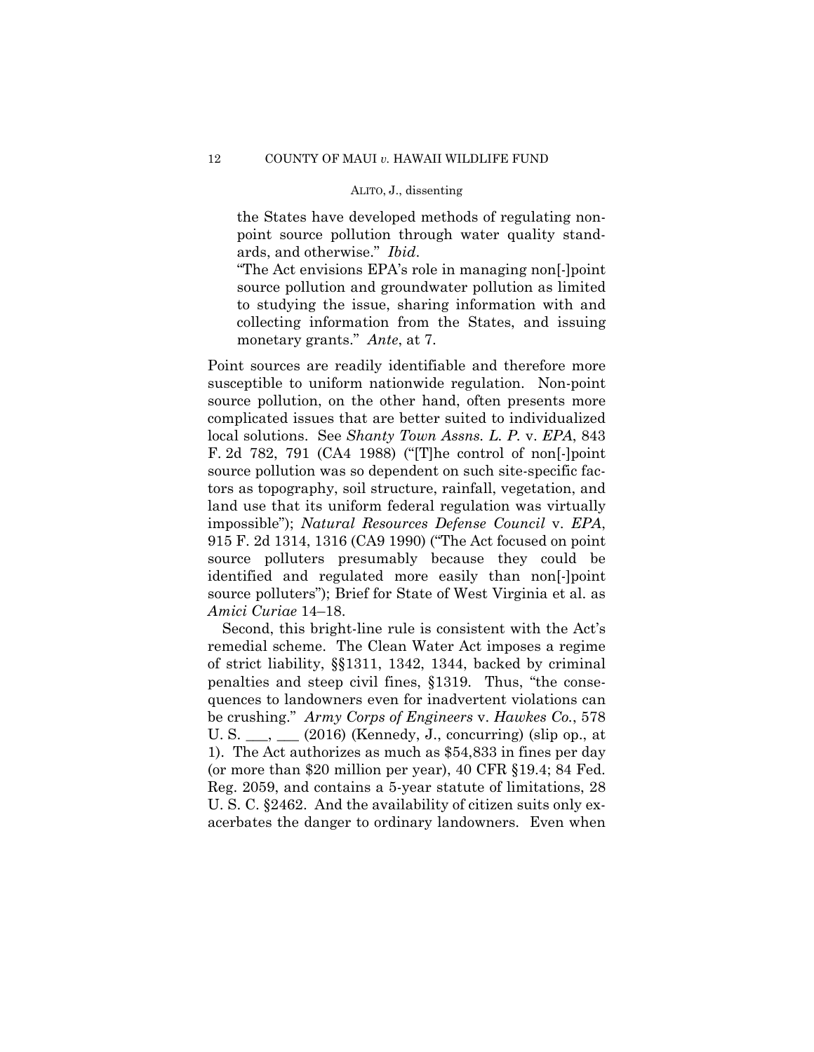the States have developed methods of regulating nonpoint source pollution through water quality standards, and otherwise." *Ibid*.

"The Act envisions EPA's role in managing non[-]point source pollution and groundwater pollution as limited to studying the issue, sharing information with and collecting information from the States, and issuing monetary grants." *Ante*, at 7.

 source polluters presumably because they could be identified and regulated more easily than non[-]point Point sources are readily identifiable and therefore more susceptible to uniform nationwide regulation. Non-point source pollution, on the other hand, often presents more complicated issues that are better suited to individualized local solutions. See *Shanty Town Assns. L. P.* v. *EPA*, 843 F. 2d 782, 791 (CA4 1988) ("[T]he control of non[-]point source pollution was so dependent on such site-specific factors as topography, soil structure, rainfall, vegetation, and land use that its uniform federal regulation was virtually impossible"); *Natural Resources Defense Council* v. *EPA*, 915 F. 2d 1314, 1316 (CA9 1990) ("The Act focused on point source polluters"); Brief for State of West Virginia et al. as *Amici Curiae* 14–18.

Second, this bright-line rule is consistent with the Act's remedial scheme. The Clean Water Act imposes a regime of strict liability, §§1311, 1342, 1344, backed by criminal penalties and steep civil fines, §1319. Thus, "the consequences to landowners even for inadvertent violations can be crushing." *Army Corps of Engineers* v. *Hawkes Co.*, 578 U. S.  $\_\_\_\_\_\_\_\_\_\$  (2016) (Kennedy, J., concurring) (slip op., at 1). The Act authorizes as much as \$54,833 in fines per day (or more than \$20 million per year), 40 CFR §19.4; 84 Fed. Reg. 2059, and contains a 5-year statute of limitations, 28 U. S. C. §2462. And the availability of citizen suits only exacerbates the danger to ordinary landowners. Even when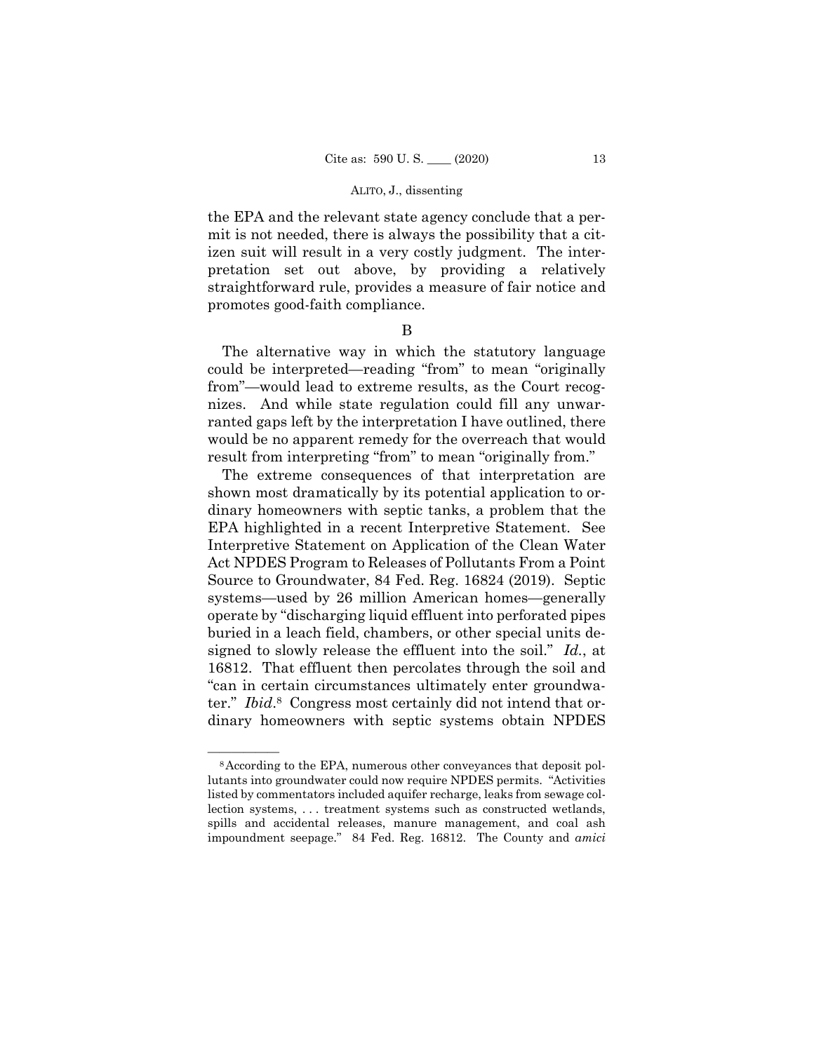the EPA and the relevant state agency conclude that a permit is not needed, there is always the possibility that a citizen suit will result in a very costly judgment. The interpretation set out above, by providing a relatively straightforward rule, provides a measure of fair notice and promotes good-faith compliance.

### B

The alternative way in which the statutory language could be interpreted—reading "from" to mean "originally from"—would lead to extreme results, as the Court recognizes. And while state regulation could fill any unwarranted gaps left by the interpretation I have outlined, there would be no apparent remedy for the overreach that would result from interpreting "from" to mean "originally from."

 ter." *Ibid*. 8 Congress most certainly did not intend that or-The extreme consequences of that interpretation are shown most dramatically by its potential application to ordinary homeowners with septic tanks, a problem that the EPA highlighted in a recent Interpretive Statement. See Interpretive Statement on Application of the Clean Water Act NPDES Program to Releases of Pollutants From a Point Source to Groundwater, 84 Fed. Reg. 16824 (2019). Septic systems—used by 26 million American homes—generally operate by "discharging liquid effluent into perforated pipes buried in a leach field, chambers, or other special units designed to slowly release the effluent into the soil." *Id.*, at 16812. That effluent then percolates through the soil and "can in certain circumstances ultimately enter groundwadinary homeowners with septic systems obtain NPDES

lection systems, ... treatment systems such as constructed wetlands, spills and accidental releases, manure management, and coal ash impoundment seepage." 84 Fed. Reg. 16812. The County and *amici* impoundment seepage." 84 Fed. Reg. 16812. The County and *amici* <sup>8</sup> According to the EPA, numerous other conveyances that deposit pollutants into groundwater could now require NPDES permits. "Activities listed by commentators included aquifer recharge, leaks from sewage col-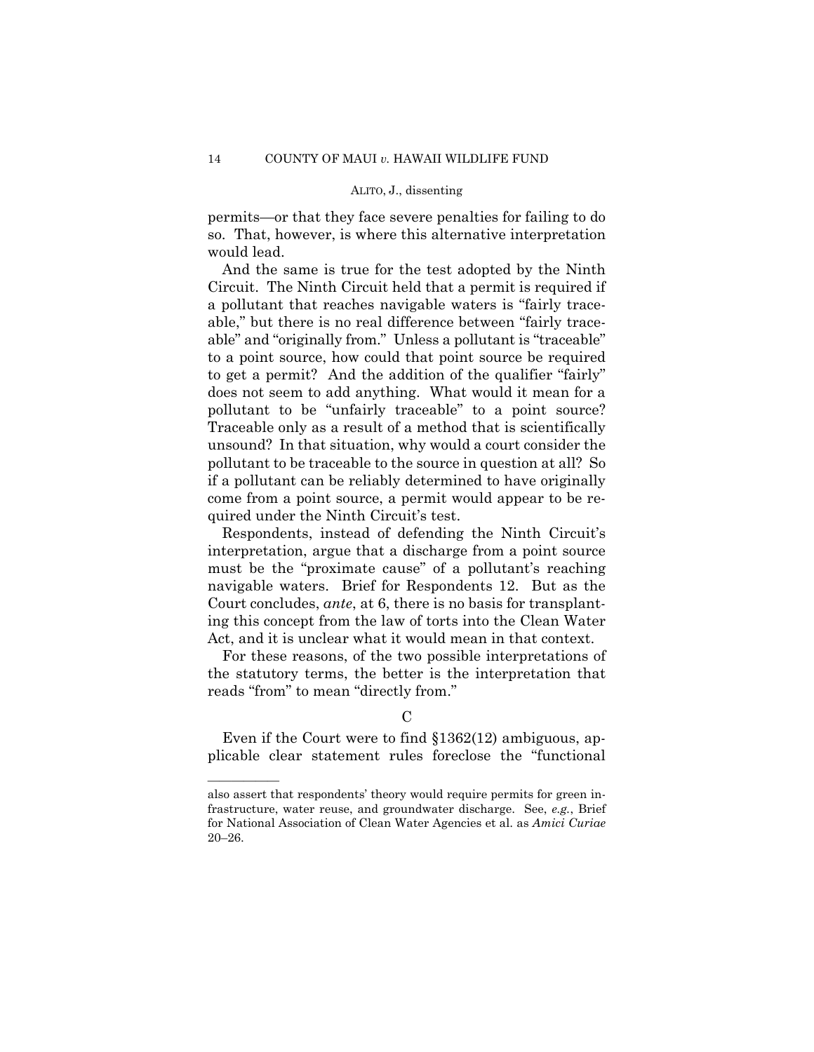permits—or that they face severe penalties for failing to do so. That, however, is where this alternative interpretation would lead.

 able" and "originally from." Unless a pollutant is "traceable" does not seem to add anything. What would it mean for a pollutant to be "unfairly traceable" to a point source? And the same is true for the test adopted by the Ninth Circuit. The Ninth Circuit held that a permit is required if a pollutant that reaches navigable waters is "fairly traceable," but there is no real difference between "fairly traceto a point source, how could that point source be required to get a permit? And the addition of the qualifier "fairly" Traceable only as a result of a method that is scientifically unsound? In that situation, why would a court consider the pollutant to be traceable to the source in question at all? So if a pollutant can be reliably determined to have originally come from a point source, a permit would appear to be required under the Ninth Circuit's test.

Respondents, instead of defending the Ninth Circuit's interpretation, argue that a discharge from a point source must be the "proximate cause" of a pollutant's reaching navigable waters. Brief for Respondents 12. But as the Court concludes, *ante*, at 6, there is no basis for transplanting this concept from the law of torts into the Clean Water Act, and it is unclear what it would mean in that context.

For these reasons, of the two possible interpretations of the statutory terms, the better is the interpretation that reads "from" to mean "directly from."

## $\mathcal{C}$

Even if the Court were to find §1362(12) ambiguous, applicable clear statement rules foreclose the "functional

——————

 frastructure, water reuse, and groundwater discharge. See, *e.g.*, Brief also assert that respondents' theory would require permits for green infor National Association of Clean Water Agencies et al. as *Amici Curiae*  20–26.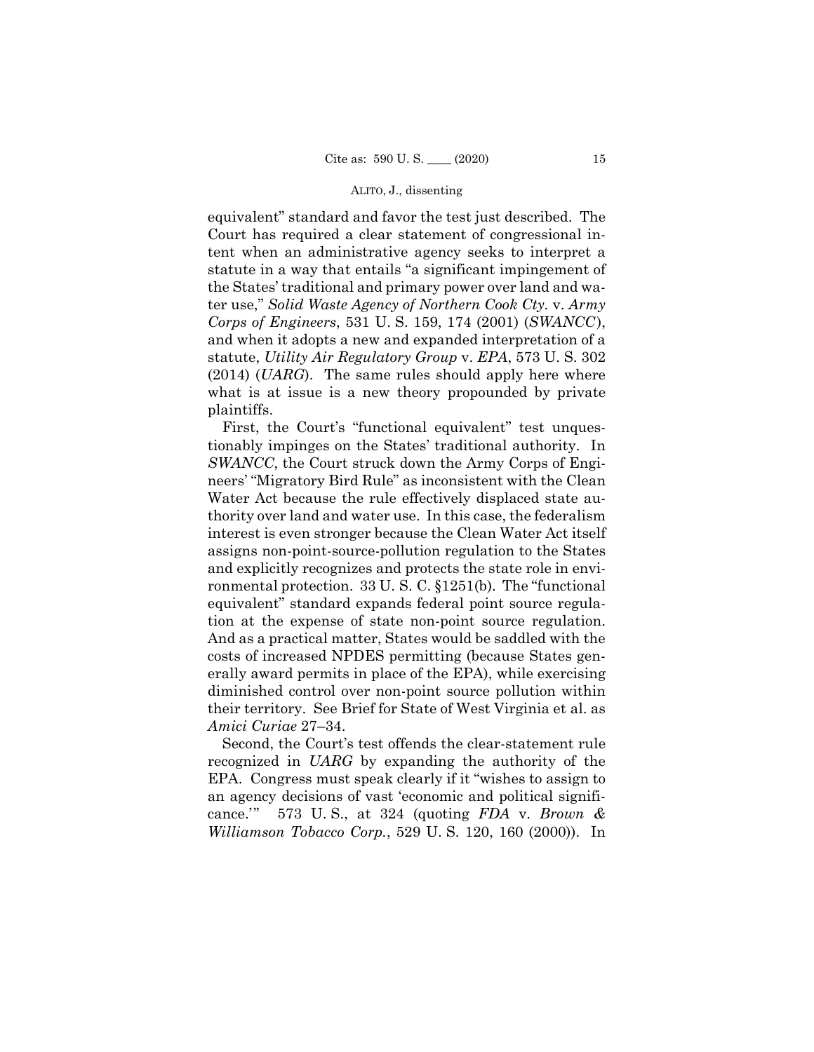equivalent" standard and favor the test just described. The Court has required a clear statement of congressional intent when an administrative agency seeks to interpret a statute in a way that entails "a significant impingement of the States' traditional and primary power over land and water use," *Solid Waste Agency of Northern Cook Cty.* v. *Army Corps of Engineers*, 531 U. S. 159, 174 (2001) (*SWANCC*), and when it adopts a new and expanded interpretation of a statute, *Utility Air Regulatory Group* v. *EPA*, 573 U. S. 302 (2014) (*UARG*). The same rules should apply here where what is at issue is a new theory propounded by private plaintiffs.

 tion at the expense of state non-point source regulation. First, the Court's "functional equivalent" test unquestionably impinges on the States' traditional authority. In *SWANCC*, the Court struck down the Army Corps of Engineers' "Migratory Bird Rule" as inconsistent with the Clean Water Act because the rule effectively displaced state authority over land and water use. In this case, the federalism interest is even stronger because the Clean Water Act itself assigns non-point-source-pollution regulation to the States and explicitly recognizes and protects the state role in environmental protection. 33 U. S. C. §1251(b). The "functional equivalent" standard expands federal point source regula-And as a practical matter, States would be saddled with the costs of increased NPDES permitting (because States generally award permits in place of the EPA), while exercising diminished control over non-point source pollution within their territory. See Brief for State of West Virginia et al. as *Amici Curiae* 27–34.

Second, the Court's test offends the clear-statement rule recognized in *UARG* by expanding the authority of the EPA. Congress must speak clearly if it "wishes to assign to an agency decisions of vast 'economic and political significance.'" 573 U. S., at 324 (quoting *FDA* v. *Brown & Williamson Tobacco Corp.*, 529 U. S. 120, 160 (2000)). In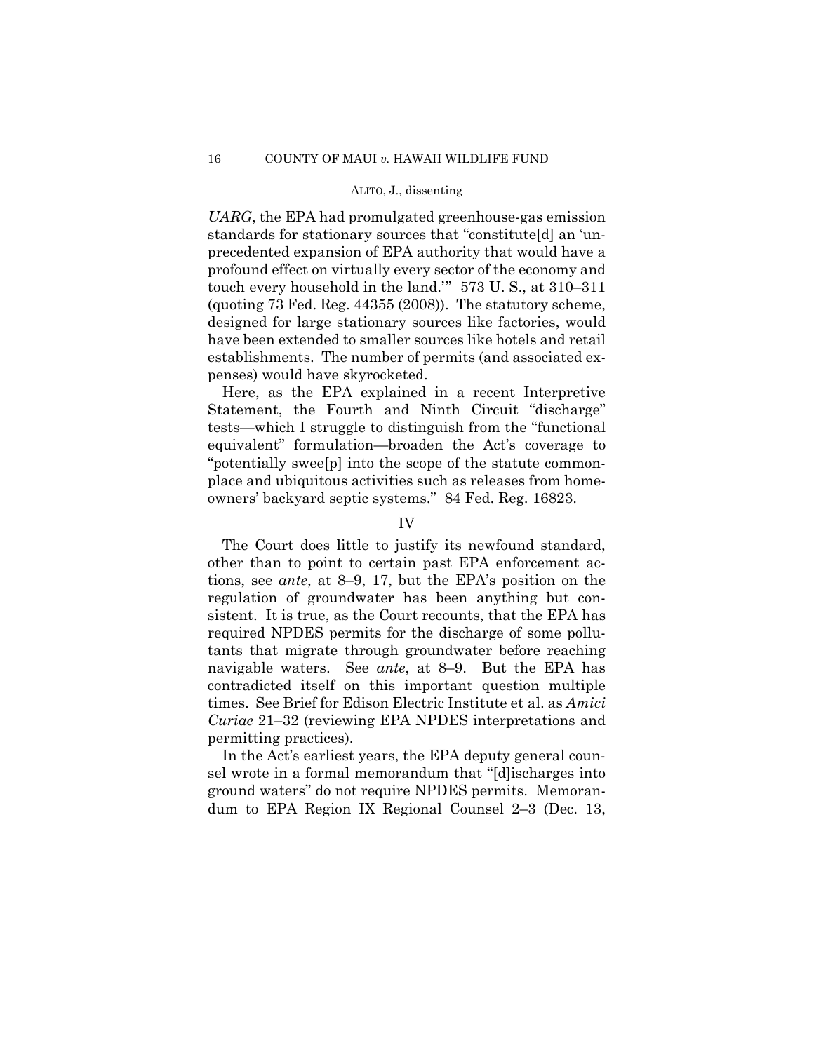*UARG*, the EPA had promulgated greenhouse-gas emission standards for stationary sources that "constitute[d] an 'unprecedented expansion of EPA authority that would have a profound effect on virtually every sector of the economy and touch every household in the land.'" 573 U. S., at 310–311 (quoting 73 Fed. Reg. 44355 (2008)). The statutory scheme, designed for large stationary sources like factories, would have been extended to smaller sources like hotels and retail establishments. The number of permits (and associated expenses) would have skyrocketed.

Here, as the EPA explained in a recent Interpretive Statement, the Fourth and Ninth Circuit "discharge" tests—which I struggle to distinguish from the "functional equivalent" formulation—broaden the Act's coverage to "potentially swee[p] into the scope of the statute commonplace and ubiquitous activities such as releases from homeowners' backyard septic systems." 84 Fed. Reg. 16823.

#### IV

 navigable waters. See *ante*, at 8–9. But the EPA has The Court does little to justify its newfound standard, other than to point to certain past EPA enforcement actions, see *ante*, at 8–9, 17, but the EPA's position on the regulation of groundwater has been anything but consistent. It is true, as the Court recounts, that the EPA has required NPDES permits for the discharge of some pollutants that migrate through groundwater before reaching contradicted itself on this important question multiple times. See Brief for Edison Electric Institute et al. as *Amici Curiae* 21–32 (reviewing EPA NPDES interpretations and permitting practices).

In the Act's earliest years, the EPA deputy general counsel wrote in a formal memorandum that "[d]ischarges into ground waters" do not require NPDES permits. Memorandum to EPA Region IX Regional Counsel 2–3 (Dec. 13,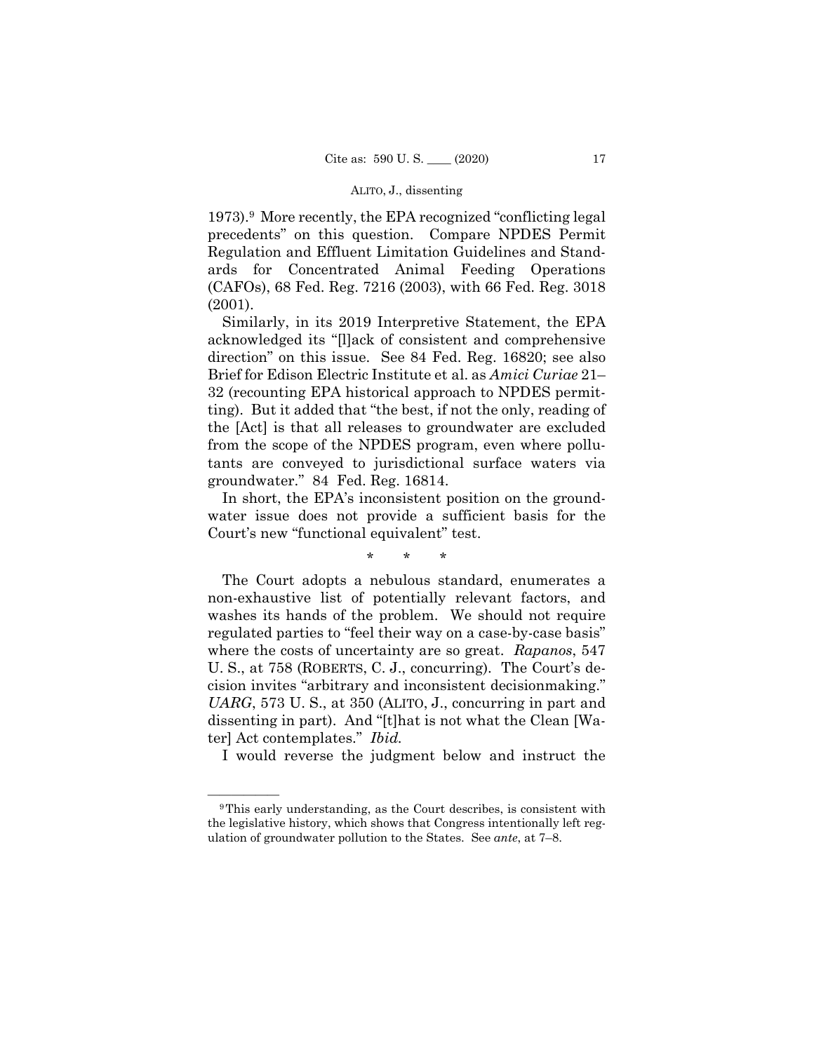1973).9 More recently, the EPA recognized "conflicting legal precedents" on this question. Compare NPDES Permit Regulation and Effluent Limitation Guidelines and Standards for Concentrated Animal Feeding Operations (CAFOs), 68 Fed. Reg. 7216 (2003), with 66 Fed. Reg. 3018 (2001).

Similarly, in its 2019 Interpretive Statement, the EPA acknowledged its "[l]ack of consistent and comprehensive direction" on this issue. See 84 Fed. Reg. 16820; see also Brief for Edison Electric Institute et al. as *Amici Curiae* 21– 32 (recounting EPA historical approach to NPDES permitting). But it added that "the best, if not the only, reading of the [Act] is that all releases to groundwater are excluded from the scope of the NPDES program, even where pollutants are conveyed to jurisdictional surface waters via groundwater." 84 Fed. Reg. 16814.

In short, the EPA's inconsistent position on the groundwater issue does not provide a sufficient basis for the Court's new "functional equivalent" test.

\* \* \*

The Court adopts a nebulous standard, enumerates a non-exhaustive list of potentially relevant factors, and washes its hands of the problem. We should not require regulated parties to "feel their way on a case-by-case basis" where the costs of uncertainty are so great. *Rapanos*, 547 U. S., at 758 (ROBERTS, C. J., concurring). The Court's decision invites "arbitrary and inconsistent decisionmaking." *UARG*, 573 U. S., at 350 (ALITO, J., concurring in part and dissenting in part). And "[t]hat is not what the Clean [Water] Act contemplates." *Ibid.* 

I would reverse the judgment below and instruct the

<sup>&</sup>lt;sup>9</sup>This early understanding, as the Court describes, is consistent with the legislative history, which shows that Congress intentionally left regulation of groundwater pollution to the States. See *ante*, at 7–8.